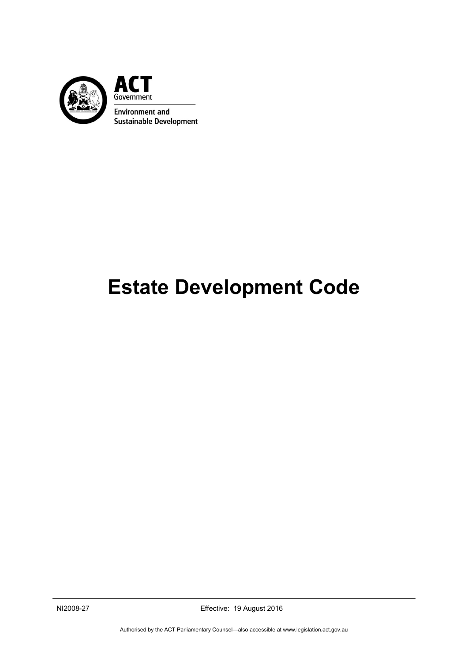

# **Estate Development Code**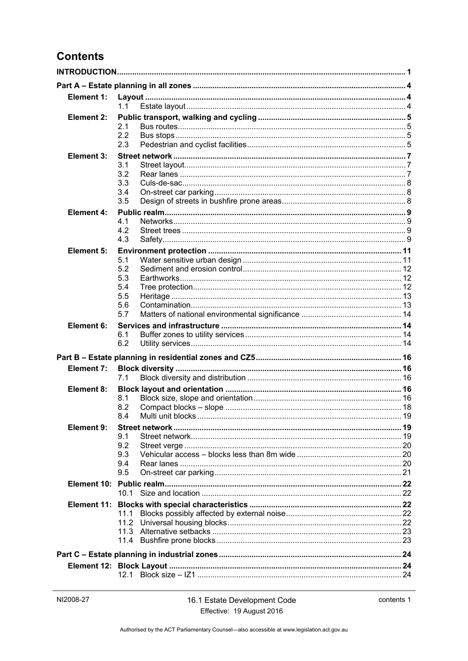# **Contents**

| Element 1:        | 1.1                                           |  |  |
|-------------------|-----------------------------------------------|--|--|
| Element 2:        | 2.1<br>2.2<br>2.3                             |  |  |
| <b>Element 3:</b> | 3.1<br>3.2<br>3.3<br>3.4<br>3.5               |  |  |
| <b>Element 4:</b> | 4.1<br>4.2<br>4.3                             |  |  |
| Element 5:        | 5.1<br>5.2<br>5.3<br>5.4<br>5.5<br>5.6<br>5.7 |  |  |
| Element 6:        | 6.1<br>6.2                                    |  |  |
|                   |                                               |  |  |
| <b>Element 7:</b> | 7.1                                           |  |  |
| Element 8:        | 8.1<br>8.2<br>8.4                             |  |  |
| Element 9:        | 9.1<br>9.2<br>9.3<br>9.4<br>9.5               |  |  |
|                   | 10.1                                          |  |  |
|                   | 11.1<br>11.2                                  |  |  |
|                   |                                               |  |  |
|                   |                                               |  |  |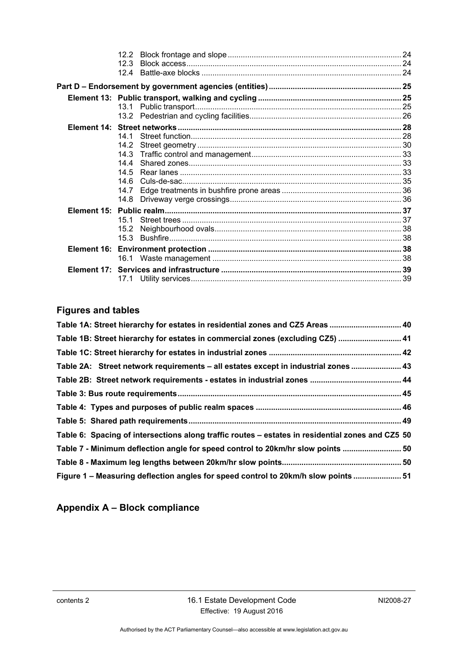| 12.2 |  |
|------|--|
| 12.3 |  |
| 124  |  |
|      |  |
|      |  |
|      |  |
|      |  |
|      |  |
| 14 1 |  |
| 14.2 |  |
| 14.3 |  |
| 14 4 |  |
| 14.5 |  |
| 14 6 |  |
| 14.7 |  |
| 14.8 |  |
|      |  |
| 15.1 |  |
| 15.2 |  |
|      |  |
|      |  |
| 16.1 |  |
|      |  |
|      |  |
|      |  |

# **Figures and tables**

| Table 1A: Street hierarchy for estates in residential zones and CZ5 Areas  40                    |  |
|--------------------------------------------------------------------------------------------------|--|
| Table 1B: Street hierarchy for estates in commercial zones (excluding CZ5)  41                   |  |
|                                                                                                  |  |
| Table 2A: Street network requirements - all estates except in industrial zones  43               |  |
|                                                                                                  |  |
|                                                                                                  |  |
|                                                                                                  |  |
|                                                                                                  |  |
| Table 6: Spacing of intersections along traffic routes - estates in residential zones and CZ5 50 |  |
| Table 7 - Minimum deflection angle for speed control to 20km/hr slow points  50                  |  |
|                                                                                                  |  |
| Figure 1 - Measuring deflection angles for speed control to 20km/h slow points  51               |  |

# **Appendix A – Block compliance**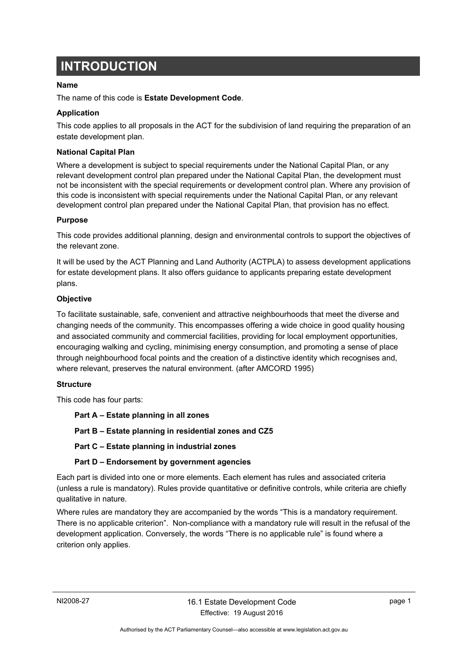# <span id="page-4-0"></span>**INTRODUCTION**

### **Name**

The name of this code is **Estate Development Code**.

### **Application**

This code applies to all proposals in the ACT for the subdivision of land requiring the preparation of an estate development plan.

### **National Capital Plan**

Where a development is subject to special requirements under the National Capital Plan, or any relevant development control plan prepared under the National Capital Plan, the development must not be inconsistent with the special requirements or development control plan. Where any provision of this code is inconsistent with special requirements under the National Capital Plan, or any relevant development control plan prepared under the National Capital Plan, that provision has no effect.

### **Purpose**

This code provides additional planning, design and environmental controls to support the objectives of the relevant zone.

It will be used by the ACT Planning and Land Authority (ACTPLA) to assess development applications for estate development plans. It also offers guidance to applicants preparing estate development plans.

### **Objective**

To facilitate sustainable, safe, convenient and attractive neighbourhoods that meet the diverse and changing needs of the community. This encompasses offering a wide choice in good quality housing and associated community and commercial facilities, providing for local employment opportunities, encouraging walking and cycling, minimising energy consumption, and promoting a sense of place through neighbourhood focal points and the creation of a distinctive identity which recognises and, where relevant, preserves the natural environment. (after AMCORD 1995)

### **Structure**

This code has four parts:

**Part A – Estate planning in all zones** 

**Part B – Estate planning in residential zones and CZ5** 

**Part C – Estate planning in industrial zones** 

### **Part D – Endorsement by government agencies**

Each part is divided into one or more elements. Each element has rules and associated criteria (unless a rule is mandatory). Rules provide quantitative or definitive controls, while criteria are chiefly qualitative in nature.

Where rules are mandatory they are accompanied by the words "This is a mandatory requirement. There is no applicable criterion". Non-compliance with a mandatory rule will result in the refusal of the development application. Conversely, the words "There is no applicable rule" is found where a criterion only applies.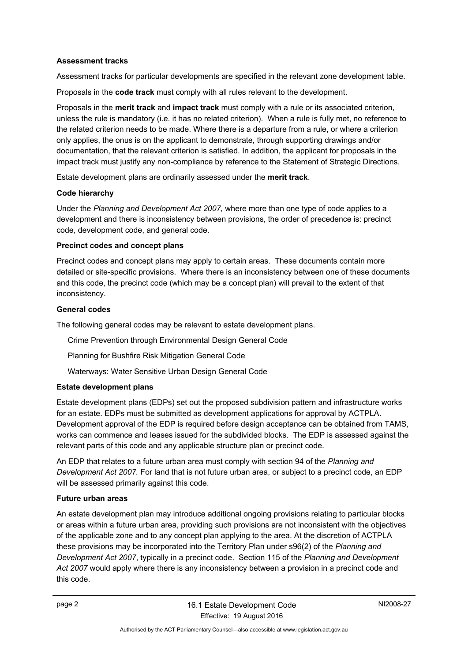### **Assessment tracks**

Assessment tracks for particular developments are specified in the relevant zone development table.

Proposals in the **code track** must comply with all rules relevant to the development.

Proposals in the **merit track** and **impact track** must comply with a rule or its associated criterion, unless the rule is mandatory (i.e. it has no related criterion). When a rule is fully met, no reference to the related criterion needs to be made. Where there is a departure from a rule, or where a criterion only applies, the onus is on the applicant to demonstrate, through supporting drawings and/or documentation, that the relevant criterion is satisfied. In addition, the applicant for proposals in the impact track must justify any non-compliance by reference to the Statement of Strategic Directions.

Estate development plans are ordinarily assessed under the **merit track**.

### **Code hierarchy**

Under the *Planning and Development Act 2007,* where more than one type of code applies to a development and there is inconsistency between provisions, the order of precedence is: precinct code, development code, and general code.

### **Precinct codes and concept plans**

Precinct codes and concept plans may apply to certain areas. These documents contain more detailed or site-specific provisions. Where there is an inconsistency between one of these documents and this code, the precinct code (which may be a concept plan) will prevail to the extent of that inconsistency.

### **General codes**

The following general codes may be relevant to estate development plans.

Crime Prevention through Environmental Design General Code

Planning for Bushfire Risk Mitigation General Code

Waterways: Water Sensitive Urban Design General Code

### **Estate development plans**

Estate development plans (EDPs) set out the proposed subdivision pattern and infrastructure works for an estate. EDPs must be submitted as development applications for approval by ACTPLA. Development approval of the EDP is required before design acceptance can be obtained from TAMS, works can commence and leases issued for the subdivided blocks. The EDP is assessed against the relevant parts of this code and any applicable structure plan or precinct code.

An EDP that relates to a future urban area must comply with section 94 of the *Planning and Development Act 2007.* For land that is not future urban area, or subject to a precinct code, an EDP will be assessed primarily against this code.

### **Future urban areas**

An estate development plan may introduce additional ongoing provisions relating to particular blocks or areas within a future urban area, providing such provisions are not inconsistent with the objectives of the applicable zone and to any concept plan applying to the area. At the discretion of ACTPLA these provisions may be incorporated into the Territory Plan under s96(2) of the *Planning and Development Act 2007*, typically in a precinct code. Section 115 of the *Planning and Development Act 2007* would apply where there is any inconsistency between a provision in a precinct code and this code.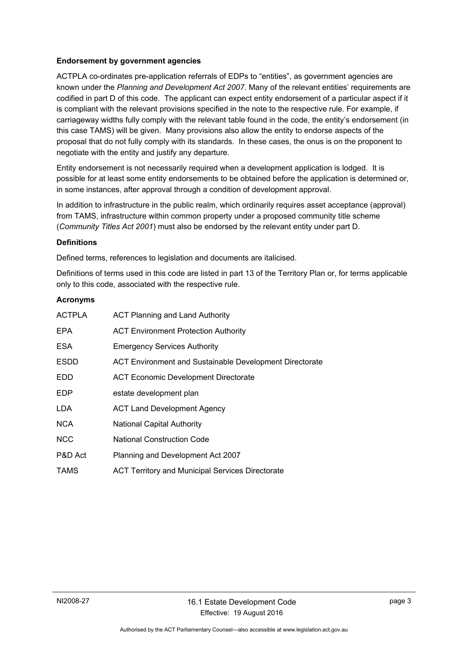### **Endorsement by government agencies**

ACTPLA co-ordinates pre-application referrals of EDPs to "entities", as government agencies are known under the *Planning and Development Act 2007.* Many of the relevant entities' requirements are codified in part D of this code. The applicant can expect entity endorsement of a particular aspect if it is compliant with the relevant provisions specified in the note to the respective rule. For example, if carriageway widths fully comply with the relevant table found in the code, the entity's endorsement (in this case TAMS) will be given. Many provisions also allow the entity to endorse aspects of the proposal that do not fully comply with its standards. In these cases, the onus is on the proponent to negotiate with the entity and justify any departure.

Entity endorsement is not necessarily required when a development application is lodged. It is possible for at least some entity endorsements to be obtained before the application is determined or, in some instances, after approval through a condition of development approval.

In addition to infrastructure in the public realm, which ordinarily requires asset acceptance (approval) from TAMS, infrastructure within common property under a proposed community title scheme (*Community Titles Act 2001*) must also be endorsed by the relevant entity under part D.

### **Definitions**

Defined terms, references to legislation and documents are italicised.

Definitions of terms used in this code are listed in part 13 of the Territory Plan or, for terms applicable only to this code, associated with the respective rule.

### **Acronyms**

| <b>ACTPLA</b> | <b>ACT Planning and Land Authority</b>                  |
|---------------|---------------------------------------------------------|
| <b>EPA</b>    | <b>ACT Environment Protection Authority</b>             |
| <b>ESA</b>    | <b>Emergency Services Authority</b>                     |
| <b>ESDD</b>   | ACT Environment and Sustainable Development Directorate |
| <b>EDD</b>    | <b>ACT Economic Development Directorate</b>             |
| <b>EDP</b>    | estate development plan                                 |
| LDA           | <b>ACT Land Development Agency</b>                      |
| <b>NCA</b>    | <b>National Capital Authority</b>                       |
| <b>NCC</b>    | <b>National Construction Code</b>                       |
| P&D Act       | Planning and Development Act 2007                       |
| <b>TAMS</b>   | <b>ACT Territory and Municipal Services Directorate</b> |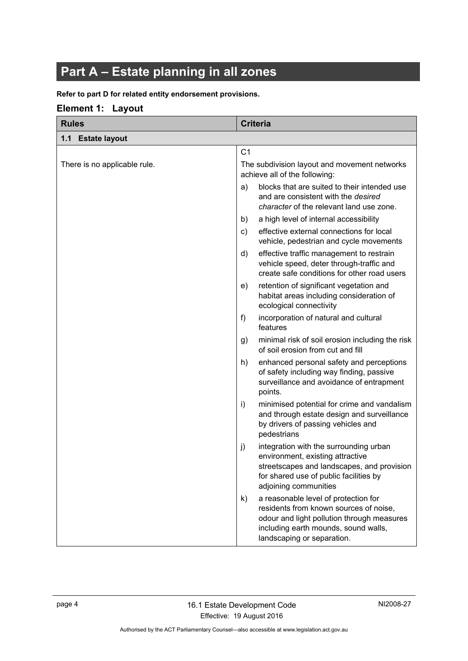# <span id="page-7-0"></span>**Part A – Estate planning in all zones**

### **Refer to part D for related entity endorsement provisions.**

### <span id="page-7-1"></span>**Element 1: Layout**

<span id="page-7-2"></span>

| <b>Rules</b>                 | <b>Criteria</b>                                                                                                                                                                                          |  |
|------------------------------|----------------------------------------------------------------------------------------------------------------------------------------------------------------------------------------------------------|--|
| 1.1<br><b>Estate layout</b>  |                                                                                                                                                                                                          |  |
|                              | C <sub>1</sub>                                                                                                                                                                                           |  |
| There is no applicable rule. | The subdivision layout and movement networks<br>achieve all of the following:                                                                                                                            |  |
|                              | blocks that are suited to their intended use<br>a)<br>and are consistent with the <i>desired</i><br>character of the relevant land use zone.                                                             |  |
|                              | a high level of internal accessibility<br>b)                                                                                                                                                             |  |
|                              | effective external connections for local<br>c)<br>vehicle, pedestrian and cycle movements                                                                                                                |  |
|                              | effective traffic management to restrain<br>d)<br>vehicle speed, deter through-traffic and<br>create safe conditions for other road users                                                                |  |
|                              | retention of significant vegetation and<br>e)<br>habitat areas including consideration of<br>ecological connectivity                                                                                     |  |
|                              | f<br>incorporation of natural and cultural<br>features                                                                                                                                                   |  |
|                              | minimal risk of soil erosion including the risk<br>g)<br>of soil erosion from cut and fill                                                                                                               |  |
|                              | enhanced personal safety and perceptions<br>h)<br>of safety including way finding, passive<br>surveillance and avoidance of entrapment<br>points.                                                        |  |
|                              | minimised potential for crime and vandalism<br>i)<br>and through estate design and surveillance<br>by drivers of passing vehicles and<br>pedestrians                                                     |  |
|                              | integration with the surrounding urban<br>j)<br>environment, existing attractive<br>streetscapes and landscapes, and provision<br>for shared use of public facilities by<br>adjoining communities        |  |
|                              | a reasonable level of protection for<br>k)<br>residents from known sources of noise,<br>odour and light pollution through measures<br>including earth mounds, sound walls,<br>landscaping or separation. |  |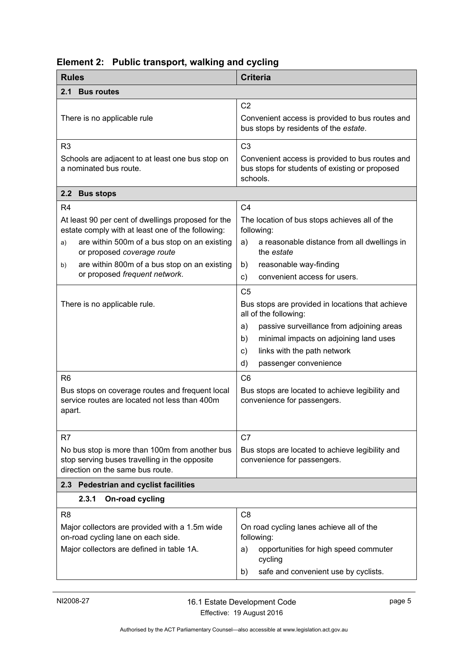<span id="page-8-3"></span><span id="page-8-2"></span><span id="page-8-1"></span>

| <b>Rules</b>                                                                                                                                          | <b>Criteria</b>                                                                                                                                                                                                                                                    |  |  |
|-------------------------------------------------------------------------------------------------------------------------------------------------------|--------------------------------------------------------------------------------------------------------------------------------------------------------------------------------------------------------------------------------------------------------------------|--|--|
| <b>Bus routes</b><br>2.1                                                                                                                              |                                                                                                                                                                                                                                                                    |  |  |
| There is no applicable rule                                                                                                                           | C <sub>2</sub><br>Convenient access is provided to bus routes and<br>bus stops by residents of the estate.                                                                                                                                                         |  |  |
| R <sub>3</sub>                                                                                                                                        | C <sub>3</sub>                                                                                                                                                                                                                                                     |  |  |
| Schools are adjacent to at least one bus stop on<br>a nominated bus route.                                                                            | Convenient access is provided to bus routes and<br>bus stops for students of existing or proposed<br>schools.                                                                                                                                                      |  |  |
| 2.2 Bus stops                                                                                                                                         |                                                                                                                                                                                                                                                                    |  |  |
| R <sub>4</sub>                                                                                                                                        | C <sub>4</sub>                                                                                                                                                                                                                                                     |  |  |
| At least 90 per cent of dwellings proposed for the<br>estate comply with at least one of the following:                                               | The location of bus stops achieves all of the<br>following:                                                                                                                                                                                                        |  |  |
| are within 500m of a bus stop on an existing<br>a)<br>or proposed coverage route                                                                      | a reasonable distance from all dwellings in<br>a)<br>the <i>estate</i>                                                                                                                                                                                             |  |  |
| are within 800m of a bus stop on an existing<br>b)                                                                                                    | reasonable way-finding<br>b)                                                                                                                                                                                                                                       |  |  |
| or proposed frequent network.                                                                                                                         | convenient access for users.<br>c)                                                                                                                                                                                                                                 |  |  |
| There is no applicable rule.                                                                                                                          | C <sub>5</sub><br>Bus stops are provided in locations that achieve<br>all of the following:<br>passive surveillance from adjoining areas<br>a)<br>minimal impacts on adjoining land uses<br>b)<br>links with the path network<br>c)<br>d)<br>passenger convenience |  |  |
| R <sub>6</sub><br>Bus stops on coverage routes and frequent local<br>service routes are located not less than 400m<br>apart.                          | C <sub>6</sub><br>Bus stops are located to achieve legibility and<br>convenience for passengers.                                                                                                                                                                   |  |  |
| R <sub>7</sub><br>No bus stop is more than 100m from another bus<br>stop serving buses travelling in the opposite<br>direction on the same bus route. | C7<br>Bus stops are located to achieve legibility and<br>convenience for passengers.                                                                                                                                                                               |  |  |
| 2.3 Pedestrian and cyclist facilities                                                                                                                 |                                                                                                                                                                                                                                                                    |  |  |
| 2.3.1<br>On-road cycling                                                                                                                              |                                                                                                                                                                                                                                                                    |  |  |
| R <sub>8</sub><br>Major collectors are provided with a 1.5m wide<br>on-road cycling lane on each side.<br>Major collectors are defined in table 1A.   | C <sub>8</sub><br>On road cycling lanes achieve all of the<br>following:<br>opportunities for high speed commuter<br>a)<br>cycling<br>safe and convenient use by cyclists.<br>b)                                                                                   |  |  |

# <span id="page-8-0"></span>**Element 2: Public transport, walking and cycling**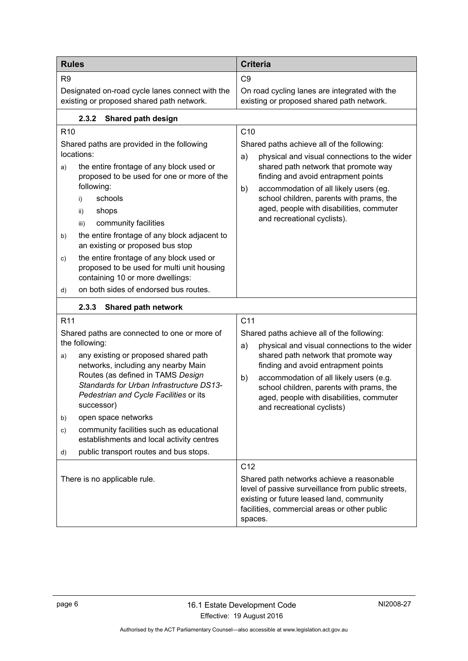| <b>Rules</b>                                                                                                                                                                                                                                                                                                                                                                                                                                                                                | <b>Criteria</b>                                                                                                                                                                                                                                                                                                                                                           |  |
|---------------------------------------------------------------------------------------------------------------------------------------------------------------------------------------------------------------------------------------------------------------------------------------------------------------------------------------------------------------------------------------------------------------------------------------------------------------------------------------------|---------------------------------------------------------------------------------------------------------------------------------------------------------------------------------------------------------------------------------------------------------------------------------------------------------------------------------------------------------------------------|--|
| R <sub>9</sub>                                                                                                                                                                                                                                                                                                                                                                                                                                                                              | C <sub>9</sub>                                                                                                                                                                                                                                                                                                                                                            |  |
| Designated on-road cycle lanes connect with the<br>existing or proposed shared path network.                                                                                                                                                                                                                                                                                                                                                                                                | On road cycling lanes are integrated with the<br>existing or proposed shared path network.                                                                                                                                                                                                                                                                                |  |
| 2.3.2<br>Shared path design                                                                                                                                                                                                                                                                                                                                                                                                                                                                 |                                                                                                                                                                                                                                                                                                                                                                           |  |
| R <sub>10</sub><br>Shared paths are provided in the following<br>locations:<br>the entire frontage of any block used or<br>a)<br>proposed to be used for one or more of the<br>following:<br>schools<br>i)<br>shops<br>ii)<br>community facilities<br>iii)<br>the entire frontage of any block adjacent to<br>b)<br>an existing or proposed bus stop<br>the entire frontage of any block used or<br>C)<br>proposed to be used for multi unit housing                                        | C <sub>10</sub><br>Shared paths achieve all of the following:<br>physical and visual connections to the wider<br>a)<br>shared path network that promote way<br>finding and avoid entrapment points<br>accommodation of all likely users (eg.<br>b)<br>school children, parents with prams, the<br>aged, people with disabilities, commuter<br>and recreational cyclists). |  |
| containing 10 or more dwellings:<br>on both sides of endorsed bus routes.<br>d)                                                                                                                                                                                                                                                                                                                                                                                                             |                                                                                                                                                                                                                                                                                                                                                                           |  |
| 2.3.3<br>Shared path network                                                                                                                                                                                                                                                                                                                                                                                                                                                                |                                                                                                                                                                                                                                                                                                                                                                           |  |
| R <sub>11</sub><br>Shared paths are connected to one or more of<br>the following:<br>any existing or proposed shared path<br>a)<br>networks, including any nearby Main<br>Routes (as defined in TAMS Design<br>Standards for Urban Infrastructure DS13-<br>Pedestrian and Cycle Facilities or its<br>successor)<br>open space networks<br>b)<br>community facilities such as educational<br>C)<br>establishments and local activity centres<br>public transport routes and bus stops.<br>d) | C <sub>11</sub><br>Shared paths achieve all of the following:<br>physical and visual connections to the wider<br>a)<br>shared path network that promote way<br>finding and avoid entrapment points<br>accommodation of all likely users (e.g.<br>b)<br>school children, parents with prams, the<br>aged, people with disabilities, commuter<br>and recreational cyclists) |  |
| There is no applicable rule.                                                                                                                                                                                                                                                                                                                                                                                                                                                                | C <sub>12</sub><br>Shared path networks achieve a reasonable<br>level of passive surveillance from public streets,<br>existing or future leased land, community<br>facilities, commercial areas or other public<br>spaces.                                                                                                                                                |  |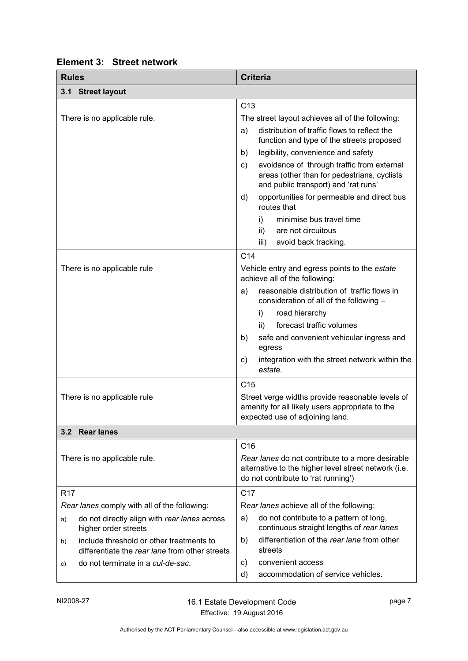<span id="page-10-2"></span><span id="page-10-1"></span>

| <b>Rules</b>                                                                                     | <b>Criteria</b>                                                                                                                                 |  |  |
|--------------------------------------------------------------------------------------------------|-------------------------------------------------------------------------------------------------------------------------------------------------|--|--|
| 3.1 Street layout                                                                                |                                                                                                                                                 |  |  |
|                                                                                                  | C <sub>13</sub>                                                                                                                                 |  |  |
| There is no applicable rule.                                                                     | The street layout achieves all of the following:                                                                                                |  |  |
|                                                                                                  | distribution of traffic flows to reflect the<br>a)<br>function and type of the streets proposed                                                 |  |  |
|                                                                                                  | legibility, convenience and safety<br>b)                                                                                                        |  |  |
|                                                                                                  | avoidance of through traffic from external<br>c)<br>areas (other than for pedestrians, cyclists<br>and public transport) and 'rat runs'         |  |  |
|                                                                                                  | opportunities for permeable and direct bus<br>d)<br>routes that                                                                                 |  |  |
|                                                                                                  | minimise bus travel time<br>i)                                                                                                                  |  |  |
|                                                                                                  | ii)<br>are not circuitous                                                                                                                       |  |  |
|                                                                                                  | avoid back tracking.<br>iii)                                                                                                                    |  |  |
|                                                                                                  | C <sub>14</sub>                                                                                                                                 |  |  |
| There is no applicable rule                                                                      | Vehicle entry and egress points to the estate<br>achieve all of the following:                                                                  |  |  |
|                                                                                                  | reasonable distribution of traffic flows in<br>a)<br>consideration of all of the following -                                                    |  |  |
|                                                                                                  | i)<br>road hierarchy                                                                                                                            |  |  |
|                                                                                                  | forecast traffic volumes<br>ii)                                                                                                                 |  |  |
|                                                                                                  | safe and convenient vehicular ingress and<br>b)<br>egress                                                                                       |  |  |
|                                                                                                  | integration with the street network within the<br>C)<br>estate.                                                                                 |  |  |
|                                                                                                  | C <sub>15</sub>                                                                                                                                 |  |  |
| There is no applicable rule                                                                      | Street verge widths provide reasonable levels of<br>amenity for all likely users appropriate to the<br>expected use of adjoining land.          |  |  |
| 3.2 Rear lanes                                                                                   |                                                                                                                                                 |  |  |
|                                                                                                  | C16                                                                                                                                             |  |  |
| There is no applicable rule.                                                                     | Rear lanes do not contribute to a more desirable<br>alternative to the higher level street network (i.e.<br>do not contribute to 'rat running') |  |  |
| <b>R17</b>                                                                                       | C <sub>17</sub>                                                                                                                                 |  |  |
| Rear lanes comply with all of the following:                                                     | Rear lanes achieve all of the following:                                                                                                        |  |  |
| do not directly align with rear lanes across<br>a)<br>higher order streets                       | do not contribute to a pattern of long,<br>a)<br>continuous straight lengths of rear lanes                                                      |  |  |
| include threshold or other treatments to<br>b)<br>differentiate the rear lane from other streets | differentiation of the rear lane from other<br>b)<br>streets                                                                                    |  |  |
| do not terminate in a cul-de-sac.<br>C)                                                          | convenient access<br>c)                                                                                                                         |  |  |
|                                                                                                  | accommodation of service vehicles.<br>d)                                                                                                        |  |  |

# <span id="page-10-0"></span>**Element 3: Street network**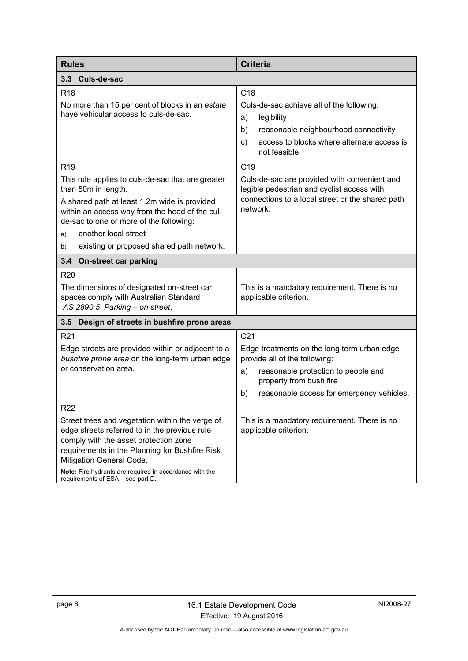<span id="page-11-2"></span><span id="page-11-1"></span><span id="page-11-0"></span>

| <b>Rules</b>                                                                                                                                                                                                                                                                                                            | <b>Criteria</b>                                                                                                                                                                                                 |  |
|-------------------------------------------------------------------------------------------------------------------------------------------------------------------------------------------------------------------------------------------------------------------------------------------------------------------------|-----------------------------------------------------------------------------------------------------------------------------------------------------------------------------------------------------------------|--|
| 3.3 <sub>2</sub><br>Culs-de-sac                                                                                                                                                                                                                                                                                         |                                                                                                                                                                                                                 |  |
| R <sub>18</sub><br>No more than 15 per cent of blocks in an estate<br>have vehicular access to culs-de-sac.                                                                                                                                                                                                             | C <sub>18</sub><br>Culs-de-sac achieve all of the following:<br>a)<br>legibility<br>b)<br>reasonable neighbourhood connectivity<br>access to blocks where alternate access is<br>$\mathsf{c})$<br>not feasible. |  |
| R <sub>19</sub>                                                                                                                                                                                                                                                                                                         | C <sub>19</sub>                                                                                                                                                                                                 |  |
| This rule applies to culs-de-sac that are greater<br>than 50m in length.<br>A shared path at least 1.2m wide is provided<br>within an access way from the head of the cul-<br>de-sac to one or more of the following:                                                                                                   | Culs-de-sac are provided with convenient and<br>legible pedestrian and cyclist access with<br>connections to a local street or the shared path<br>network.                                                      |  |
| another local street<br>a)                                                                                                                                                                                                                                                                                              |                                                                                                                                                                                                                 |  |
| existing or proposed shared path network.<br>b)                                                                                                                                                                                                                                                                         |                                                                                                                                                                                                                 |  |
| 3.4 On-street car parking                                                                                                                                                                                                                                                                                               |                                                                                                                                                                                                                 |  |
| <b>R20</b><br>The dimensions of designated on-street car<br>spaces comply with Australian Standard<br>AS 2890.5 Parking - on street.                                                                                                                                                                                    | This is a mandatory requirement. There is no<br>applicable criterion.                                                                                                                                           |  |
| 3.5<br>Design of streets in bushfire prone areas                                                                                                                                                                                                                                                                        |                                                                                                                                                                                                                 |  |
| R <sub>21</sub>                                                                                                                                                                                                                                                                                                         | C <sub>21</sub>                                                                                                                                                                                                 |  |
| Edge streets are provided within or adjacent to a<br>bushfire prone area on the long-term urban edge<br>or conservation area.                                                                                                                                                                                           | Edge treatments on the long term urban edge<br>provide all of the following:<br>reasonable protection to people and<br>a)<br>property from bush fire<br>reasonable access for emergency vehicles.<br>b)         |  |
| R <sub>22</sub>                                                                                                                                                                                                                                                                                                         |                                                                                                                                                                                                                 |  |
| Street trees and vegetation within the verge of<br>edge streets referred to in the previous rule<br>comply with the asset protection zone<br>requirements in the Planning for Bushfire Risk<br>Mitigation General Code.<br>Note: Fire hydrants are required in accordance with the<br>requirements of ESA - see part D. | This is a mandatory requirement. There is no<br>applicable criterion.                                                                                                                                           |  |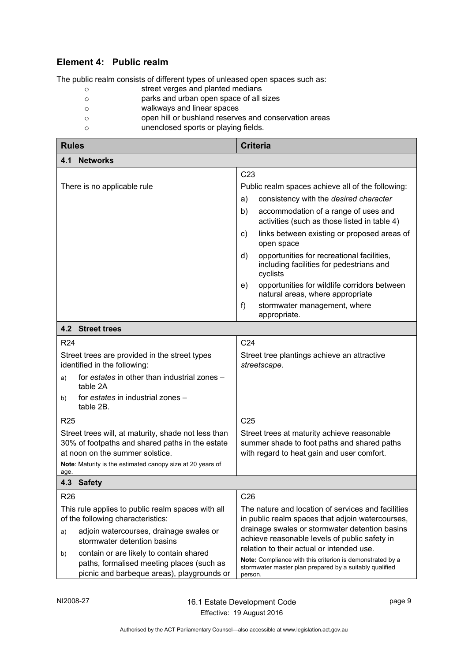# <span id="page-12-0"></span>**Element 4: Public realm**

The public realm consists of different types of unleased open spaces such as:

- o street verges and planted medians
- o parks and urban open space of all sizes
- o walkways and linear spaces
- o open hill or bushland reserves and conservation areas
- o unenclosed sports or playing fields.

<span id="page-12-3"></span><span id="page-12-2"></span><span id="page-12-1"></span>

| <b>Rules</b>                                                                           |                                                                                                                                    | <b>Criteria</b>                                             |                                                                                                                                                                   |  |
|----------------------------------------------------------------------------------------|------------------------------------------------------------------------------------------------------------------------------------|-------------------------------------------------------------|-------------------------------------------------------------------------------------------------------------------------------------------------------------------|--|
| 4.1<br><b>Networks</b>                                                                 |                                                                                                                                    |                                                             |                                                                                                                                                                   |  |
|                                                                                        |                                                                                                                                    | C <sub>23</sub>                                             |                                                                                                                                                                   |  |
| There is no applicable rule                                                            |                                                                                                                                    | Public realm spaces achieve all of the following:           |                                                                                                                                                                   |  |
|                                                                                        |                                                                                                                                    | a)                                                          | consistency with the desired character                                                                                                                            |  |
|                                                                                        |                                                                                                                                    | b)                                                          | accommodation of a range of uses and<br>activities (such as those listed in table 4)                                                                              |  |
|                                                                                        |                                                                                                                                    | C)                                                          | links between existing or proposed areas of<br>open space                                                                                                         |  |
|                                                                                        |                                                                                                                                    | d)                                                          | opportunities for recreational facilities,<br>including facilities for pedestrians and<br>cyclists                                                                |  |
|                                                                                        |                                                                                                                                    | e)                                                          | opportunities for wildlife corridors between<br>natural areas, where appropriate                                                                                  |  |
|                                                                                        |                                                                                                                                    | f)                                                          | stormwater management, where<br>appropriate.                                                                                                                      |  |
|                                                                                        | 4.2 Street trees                                                                                                                   |                                                             |                                                                                                                                                                   |  |
| R <sub>24</sub>                                                                        |                                                                                                                                    | C <sub>24</sub>                                             |                                                                                                                                                                   |  |
|                                                                                        | Street trees are provided in the street types<br>identified in the following:                                                      | Street tree plantings achieve an attractive<br>streetscape. |                                                                                                                                                                   |  |
| a)                                                                                     | for estates in other than industrial zones -<br>table 2A                                                                           |                                                             |                                                                                                                                                                   |  |
| for estates in industrial zones -<br>b)<br>table 2B.                                   |                                                                                                                                    |                                                             |                                                                                                                                                                   |  |
| <b>R25</b>                                                                             |                                                                                                                                    | C <sub>25</sub>                                             |                                                                                                                                                                   |  |
| Street trees will, at maturity, shade not less than                                    |                                                                                                                                    | Street trees at maturity achieve reasonable                 |                                                                                                                                                                   |  |
| 30% of footpaths and shared paths in the estate<br>at noon on the summer solstice.     |                                                                                                                                    |                                                             | summer shade to foot paths and shared paths<br>with regard to heat gain and user comfort.                                                                         |  |
|                                                                                        | Note: Maturity is the estimated canopy size at 20 years of                                                                         |                                                             |                                                                                                                                                                   |  |
| age.                                                                                   |                                                                                                                                    |                                                             |                                                                                                                                                                   |  |
|                                                                                        | 4.3 Safety                                                                                                                         |                                                             |                                                                                                                                                                   |  |
| <b>R26</b>                                                                             |                                                                                                                                    | C <sub>26</sub>                                             |                                                                                                                                                                   |  |
| This rule applies to public realm spaces with all<br>of the following characteristics: |                                                                                                                                    |                                                             | The nature and location of services and facilities<br>in public realm spaces that adjoin watercourses,                                                            |  |
| a)                                                                                     | adjoin watercourses, drainage swales or<br>stormwater detention basins                                                             |                                                             | drainage swales or stormwater detention basins<br>achieve reasonable levels of public safety in                                                                   |  |
| b)                                                                                     | contain or are likely to contain shared<br>paths, formalised meeting places (such as<br>picnic and barbeque areas), playgrounds or | person.                                                     | relation to their actual or intended use.<br>Note: Compliance with this criterion is demonstrated by a<br>stormwater master plan prepared by a suitably qualified |  |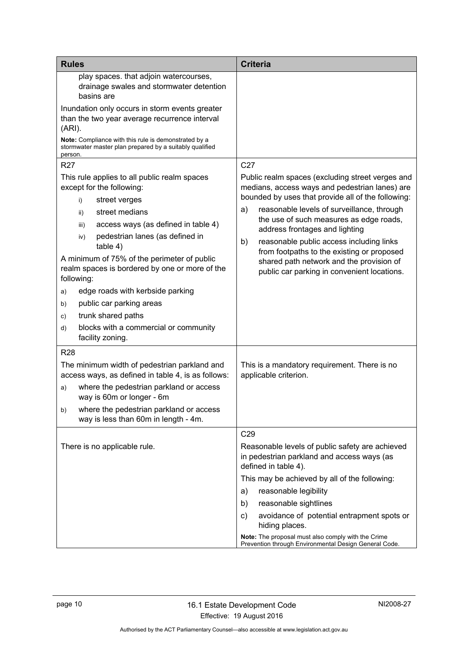| <b>Rules</b>                                                                                                                                                                                                                                                                                                                                                                                                                                                                                                             | <b>Criteria</b>                                                                                                                                                                                                                                                                                                                                                                                                                                                                      |
|--------------------------------------------------------------------------------------------------------------------------------------------------------------------------------------------------------------------------------------------------------------------------------------------------------------------------------------------------------------------------------------------------------------------------------------------------------------------------------------------------------------------------|--------------------------------------------------------------------------------------------------------------------------------------------------------------------------------------------------------------------------------------------------------------------------------------------------------------------------------------------------------------------------------------------------------------------------------------------------------------------------------------|
| play spaces. that adjoin watercourses,<br>drainage swales and stormwater detention<br>basins are<br>Inundation only occurs in storm events greater<br>than the two year average recurrence interval<br>(ARI).<br>Note: Compliance with this rule is demonstrated by a<br>stormwater master plan prepared by a suitably qualified<br>person.<br><b>R27</b>                                                                                                                                                                | C <sub>27</sub>                                                                                                                                                                                                                                                                                                                                                                                                                                                                      |
| This rule applies to all public realm spaces<br>except for the following:<br>street verges<br>i)<br>street medians<br>ii)<br>access ways (as defined in table 4)<br>iii)<br>pedestrian lanes (as defined in<br>iv)<br>table 4)<br>A minimum of 75% of the perimeter of public<br>realm spaces is bordered by one or more of the<br>following:<br>edge roads with kerbside parking<br>a)<br>public car parking areas<br>b)<br>trunk shared paths<br>C)<br>blocks with a commercial or community<br>d)<br>facility zoning. | Public realm spaces (excluding street verges and<br>medians, access ways and pedestrian lanes) are<br>bounded by uses that provide all of the following:<br>reasonable levels of surveillance, through<br>a)<br>the use of such measures as edge roads,<br>address frontages and lighting<br>reasonable public access including links<br>b)<br>from footpaths to the existing or proposed<br>shared path network and the provision of<br>public car parking in convenient locations. |
| <b>R28</b><br>The minimum width of pedestrian parkland and<br>access ways, as defined in table 4, is as follows:<br>where the pedestrian parkland or access<br>a)<br>way is 60m or longer - 6m<br>where the pedestrian parkland or access<br>b)<br>way is less than 60m in length - 4m.                                                                                                                                                                                                                                  | This is a mandatory requirement. There is no<br>applicable criterion.                                                                                                                                                                                                                                                                                                                                                                                                                |
| There is no applicable rule.                                                                                                                                                                                                                                                                                                                                                                                                                                                                                             | C29<br>Reasonable levels of public safety are achieved<br>in pedestrian parkland and access ways (as<br>defined in table 4).<br>This may be achieved by all of the following:<br>reasonable legibility<br>a)<br>reasonable sightlines<br>b)<br>avoidance of potential entrapment spots or<br>C)<br>hiding places.<br>Note: The proposal must also comply with the Crime<br>Prevention through Environmental Design General Code.                                                     |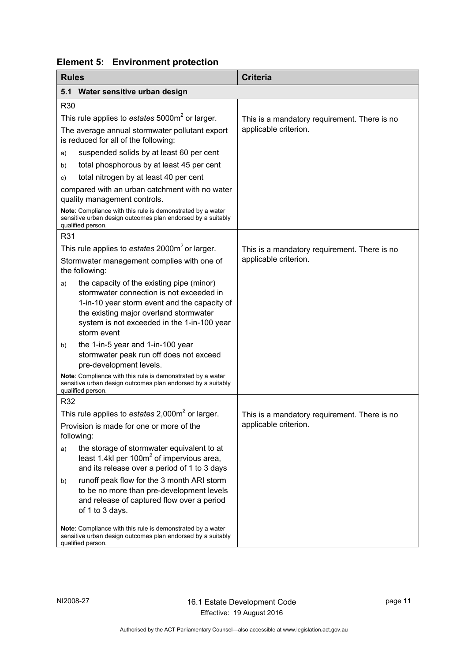|  | <b>Element 5: Environment protection</b> |
|--|------------------------------------------|
|--|------------------------------------------|

<span id="page-14-1"></span><span id="page-14-0"></span>

| <b>Rules</b>                                                                           |                                                                                                                                                                                                                                               | <b>Criteria</b>                              |
|----------------------------------------------------------------------------------------|-----------------------------------------------------------------------------------------------------------------------------------------------------------------------------------------------------------------------------------------------|----------------------------------------------|
| 5.1                                                                                    | Water sensitive urban design                                                                                                                                                                                                                  |                                              |
| <b>R30</b>                                                                             |                                                                                                                                                                                                                                               |                                              |
|                                                                                        | This rule applies to estates 5000m <sup>2</sup> or larger.                                                                                                                                                                                    | This is a mandatory requirement. There is no |
| The average annual stormwater pollutant export<br>is reduced for all of the following: |                                                                                                                                                                                                                                               | applicable criterion.                        |
| a)                                                                                     | suspended solids by at least 60 per cent                                                                                                                                                                                                      |                                              |
| b)                                                                                     | total phosphorous by at least 45 per cent                                                                                                                                                                                                     |                                              |
| C)                                                                                     | total nitrogen by at least 40 per cent                                                                                                                                                                                                        |                                              |
|                                                                                        | compared with an urban catchment with no water<br>quality management controls.                                                                                                                                                                |                                              |
|                                                                                        | Note: Compliance with this rule is demonstrated by a water<br>sensitive urban design outcomes plan endorsed by a suitably<br>qualified person.                                                                                                |                                              |
| R31                                                                                    |                                                                                                                                                                                                                                               |                                              |
|                                                                                        | This rule applies to estates 2000m <sup>2</sup> or larger.                                                                                                                                                                                    | This is a mandatory requirement. There is no |
|                                                                                        | Stormwater management complies with one of<br>the following:                                                                                                                                                                                  | applicable criterion.                        |
| a)                                                                                     | the capacity of the existing pipe (minor)<br>stormwater connection is not exceeded in<br>1-in-10 year storm event and the capacity of<br>the existing major overland stormwater<br>system is not exceeded in the 1-in-100 year<br>storm event |                                              |
| b)                                                                                     | the 1-in-5 year and 1-in-100 year<br>stormwater peak run off does not exceed<br>pre-development levels.                                                                                                                                       |                                              |
|                                                                                        | Note: Compliance with this rule is demonstrated by a water<br>sensitive urban design outcomes plan endorsed by a suitably<br>qualified person.                                                                                                |                                              |
| R32                                                                                    |                                                                                                                                                                                                                                               |                                              |
|                                                                                        | This rule applies to estates $2,000m^2$ or larger.                                                                                                                                                                                            | This is a mandatory requirement. There is no |
|                                                                                        | Provision is made for one or more of the<br>following:                                                                                                                                                                                        | applicable criterion.                        |
| a)                                                                                     | the storage of stormwater equivalent to at<br>least 1.4kl per 100 $m2$ of impervious area,<br>and its release over a period of 1 to 3 days                                                                                                    |                                              |
| b)                                                                                     | runoff peak flow for the 3 month ARI storm<br>to be no more than pre-development levels<br>and release of captured flow over a period<br>of 1 to 3 days.                                                                                      |                                              |
|                                                                                        | Note: Compliance with this rule is demonstrated by a water<br>sensitive urban design outcomes plan endorsed by a suitably<br>qualified person.                                                                                                |                                              |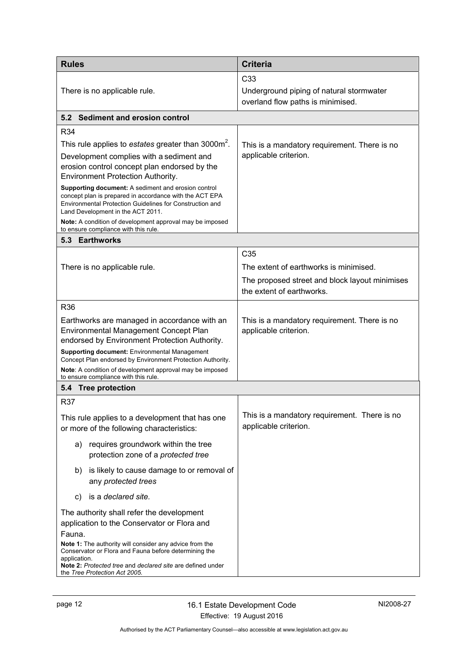<span id="page-15-2"></span><span id="page-15-1"></span><span id="page-15-0"></span>

| <b>Rules</b>                                                                                                                                                                                                    | <b>Criteria</b>                                                               |
|-----------------------------------------------------------------------------------------------------------------------------------------------------------------------------------------------------------------|-------------------------------------------------------------------------------|
|                                                                                                                                                                                                                 | C <sub>33</sub>                                                               |
| There is no applicable rule.                                                                                                                                                                                    | Underground piping of natural stormwater<br>overland flow paths is minimised. |
| 5.2 Sediment and erosion control                                                                                                                                                                                |                                                                               |
| R34                                                                                                                                                                                                             |                                                                               |
| This rule applies to estates greater than 3000m <sup>2</sup> .                                                                                                                                                  | This is a mandatory requirement. There is no                                  |
| Development complies with a sediment and<br>erosion control concept plan endorsed by the<br>Environment Protection Authority.                                                                                   | applicable criterion.                                                         |
| Supporting document: A sediment and erosion control<br>concept plan is prepared in accordance with the ACT EPA<br>Environmental Protection Guidelines for Construction and<br>Land Development in the ACT 2011. |                                                                               |
| Note: A condition of development approval may be imposed<br>to ensure compliance with this rule.                                                                                                                |                                                                               |
| 5.3 Earthworks                                                                                                                                                                                                  |                                                                               |
|                                                                                                                                                                                                                 | C <sub>35</sub>                                                               |
| There is no applicable rule.                                                                                                                                                                                    | The extent of earthworks is minimised.                                        |
|                                                                                                                                                                                                                 | The proposed street and block layout minimises<br>the extent of earthworks.   |
| <b>R36</b>                                                                                                                                                                                                      |                                                                               |
| Earthworks are managed in accordance with an<br><b>Environmental Management Concept Plan</b><br>endorsed by Environment Protection Authority.                                                                   | This is a mandatory requirement. There is no<br>applicable criterion.         |
| <b>Supporting document:</b> Environmental Management<br>Concept Plan endorsed by Environment Protection Authority.                                                                                              |                                                                               |
| Note: A condition of development approval may be imposed<br>to ensure compliance with this rule.                                                                                                                |                                                                               |
| 5.4 Tree protection                                                                                                                                                                                             |                                                                               |
| <b>R37</b>                                                                                                                                                                                                      |                                                                               |
| This rule applies to a development that has one<br>or more of the following characteristics:                                                                                                                    | This is a mandatory requirement. There is no<br>applicable criterion.         |
| requires groundwork within the tree<br>a)<br>protection zone of a protected tree                                                                                                                                |                                                                               |
| is likely to cause damage to or removal of<br>b)<br>any protected trees                                                                                                                                         |                                                                               |
| is a declared site.<br>C)                                                                                                                                                                                       |                                                                               |
| The authority shall refer the development<br>application to the Conservator or Flora and<br>Fauna.                                                                                                              |                                                                               |
| Note 1: The authority will consider any advice from the<br>Conservator or Flora and Fauna before determining the<br>application.<br>Note 2: Protected tree and declared site are defined under                  |                                                                               |
| the Tree Protection Act 2005.                                                                                                                                                                                   |                                                                               |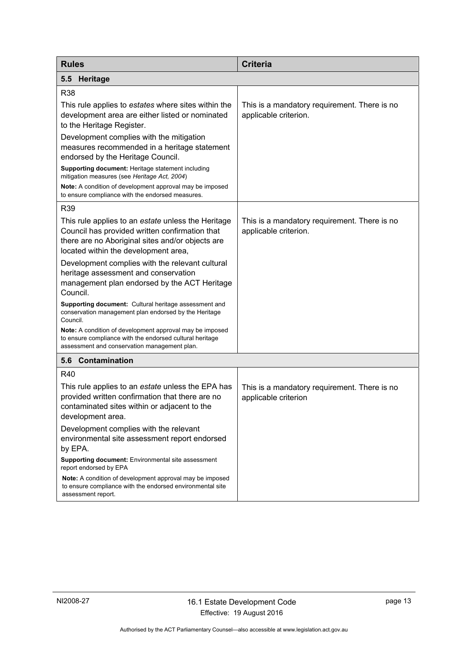<span id="page-16-1"></span><span id="page-16-0"></span>

| <b>Rules</b>                                                                                                                                                                                     | <b>Criteria</b>                                                       |
|--------------------------------------------------------------------------------------------------------------------------------------------------------------------------------------------------|-----------------------------------------------------------------------|
| <b>Heritage</b><br>5.5                                                                                                                                                                           |                                                                       |
| R38                                                                                                                                                                                              |                                                                       |
| This rule applies to estates where sites within the<br>development area are either listed or nominated<br>to the Heritage Register.                                                              | This is a mandatory requirement. There is no<br>applicable criterion. |
| Development complies with the mitigation<br>measures recommended in a heritage statement<br>endorsed by the Heritage Council.                                                                    |                                                                       |
| Supporting document: Heritage statement including<br>mitigation measures (see Heritage Act, 2004)                                                                                                |                                                                       |
| <b>Note:</b> A condition of development approval may be imposed<br>to ensure compliance with the endorsed measures.                                                                              |                                                                       |
| R39                                                                                                                                                                                              |                                                                       |
| This rule applies to an estate unless the Heritage<br>Council has provided written confirmation that<br>there are no Aboriginal sites and/or objects are<br>located within the development area, | This is a mandatory requirement. There is no<br>applicable criterion. |
| Development complies with the relevant cultural<br>heritage assessment and conservation<br>management plan endorsed by the ACT Heritage<br>Council.                                              |                                                                       |
| <b>Supporting document:</b> Cultural heritage assessment and<br>conservation management plan endorsed by the Heritage<br>Council.                                                                |                                                                       |
| Note: A condition of development approval may be imposed<br>to ensure compliance with the endorsed cultural heritage<br>assessment and conservation management plan.                             |                                                                       |
| 5.6 Contamination                                                                                                                                                                                |                                                                       |
| R40                                                                                                                                                                                              |                                                                       |
| This rule applies to an estate unless the EPA has<br>provided written confirmation that there are no<br>contaminated sites within or adjacent to the<br>development area.                        | This is a mandatory requirement. There is no<br>applicable criterion  |
| Development complies with the relevant<br>environmental site assessment report endorsed<br>by EPA.                                                                                               |                                                                       |
| Supporting document: Environmental site assessment<br>report endorsed by EPA                                                                                                                     |                                                                       |
| Note: A condition of development approval may be imposed<br>to ensure compliance with the endorsed environmental site<br>assessment report.                                                      |                                                                       |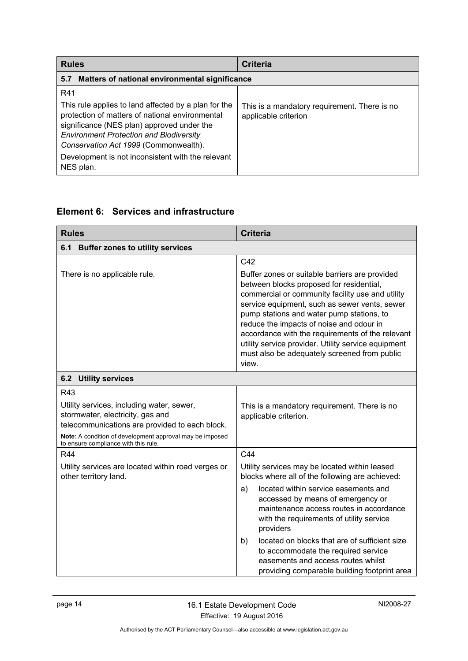<span id="page-17-0"></span>

| <b>Rules</b>                                                                                                                                                                                                                                                                                                              | <b>Criteria</b>                                                      |  |
|---------------------------------------------------------------------------------------------------------------------------------------------------------------------------------------------------------------------------------------------------------------------------------------------------------------------------|----------------------------------------------------------------------|--|
| Matters of national environmental significance<br>5.7                                                                                                                                                                                                                                                                     |                                                                      |  |
| R41<br>This rule applies to land affected by a plan for the<br>protection of matters of national environmental<br>significance (NES plan) approved under the<br><b>Environment Protection and Biodiversity</b><br>Conservation Act 1999 (Commonwealth).<br>Development is not inconsistent with the relevant<br>NES plan. | This is a mandatory requirement. There is no<br>applicable criterion |  |

# <span id="page-17-1"></span>**Element 6: Services and infrastructure**

<span id="page-17-3"></span><span id="page-17-2"></span>

| <b>Rules</b>                                                                                                                                                                                                                               | <b>Criteria</b>                                                                                                                                                                                                                                                                                                                                                                                                                                                                    |
|--------------------------------------------------------------------------------------------------------------------------------------------------------------------------------------------------------------------------------------------|------------------------------------------------------------------------------------------------------------------------------------------------------------------------------------------------------------------------------------------------------------------------------------------------------------------------------------------------------------------------------------------------------------------------------------------------------------------------------------|
| 6.1<br><b>Buffer zones to utility services</b>                                                                                                                                                                                             |                                                                                                                                                                                                                                                                                                                                                                                                                                                                                    |
| There is no applicable rule.                                                                                                                                                                                                               | C42<br>Buffer zones or suitable barriers are provided<br>between blocks proposed for residential,<br>commercial or community facility use and utility<br>service equipment, such as sewer vents, sewer<br>pump stations and water pump stations, to<br>reduce the impacts of noise and odour in<br>accordance with the requirements of the relevant<br>utility service provider. Utility service equipment<br>must also be adequately screened from public<br>view.                |
| <b>6.2 Utility services</b>                                                                                                                                                                                                                |                                                                                                                                                                                                                                                                                                                                                                                                                                                                                    |
| R43<br>Utility services, including water, sewer,<br>stormwater, electricity, gas and<br>telecommunications are provided to each block.<br>Note: A condition of development approval may be imposed<br>to ensure compliance with this rule. | This is a mandatory requirement. There is no<br>applicable criterion.                                                                                                                                                                                                                                                                                                                                                                                                              |
| <b>R44</b><br>Utility services are located within road verges or<br>other territory land.                                                                                                                                                  | C44<br>Utility services may be located within leased<br>blocks where all of the following are achieved:<br>located within service easements and<br>a)<br>accessed by means of emergency or<br>maintenance access routes in accordance<br>with the requirements of utility service<br>providers<br>located on blocks that are of sufficient size<br>b)<br>to accommodate the required service<br>easements and access routes whilst<br>providing comparable building footprint area |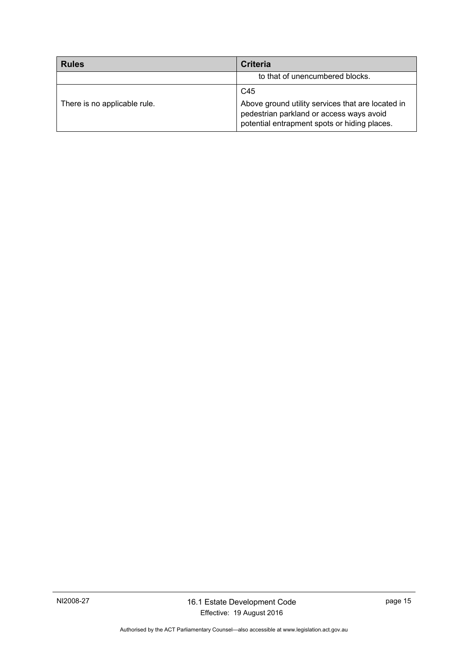| <b>Rules</b>                 | <b>Criteria</b>                                                                                                                                      |
|------------------------------|------------------------------------------------------------------------------------------------------------------------------------------------------|
|                              | to that of unencumbered blocks.                                                                                                                      |
| There is no applicable rule. | C45<br>Above ground utility services that are located in<br>pedestrian parkland or access ways avoid<br>potential entrapment spots or hiding places. |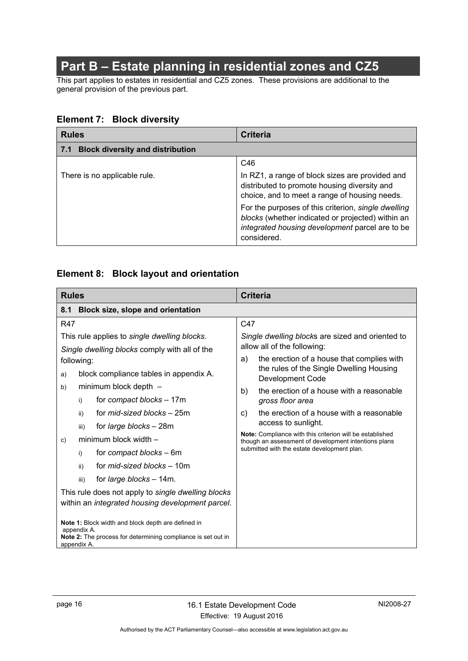# **Part B – Estate planning in residential zones and CZ5**

<span id="page-19-0"></span>This part applies to estates in residential and CZ5 zones. These provisions are additional to the general provision of the previous part.

### <span id="page-19-1"></span>**Element 7: Block diversity**

<span id="page-19-2"></span>

| <b>Rules</b>                                   | <b>Criteria</b>                                                                                                                                                            |
|------------------------------------------------|----------------------------------------------------------------------------------------------------------------------------------------------------------------------------|
| <b>Block diversity and distribution</b><br>7.1 |                                                                                                                                                                            |
|                                                | C46                                                                                                                                                                        |
| There is no applicable rule.                   | In RZ1, a range of block sizes are provided and<br>distributed to promote housing diversity and<br>choice, and to meet a range of housing needs.                           |
|                                                | For the purposes of this criterion, single dwelling<br>blocks (whether indicated or projected) within an<br>integrated housing development parcel are to be<br>considered. |

## <span id="page-19-3"></span>**Element 8: Block layout and orientation**

<span id="page-19-4"></span>

| <b>Rules</b>                                                                                                                                     | <b>Criteria</b>                                                                                                                                                 |
|--------------------------------------------------------------------------------------------------------------------------------------------------|-----------------------------------------------------------------------------------------------------------------------------------------------------------------|
| 8.1<br><b>Block size, slope and orientation</b>                                                                                                  |                                                                                                                                                                 |
| <b>R47</b>                                                                                                                                       | C47                                                                                                                                                             |
| This rule applies to single dwelling blocks.<br>Single dwelling blocks comply with all of the<br>following:                                      | Single dwelling blocks are sized and oriented to<br>allow all of the following:<br>the erection of a house that complies with<br>a)                             |
| block compliance tables in appendix A.<br>a)                                                                                                     | the rules of the Single Dwelling Housing<br>Development Code                                                                                                    |
| minimum block depth -<br>b)<br>for compact blocks - 17m<br>i)                                                                                    | the erection of a house with a reasonable<br>b)<br>gross floor area                                                                                             |
| for <i>mid-sized blocks</i> - 25m<br>ii)<br>for <i>large blocks</i> – 28m<br>iii)                                                                | the erection of a house with a reasonable<br>C)<br>access to sunlight.                                                                                          |
| minimum block width -<br>C)                                                                                                                      | Note: Compliance with this criterion will be established<br>though an assessment of development intentions plans<br>submitted with the estate development plan. |
| for compact blocks – 6m<br>i)<br>for <i>mid-sized blocks</i> – 10m<br>ii)                                                                        |                                                                                                                                                                 |
| for <i>large blocks</i> - 14m.<br>iii)                                                                                                           |                                                                                                                                                                 |
| This rule does not apply to single dwelling blocks<br>within an <i>integrated housing development parcel.</i>                                    |                                                                                                                                                                 |
| Note 1: Block width and block depth are defined in<br>appendix A.<br>Note 2: The process for determining compliance is set out in<br>appendix A. |                                                                                                                                                                 |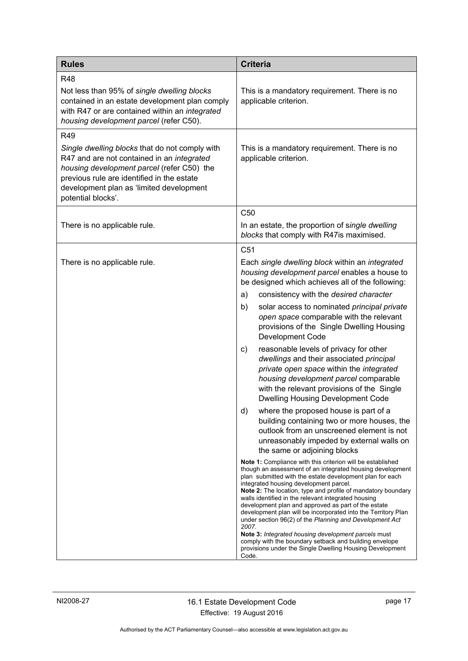| <b>Rules</b>                                                                                                                                                                                                                                                      | <b>Criteria</b>                                                                                                                                                                                                                                                                                                                                                                                                                                                                                                                                                                                                                                                                                                                                                                                                                                                                                                                                                                                                                                                                                                                                                                                                                                                                                                                                                                                                                                                                                                                                                                                                              |
|-------------------------------------------------------------------------------------------------------------------------------------------------------------------------------------------------------------------------------------------------------------------|------------------------------------------------------------------------------------------------------------------------------------------------------------------------------------------------------------------------------------------------------------------------------------------------------------------------------------------------------------------------------------------------------------------------------------------------------------------------------------------------------------------------------------------------------------------------------------------------------------------------------------------------------------------------------------------------------------------------------------------------------------------------------------------------------------------------------------------------------------------------------------------------------------------------------------------------------------------------------------------------------------------------------------------------------------------------------------------------------------------------------------------------------------------------------------------------------------------------------------------------------------------------------------------------------------------------------------------------------------------------------------------------------------------------------------------------------------------------------------------------------------------------------------------------------------------------------------------------------------------------------|
| <b>R48</b><br>Not less than 95% of single dwelling blocks<br>contained in an estate development plan comply<br>with R47 or are contained within an integrated<br>housing development parcel (refer C50).                                                          | This is a mandatory requirement. There is no<br>applicable criterion.                                                                                                                                                                                                                                                                                                                                                                                                                                                                                                                                                                                                                                                                                                                                                                                                                                                                                                                                                                                                                                                                                                                                                                                                                                                                                                                                                                                                                                                                                                                                                        |
| R49<br>Single dwelling blocks that do not comply with<br>R47 and are not contained in an integrated<br>housing development parcel (refer C50) the<br>previous rule are identified in the estate<br>development plan as 'limited development<br>potential blocks'. | This is a mandatory requirement. There is no<br>applicable criterion.                                                                                                                                                                                                                                                                                                                                                                                                                                                                                                                                                                                                                                                                                                                                                                                                                                                                                                                                                                                                                                                                                                                                                                                                                                                                                                                                                                                                                                                                                                                                                        |
| There is no applicable rule.                                                                                                                                                                                                                                      | C <sub>50</sub><br>In an estate, the proportion of single dwelling<br>blocks that comply with R47is maximised.                                                                                                                                                                                                                                                                                                                                                                                                                                                                                                                                                                                                                                                                                                                                                                                                                                                                                                                                                                                                                                                                                                                                                                                                                                                                                                                                                                                                                                                                                                               |
| There is no applicable rule.                                                                                                                                                                                                                                      | C <sub>51</sub><br>Each single dwelling block within an integrated<br>housing development parcel enables a house to<br>be designed which achieves all of the following:<br>consistency with the desired character<br>a)<br>b)<br>solar access to nominated principal private<br>open space comparable with the relevant<br>provisions of the Single Dwelling Housing<br>Development Code<br>reasonable levels of privacy for other<br>C)<br>dwellings and their associated principal<br>private open space within the integrated<br>housing development parcel comparable<br>with the relevant provisions of the Single<br><b>Dwelling Housing Development Code</b><br>d)<br>where the proposed house is part of a<br>building containing two or more houses, the<br>outlook from an unscreened element is not<br>unreasonably impeded by external walls on<br>the same or adjoining blocks<br>Note 1: Compliance with this criterion will be established<br>though an assessment of an integrated housing development<br>plan submitted with the estate development plan for each<br>integrated housing development parcel.<br>Note 2: The location, type and profile of mandatory boundary<br>walls identified in the relevant integrated housing<br>development plan and approved as part of the estate<br>development plan will be incorporated into the Territory Plan<br>under section 96(2) of the Planning and Development Act<br>2007.<br>Note 3: Integrated housing development parcels must<br>comply with the boundary setback and building envelope<br>provisions under the Single Dwelling Housing Development |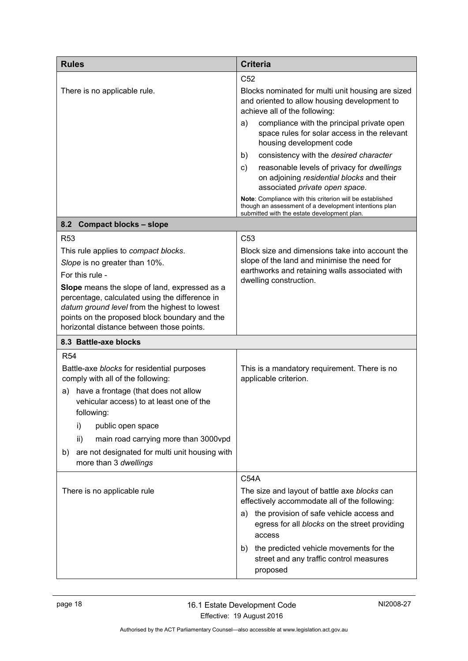<span id="page-21-0"></span>

| <b>Rules</b>                                                                                         | <b>Criteria</b>                                                                                                                                                  |
|------------------------------------------------------------------------------------------------------|------------------------------------------------------------------------------------------------------------------------------------------------------------------|
|                                                                                                      | C <sub>52</sub>                                                                                                                                                  |
| There is no applicable rule.                                                                         | Blocks nominated for multi unit housing are sized<br>and oriented to allow housing development to<br>achieve all of the following:                               |
|                                                                                                      | compliance with the principal private open<br>a)<br>space rules for solar access in the relevant<br>housing development code                                     |
|                                                                                                      | consistency with the desired character<br>b)                                                                                                                     |
|                                                                                                      | reasonable levels of privacy for dwellings<br>C)<br>on adjoining residential blocks and their<br>associated private open space.                                  |
|                                                                                                      | Note: Compliance with this criterion will be established<br>though an assessment of a development intentions plan<br>submitted with the estate development plan. |
| 8.2 Compact blocks - slope                                                                           |                                                                                                                                                                  |
| <b>R53</b>                                                                                           | C <sub>53</sub>                                                                                                                                                  |
| This rule applies to compact blocks.                                                                 | Block size and dimensions take into account the                                                                                                                  |
| Slope is no greater than 10%.                                                                        | slope of the land and minimise the need for<br>earthworks and retaining walls associated with                                                                    |
| For this rule -                                                                                      | dwelling construction.                                                                                                                                           |
| Slope means the slope of land, expressed as a<br>percentage, calculated using the difference in      |                                                                                                                                                                  |
| datum ground level from the highest to lowest                                                        |                                                                                                                                                                  |
| points on the proposed block boundary and the<br>horizontal distance between those points.           |                                                                                                                                                                  |
| 8.3 Battle-axe blocks                                                                                |                                                                                                                                                                  |
| <b>R54</b>                                                                                           |                                                                                                                                                                  |
| Battle-axe blocks for residential purposes<br>comply with all of the following:                      | This is a mandatory requirement. There is no<br>applicable criterion.                                                                                            |
| have a frontage (that does not allow<br>a)<br>vehicular access) to at least one of the<br>following: |                                                                                                                                                                  |
| i)<br>public open space                                                                              |                                                                                                                                                                  |
| main road carrying more than 3000vpd<br>ii)                                                          |                                                                                                                                                                  |
| are not designated for multi unit housing with<br>b)<br>more than 3 dwellings                        |                                                                                                                                                                  |
|                                                                                                      | <b>C54A</b>                                                                                                                                                      |
| There is no applicable rule                                                                          | The size and layout of battle axe blocks can<br>effectively accommodate all of the following:                                                                    |
|                                                                                                      | the provision of safe vehicle access and<br>a)<br>egress for all blocks on the street providing<br>access                                                        |
|                                                                                                      | the predicted vehicle movements for the<br>b)<br>street and any traffic control measures<br>proposed                                                             |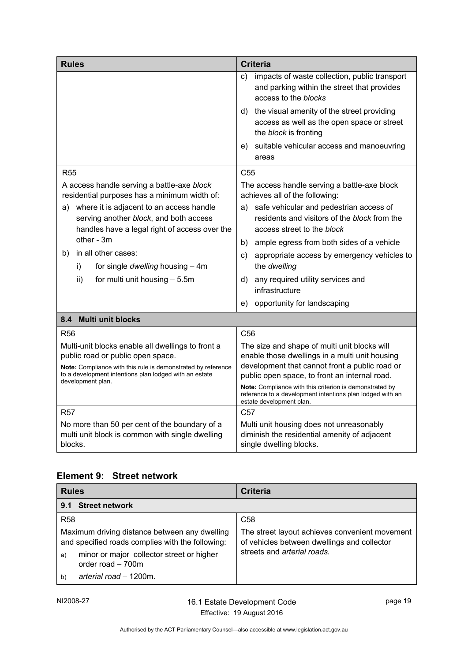| <b>Rules</b>                                                                                                                                                                                                                          | <b>Criteria</b>                                                                                                                                                                                                                                                                                                                                       |
|---------------------------------------------------------------------------------------------------------------------------------------------------------------------------------------------------------------------------------------|-------------------------------------------------------------------------------------------------------------------------------------------------------------------------------------------------------------------------------------------------------------------------------------------------------------------------------------------------------|
|                                                                                                                                                                                                                                       | impacts of waste collection, public transport<br>C)<br>and parking within the street that provides<br>access to the blocks                                                                                                                                                                                                                            |
|                                                                                                                                                                                                                                       | d) the visual amenity of the street providing<br>access as well as the open space or street<br>the block is fronting                                                                                                                                                                                                                                  |
|                                                                                                                                                                                                                                       | suitable vehicular access and manoeuvring<br>e)<br>areas                                                                                                                                                                                                                                                                                              |
| <b>R55</b>                                                                                                                                                                                                                            | C <sub>55</sub>                                                                                                                                                                                                                                                                                                                                       |
| A access handle serving a battle-axe block<br>residential purposes has a minimum width of:                                                                                                                                            | The access handle serving a battle-axe block<br>achieves all of the following:                                                                                                                                                                                                                                                                        |
| where it is adjacent to an access handle<br>a)<br>serving another block, and both access<br>handles have a legal right of access over the                                                                                             | safe vehicular and pedestrian access of<br>a)<br>residents and visitors of the block from the<br>access street to the block                                                                                                                                                                                                                           |
| other - 3m                                                                                                                                                                                                                            | ample egress from both sides of a vehicle<br>b)                                                                                                                                                                                                                                                                                                       |
| in all other cases:<br>b)<br>for single dwelling housing - 4m<br>i)                                                                                                                                                                   | appropriate access by emergency vehicles to<br>C)<br>the dwelling                                                                                                                                                                                                                                                                                     |
| for multi unit housing - 5.5m<br>ii)                                                                                                                                                                                                  | any required utility services and<br>d).<br>infrastructure                                                                                                                                                                                                                                                                                            |
|                                                                                                                                                                                                                                       | opportunity for landscaping<br>e)                                                                                                                                                                                                                                                                                                                     |
| 8.4 Multi unit blocks                                                                                                                                                                                                                 |                                                                                                                                                                                                                                                                                                                                                       |
| R <sub>56</sub>                                                                                                                                                                                                                       | C <sub>56</sub>                                                                                                                                                                                                                                                                                                                                       |
| Multi-unit blocks enable all dwellings to front a<br>public road or public open space.<br>Note: Compliance with this rule is demonstrated by reference<br>to a development intentions plan lodged with an estate<br>development plan. | The size and shape of multi unit blocks will<br>enable those dwellings in a multi unit housing<br>development that cannot front a public road or<br>public open space, to front an internal road.<br>Note: Compliance with this criterion is demonstrated by<br>reference to a development intentions plan lodged with an<br>estate development plan. |
| <b>R57</b>                                                                                                                                                                                                                            | C57                                                                                                                                                                                                                                                                                                                                                   |
| No more than 50 per cent of the boundary of a<br>multi unit block is common with single dwelling<br>blocks.                                                                                                                           | Multi unit housing does not unreasonably<br>diminish the residential amenity of adjacent<br>single dwelling blocks.                                                                                                                                                                                                                                   |

# <span id="page-22-1"></span><span id="page-22-0"></span>**Element 9: Street network**

<span id="page-22-2"></span>

| <b>Rules</b>                                                                                      | <b>Criteria</b>                                                                               |
|---------------------------------------------------------------------------------------------------|-----------------------------------------------------------------------------------------------|
| <b>Street network</b><br>9.1                                                                      |                                                                                               |
| <b>R58</b>                                                                                        | C <sub>58</sub>                                                                               |
| Maximum driving distance between any dwelling<br>and specified roads complies with the following: | The street layout achieves convenient movement<br>of vehicles between dwellings and collector |
| minor or major collector street or higher<br>a)<br>order road - 700m                              | streets and arterial roads.                                                                   |
| arterial road - 1200m.<br>b)                                                                      |                                                                                               |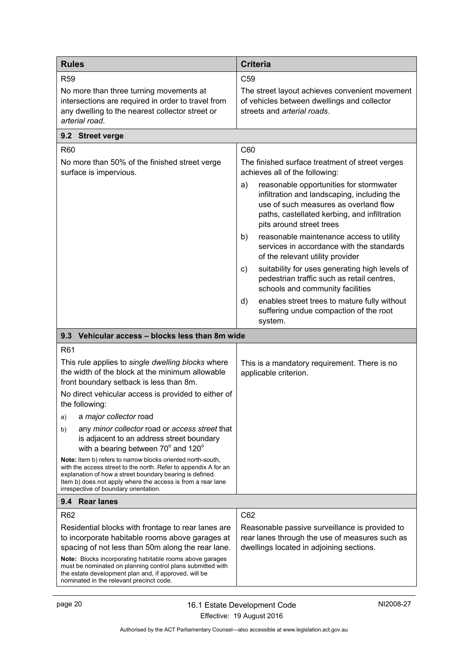<span id="page-23-2"></span><span id="page-23-1"></span><span id="page-23-0"></span>

| <b>Rules</b>                                                                                                                                                                                                                                                                                       | <b>Criteria</b>                                                                                                                                                                                                   |
|----------------------------------------------------------------------------------------------------------------------------------------------------------------------------------------------------------------------------------------------------------------------------------------------------|-------------------------------------------------------------------------------------------------------------------------------------------------------------------------------------------------------------------|
| R <sub>59</sub>                                                                                                                                                                                                                                                                                    | C <sub>59</sub>                                                                                                                                                                                                   |
| No more than three turning movements at<br>intersections are required in order to travel from<br>any dwelling to the nearest collector street or<br>arterial road.                                                                                                                                 | The street layout achieves convenient movement<br>of vehicles between dwellings and collector<br>streets and arterial roads.                                                                                      |
| 9.2 Street verge                                                                                                                                                                                                                                                                                   |                                                                                                                                                                                                                   |
| R60                                                                                                                                                                                                                                                                                                | C60                                                                                                                                                                                                               |
| No more than 50% of the finished street verge<br>surface is impervious.                                                                                                                                                                                                                            | The finished surface treatment of street verges<br>achieves all of the following:                                                                                                                                 |
|                                                                                                                                                                                                                                                                                                    | reasonable opportunities for stormwater<br>a)<br>infiltration and landscaping, including the<br>use of such measures as overland flow<br>paths, castellated kerbing, and infiltration<br>pits around street trees |
|                                                                                                                                                                                                                                                                                                    | reasonable maintenance access to utility<br>b)<br>services in accordance with the standards<br>of the relevant utility provider                                                                                   |
|                                                                                                                                                                                                                                                                                                    | suitability for uses generating high levels of<br>C)<br>pedestrian traffic such as retail centres,<br>schools and community facilities                                                                            |
|                                                                                                                                                                                                                                                                                                    | enables street trees to mature fully without<br>d)<br>suffering undue compaction of the root<br>system.                                                                                                           |
| Vehicular access - blocks less than 8m wide<br>9.3                                                                                                                                                                                                                                                 |                                                                                                                                                                                                                   |
| R61                                                                                                                                                                                                                                                                                                |                                                                                                                                                                                                                   |
| This rule applies to single dwelling blocks where<br>the width of the block at the minimum allowable<br>front boundary setback is less than 8m.                                                                                                                                                    | This is a mandatory requirement. There is no<br>applicable criterion.                                                                                                                                             |
| No direct vehicular access is provided to either of<br>the following:                                                                                                                                                                                                                              |                                                                                                                                                                                                                   |
| a major collector road<br>a)                                                                                                                                                                                                                                                                       |                                                                                                                                                                                                                   |
| any minor collector road or access street that<br>b)<br>is adjacent to an address street boundary<br>with a bearing between 70° and 120°                                                                                                                                                           |                                                                                                                                                                                                                   |
| Note: Item b) refers to narrow blocks oriented north-south,<br>with the access street to the north. Refer to appendix A for an<br>explanation of how a street boundary bearing is defined.<br>Item b) does not apply where the access is from a rear lane<br>irrespective of boundary orientation. |                                                                                                                                                                                                                   |
| 9.4 Rear lanes                                                                                                                                                                                                                                                                                     |                                                                                                                                                                                                                   |
| R <sub>62</sub>                                                                                                                                                                                                                                                                                    | C62                                                                                                                                                                                                               |
| Residential blocks with frontage to rear lanes are<br>to incorporate habitable rooms above garages at<br>spacing of not less than 50m along the rear lane.                                                                                                                                         | Reasonable passive surveillance is provided to<br>rear lanes through the use of measures such as<br>dwellings located in adjoining sections.                                                                      |
| Note: Blocks incorporating habitable rooms above garages<br>must be nominated on planning control plans submitted with<br>the estate development plan and, if approved, will be<br>nominated in the relevant precinct code.                                                                        |                                                                                                                                                                                                                   |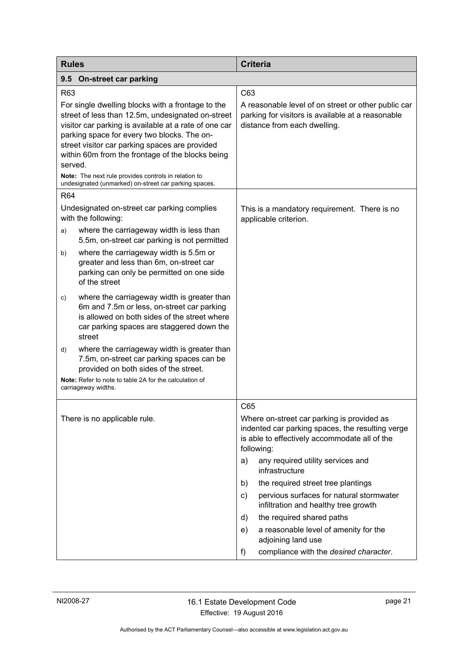<span id="page-24-0"></span>

| <b>Rules</b>                                                                                                                                                                                                                                                                                                                    |                                                                                                                                                                                                  |                                                                                                                                                               | <b>Criteria</b>                                                                                                                          |
|---------------------------------------------------------------------------------------------------------------------------------------------------------------------------------------------------------------------------------------------------------------------------------------------------------------------------------|--------------------------------------------------------------------------------------------------------------------------------------------------------------------------------------------------|---------------------------------------------------------------------------------------------------------------------------------------------------------------|------------------------------------------------------------------------------------------------------------------------------------------|
| 9.5                                                                                                                                                                                                                                                                                                                             | On-street car parking                                                                                                                                                                            |                                                                                                                                                               |                                                                                                                                          |
| R63                                                                                                                                                                                                                                                                                                                             |                                                                                                                                                                                                  | C63                                                                                                                                                           |                                                                                                                                          |
| For single dwelling blocks with a frontage to the<br>street of less than 12.5m, undesignated on-street<br>visitor car parking is available at a rate of one car<br>parking space for every two blocks. The on-<br>street visitor car parking spaces are provided<br>within 60m from the frontage of the blocks being<br>served. |                                                                                                                                                                                                  |                                                                                                                                                               | A reasonable level of on street or other public car<br>parking for visitors is available at a reasonable<br>distance from each dwelling. |
|                                                                                                                                                                                                                                                                                                                                 | Note: The next rule provides controls in relation to<br>undesignated (unmarked) on-street car parking spaces.                                                                                    |                                                                                                                                                               |                                                                                                                                          |
| <b>R64</b>                                                                                                                                                                                                                                                                                                                      |                                                                                                                                                                                                  |                                                                                                                                                               |                                                                                                                                          |
| a)                                                                                                                                                                                                                                                                                                                              | Undesignated on-street car parking complies<br>with the following:<br>where the carriageway width is less than                                                                                   |                                                                                                                                                               | This is a mandatory requirement. There is no<br>applicable criterion.                                                                    |
| b)                                                                                                                                                                                                                                                                                                                              | 5.5m, on-street car parking is not permitted<br>where the carriageway width is 5.5m or<br>greater and less than 6m, on-street car<br>parking can only be permitted on one side<br>of the street  |                                                                                                                                                               |                                                                                                                                          |
| C)                                                                                                                                                                                                                                                                                                                              | where the carriageway width is greater than<br>6m and 7.5m or less, on-street car parking<br>is allowed on both sides of the street where<br>car parking spaces are staggered down the<br>street |                                                                                                                                                               |                                                                                                                                          |
| d)                                                                                                                                                                                                                                                                                                                              | where the carriageway width is greater than<br>7.5m, on-street car parking spaces can be<br>provided on both sides of the street.                                                                |                                                                                                                                                               |                                                                                                                                          |
| Note: Refer to note to table 2A for the calculation of<br>carriageway widths.                                                                                                                                                                                                                                                   |                                                                                                                                                                                                  |                                                                                                                                                               |                                                                                                                                          |
|                                                                                                                                                                                                                                                                                                                                 |                                                                                                                                                                                                  | C65                                                                                                                                                           |                                                                                                                                          |
| There is no applicable rule.                                                                                                                                                                                                                                                                                                    |                                                                                                                                                                                                  | Where on-street car parking is provided as<br>indented car parking spaces, the resulting verge<br>is able to effectively accommodate all of the<br>following: |                                                                                                                                          |
|                                                                                                                                                                                                                                                                                                                                 |                                                                                                                                                                                                  | a)                                                                                                                                                            | any required utility services and<br>infrastructure                                                                                      |
|                                                                                                                                                                                                                                                                                                                                 |                                                                                                                                                                                                  | b)                                                                                                                                                            | the required street tree plantings                                                                                                       |
|                                                                                                                                                                                                                                                                                                                                 |                                                                                                                                                                                                  | C)                                                                                                                                                            | pervious surfaces for natural stormwater<br>infiltration and healthy tree growth                                                         |
|                                                                                                                                                                                                                                                                                                                                 |                                                                                                                                                                                                  | d)                                                                                                                                                            | the required shared paths                                                                                                                |
|                                                                                                                                                                                                                                                                                                                                 |                                                                                                                                                                                                  | e)                                                                                                                                                            | a reasonable level of amenity for the<br>adjoining land use                                                                              |
|                                                                                                                                                                                                                                                                                                                                 |                                                                                                                                                                                                  | f)                                                                                                                                                            | compliance with the desired character.                                                                                                   |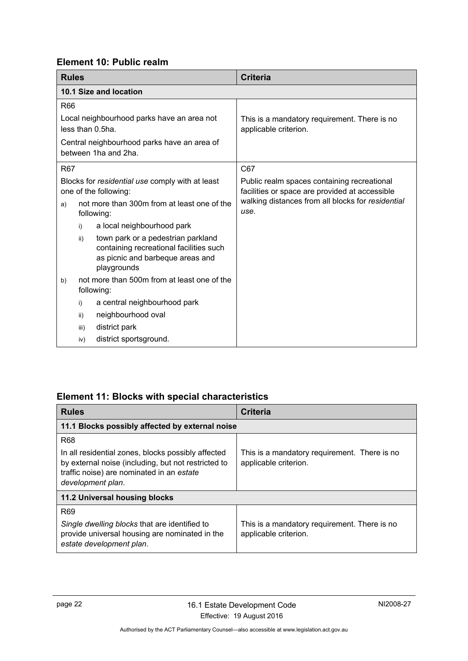# <span id="page-25-0"></span>**Element 10: Public realm**

<span id="page-25-1"></span>

| <b>Rules</b>                                                             |      |                                                                                                                                  | <b>Criteria</b>                                                                               |
|--------------------------------------------------------------------------|------|----------------------------------------------------------------------------------------------------------------------------------|-----------------------------------------------------------------------------------------------|
|                                                                          |      | 10.1 Size and location                                                                                                           |                                                                                               |
| <b>R66</b>                                                               |      |                                                                                                                                  |                                                                                               |
| Local neighbourhood parks have an area not<br>less than 0.5ha.           |      |                                                                                                                                  | This is a mandatory requirement. There is no<br>applicable criterion.                         |
| Central neighbourhood parks have an area of<br>between 1ha and 2ha.      |      |                                                                                                                                  |                                                                                               |
| <b>R67</b>                                                               |      |                                                                                                                                  | C67                                                                                           |
| Blocks for residential use comply with at least<br>one of the following: |      |                                                                                                                                  | Public realm spaces containing recreational<br>facilities or space are provided at accessible |
| a)                                                                       |      | not more than 300m from at least one of the<br>following:                                                                        | walking distances from all blocks for residential<br>use.                                     |
|                                                                          | i)   | a local neighbourhood park                                                                                                       |                                                                                               |
|                                                                          | ii)  | town park or a pedestrian parkland<br>containing recreational facilities such<br>as picnic and barbeque areas and<br>playgrounds |                                                                                               |
| b)                                                                       |      | not more than 500m from at least one of the<br>following:                                                                        |                                                                                               |
|                                                                          | i)   | a central neighbourhood park                                                                                                     |                                                                                               |
|                                                                          | ii)  | neighbourhood oval                                                                                                               |                                                                                               |
|                                                                          | iii) | district park                                                                                                                    |                                                                                               |
|                                                                          | iv)  | district sportsground.                                                                                                           |                                                                                               |

# <span id="page-25-2"></span>**Element 11: Blocks with special characteristics**

<span id="page-25-4"></span><span id="page-25-3"></span>

| <b>Rules</b>                                                                                                                                                                              | <b>Criteria</b>                                                       |  |
|-------------------------------------------------------------------------------------------------------------------------------------------------------------------------------------------|-----------------------------------------------------------------------|--|
| 11.1 Blocks possibly affected by external noise                                                                                                                                           |                                                                       |  |
| <b>R68</b><br>In all residential zones, blocks possibly affected<br>by external noise (including, but not restricted to<br>traffic noise) are nominated in an estate<br>development plan. | This is a mandatory requirement. There is no<br>applicable criterion. |  |
| 11.2 Universal housing blocks                                                                                                                                                             |                                                                       |  |
| R <sub>69</sub><br>Single dwelling blocks that are identified to<br>provide universal housing are nominated in the<br>estate development plan.                                            | This is a mandatory requirement. There is no<br>applicable criterion. |  |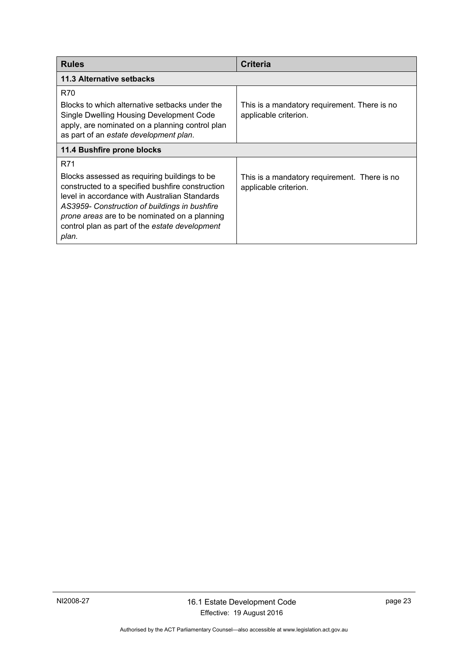<span id="page-26-1"></span><span id="page-26-0"></span>

| <b>Rules</b>                                                                                                                                                                                                                                                                                                          | <b>Criteria</b>                                                       |  |
|-----------------------------------------------------------------------------------------------------------------------------------------------------------------------------------------------------------------------------------------------------------------------------------------------------------------------|-----------------------------------------------------------------------|--|
| 11.3 Alternative setbacks                                                                                                                                                                                                                                                                                             |                                                                       |  |
| R70<br>Blocks to which alternative setbacks under the<br>Single Dwelling Housing Development Code<br>apply, are nominated on a planning control plan<br>as part of an estate development plan.                                                                                                                        | This is a mandatory requirement. There is no<br>applicable criterion. |  |
| 11.4 Bushfire prone blocks                                                                                                                                                                                                                                                                                            |                                                                       |  |
| R71<br>Blocks assessed as requiring buildings to be<br>constructed to a specified bushfire construction<br>level in accordance with Australian Standards<br>AS3959- Construction of buildings in bushfire<br>prone areas are to be nominated on a planning<br>control plan as part of the estate development<br>plan. | This is a mandatory requirement. There is no<br>applicable criterion. |  |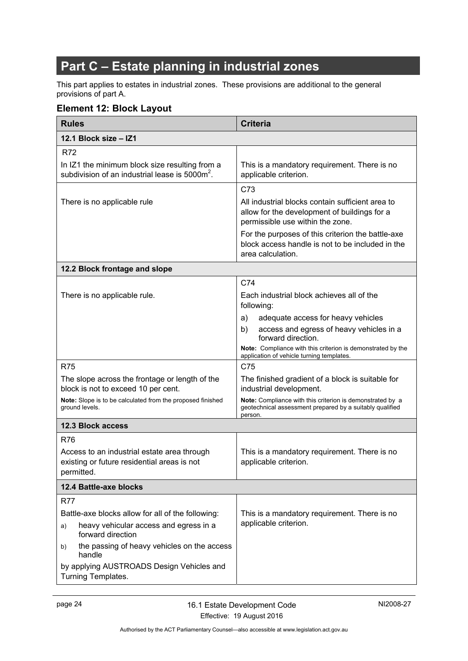# <span id="page-27-0"></span>**Part C – Estate planning in industrial zones**

This part applies to estates in industrial zones. These provisions are additional to the general provisions of part A.

### <span id="page-27-1"></span>**Element 12: Block Layout**

<span id="page-27-5"></span><span id="page-27-4"></span><span id="page-27-3"></span><span id="page-27-2"></span>

| <b>Rules</b>                                                                                                 | <b>Criteria</b>                                                                                                                      |  |  |  |
|--------------------------------------------------------------------------------------------------------------|--------------------------------------------------------------------------------------------------------------------------------------|--|--|--|
| 12.1 Block size - IZ1                                                                                        |                                                                                                                                      |  |  |  |
| <b>R72</b>                                                                                                   |                                                                                                                                      |  |  |  |
| In IZ1 the minimum block size resulting from a<br>subdivision of an industrial lease is 5000m <sup>2</sup> . | This is a mandatory requirement. There is no<br>applicable criterion.                                                                |  |  |  |
|                                                                                                              | C73                                                                                                                                  |  |  |  |
| There is no applicable rule                                                                                  | All industrial blocks contain sufficient area to<br>allow for the development of buildings for a<br>permissible use within the zone. |  |  |  |
|                                                                                                              | For the purposes of this criterion the battle-axe<br>block access handle is not to be included in the<br>area calculation.           |  |  |  |
| 12.2 Block frontage and slope                                                                                |                                                                                                                                      |  |  |  |
|                                                                                                              | C74                                                                                                                                  |  |  |  |
| There is no applicable rule.                                                                                 | Each industrial block achieves all of the<br>following:                                                                              |  |  |  |
|                                                                                                              | adequate access for heavy vehicles<br>a)                                                                                             |  |  |  |
|                                                                                                              | access and egress of heavy vehicles in a<br>b)<br>forward direction.                                                                 |  |  |  |
|                                                                                                              | Note: Compliance with this criterion is demonstrated by the<br>application of vehicle turning templates.                             |  |  |  |
| <b>R75</b>                                                                                                   | C75                                                                                                                                  |  |  |  |
| The slope across the frontage or length of the<br>block is not to exceed 10 per cent.                        | The finished gradient of a block is suitable for<br>industrial development.                                                          |  |  |  |
| Note: Slope is to be calculated from the proposed finished<br>ground levels.                                 | Note: Compliance with this criterion is demonstrated by a<br>geotechnical assessment prepared by a suitably qualified<br>person.     |  |  |  |
| <b>12.3 Block access</b>                                                                                     |                                                                                                                                      |  |  |  |
| <b>R76</b>                                                                                                   |                                                                                                                                      |  |  |  |
| Access to an industrial estate area through<br>existing or future residential areas is not<br>permitted.     | This is a mandatory requirement. There is no<br>applicable criterion.                                                                |  |  |  |
| 12.4 Battle-axe blocks                                                                                       |                                                                                                                                      |  |  |  |
| <b>R77</b>                                                                                                   |                                                                                                                                      |  |  |  |
| Battle-axe blocks allow for all of the following:                                                            | This is a mandatory requirement. There is no                                                                                         |  |  |  |
| heavy vehicular access and egress in a<br>a)<br>forward direction                                            | applicable criterion.                                                                                                                |  |  |  |
| the passing of heavy vehicles on the access<br>b)<br>handle                                                  |                                                                                                                                      |  |  |  |
| by applying AUSTROADS Design Vehicles and<br>Turning Templates.                                              |                                                                                                                                      |  |  |  |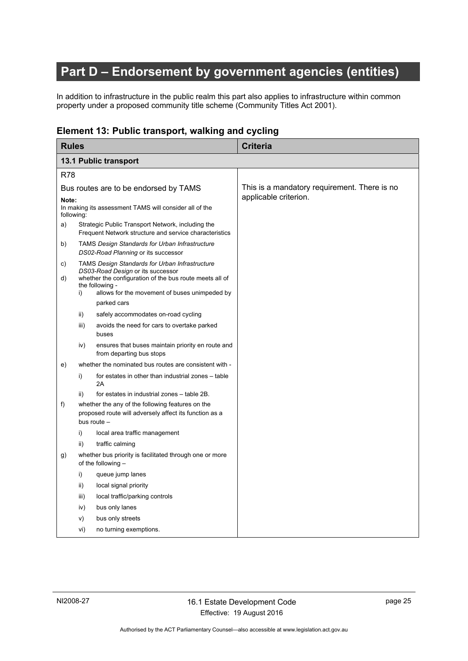# <span id="page-28-0"></span>**Part D – Endorsement by government agencies (entities)**

In addition to infrastructure in the public realm this part also applies to infrastructure within common property under a proposed community title scheme (Community Titles Act 2001).

### <span id="page-28-1"></span>**Element 13: Public transport, walking and cycling**

<span id="page-28-2"></span>

| <b>Rules</b>                          |      |                                                                                                                                                                                                                           | <b>Criteria</b>                              |
|---------------------------------------|------|---------------------------------------------------------------------------------------------------------------------------------------------------------------------------------------------------------------------------|----------------------------------------------|
| 13.1 Public transport                 |      |                                                                                                                                                                                                                           |                                              |
| <b>R78</b>                            |      |                                                                                                                                                                                                                           |                                              |
| Bus routes are to be endorsed by TAMS |      |                                                                                                                                                                                                                           | This is a mandatory requirement. There is no |
| Note:<br>following:                   |      | In making its assessment TAMS will consider all of the                                                                                                                                                                    | applicable criterion.                        |
| a)                                    |      | Strategic Public Transport Network, including the<br>Frequent Network structure and service characteristics                                                                                                               |                                              |
| b)                                    |      | <b>TAMS Design Standards for Urban Infrastructure</b><br>DS02-Road Planning or its successor                                                                                                                              |                                              |
| C)<br>d)                              | i)   | <b>TAMS Design Standards for Urban Infrastructure</b><br>DS03-Road Design or its successor<br>whether the configuration of the bus route meets all of<br>the following -<br>allows for the movement of buses unimpeded by |                                              |
|                                       |      | parked cars                                                                                                                                                                                                               |                                              |
|                                       | ii)  | safely accommodates on-road cycling                                                                                                                                                                                       |                                              |
|                                       | iii) | avoids the need for cars to overtake parked<br>buses                                                                                                                                                                      |                                              |
|                                       | iv)  | ensures that buses maintain priority en route and<br>from departing bus stops                                                                                                                                             |                                              |
| e)                                    |      | whether the nominated bus routes are consistent with -                                                                                                                                                                    |                                              |
|                                       | i)   | for estates in other than industrial zones - table<br>2A                                                                                                                                                                  |                                              |
|                                       | ii)  | for estates in industrial zones - table 2B.                                                                                                                                                                               |                                              |
| f)                                    |      | whether the any of the following features on the<br>proposed route will adversely affect its function as a<br>bus route -                                                                                                 |                                              |
|                                       | i)   | local area traffic management                                                                                                                                                                                             |                                              |
|                                       | ii)  | traffic calming                                                                                                                                                                                                           |                                              |
| g)                                    |      | whether bus priority is facilitated through one or more<br>of the following $-$                                                                                                                                           |                                              |
|                                       | i)   | queue jump lanes                                                                                                                                                                                                          |                                              |
|                                       | ii)  | local signal priority                                                                                                                                                                                                     |                                              |
|                                       | iii) | local traffic/parking controls                                                                                                                                                                                            |                                              |
|                                       | iv)  | bus only lanes                                                                                                                                                                                                            |                                              |
|                                       | V)   | bus only streets                                                                                                                                                                                                          |                                              |
|                                       | vi)  | no turning exemptions.                                                                                                                                                                                                    |                                              |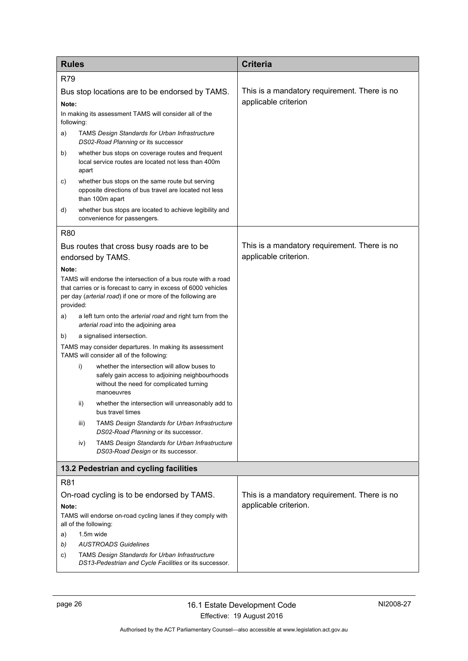<span id="page-29-0"></span>

| <b>Rules</b>                                                                                                                                                                                                 |                                        |                                                                                                                                                          | <b>Criteria</b>                              |  |  |
|--------------------------------------------------------------------------------------------------------------------------------------------------------------------------------------------------------------|----------------------------------------|----------------------------------------------------------------------------------------------------------------------------------------------------------|----------------------------------------------|--|--|
| <b>R79</b>                                                                                                                                                                                                   |                                        |                                                                                                                                                          |                                              |  |  |
| Bus stop locations are to be endorsed by TAMS.                                                                                                                                                               |                                        |                                                                                                                                                          | This is a mandatory requirement. There is no |  |  |
|                                                                                                                                                                                                              | Note:                                  |                                                                                                                                                          | applicable criterion                         |  |  |
| following:                                                                                                                                                                                                   |                                        | In making its assessment TAMS will consider all of the                                                                                                   |                                              |  |  |
| a)                                                                                                                                                                                                           |                                        | <b>TAMS Design Standards for Urban Infrastructure</b><br>DS02-Road Planning or its successor                                                             |                                              |  |  |
| b)                                                                                                                                                                                                           | apart                                  | whether bus stops on coverage routes and frequent<br>local service routes are located not less than 400m                                                 |                                              |  |  |
| c)                                                                                                                                                                                                           |                                        | whether bus stops on the same route but serving<br>opposite directions of bus travel are located not less<br>than 100m apart                             |                                              |  |  |
| d)                                                                                                                                                                                                           |                                        | whether bus stops are located to achieve legibility and<br>convenience for passengers.                                                                   |                                              |  |  |
| <b>R80</b>                                                                                                                                                                                                   |                                        |                                                                                                                                                          |                                              |  |  |
|                                                                                                                                                                                                              |                                        | Bus routes that cross busy roads are to be                                                                                                               | This is a mandatory requirement. There is no |  |  |
|                                                                                                                                                                                                              |                                        | endorsed by TAMS.                                                                                                                                        | applicable criterion.                        |  |  |
| Note:                                                                                                                                                                                                        |                                        |                                                                                                                                                          |                                              |  |  |
| TAMS will endorse the intersection of a bus route with a road<br>that carries or is forecast to carry in excess of 6000 vehicles<br>per day (arterial road) if one or more of the following are<br>provided: |                                        |                                                                                                                                                          |                                              |  |  |
| a)                                                                                                                                                                                                           |                                        | a left turn onto the <i>arterial road</i> and right turn from the<br>arterial road into the adjoining area                                               |                                              |  |  |
| a signalised intersection.<br>b)                                                                                                                                                                             |                                        |                                                                                                                                                          |                                              |  |  |
|                                                                                                                                                                                                              |                                        | TAMS may consider departures. In making its assessment<br>TAMS will consider all of the following:                                                       |                                              |  |  |
|                                                                                                                                                                                                              | i)                                     | whether the intersection will allow buses to<br>safely gain access to adjoining neighbourhoods<br>without the need for complicated turning<br>manoeuvres |                                              |  |  |
|                                                                                                                                                                                                              | ii)                                    | whether the intersection will unreasonably add to<br>bus travel times                                                                                    |                                              |  |  |
|                                                                                                                                                                                                              | iii)                                   | TAMS Design Standards for Urban Infrastructure<br>DS02-Road Planning or its successor.                                                                   |                                              |  |  |
|                                                                                                                                                                                                              | iv)                                    | <b>TAMS Design Standards for Urban Infrastructure</b><br>DS03-Road Design or its successor.                                                              |                                              |  |  |
|                                                                                                                                                                                                              | 13.2 Pedestrian and cycling facilities |                                                                                                                                                          |                                              |  |  |
| R81                                                                                                                                                                                                          |                                        |                                                                                                                                                          |                                              |  |  |
| On-road cycling is to be endorsed by TAMS.                                                                                                                                                                   |                                        |                                                                                                                                                          | This is a mandatory requirement. There is no |  |  |
| Note:                                                                                                                                                                                                        |                                        |                                                                                                                                                          | applicable criterion.                        |  |  |
| TAMS will endorse on-road cycling lanes if they comply with<br>all of the following:                                                                                                                         |                                        |                                                                                                                                                          |                                              |  |  |
| a)                                                                                                                                                                                                           |                                        | 1.5m wide                                                                                                                                                |                                              |  |  |
| b)<br>C)                                                                                                                                                                                                     |                                        | <b>AUSTROADS Guidelines</b><br><b>TAMS Design Standards for Urban Infrastructure</b>                                                                     |                                              |  |  |
|                                                                                                                                                                                                              |                                        | DS13-Pedestrian and Cycle Facilities or its successor.                                                                                                   |                                              |  |  |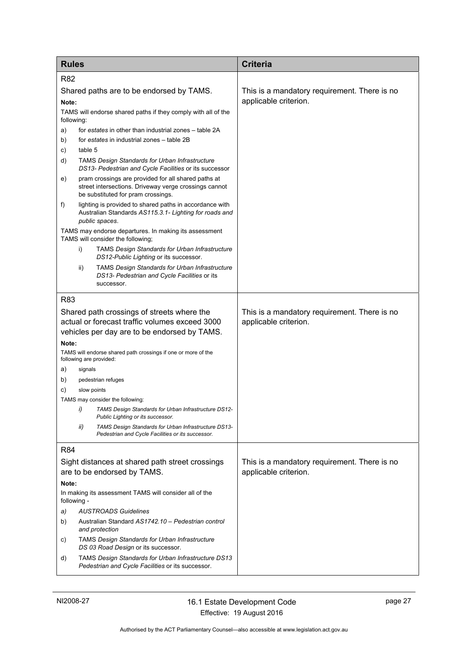| <b>Rules</b>                                                                                                                     |                             |                                                                                                                                                    | <b>Criteria</b>                                                       |
|----------------------------------------------------------------------------------------------------------------------------------|-----------------------------|----------------------------------------------------------------------------------------------------------------------------------------------------|-----------------------------------------------------------------------|
| <b>R82</b>                                                                                                                       |                             |                                                                                                                                                    |                                                                       |
| Shared paths are to be endorsed by TAMS.<br>Note:<br>TAMS will endorse shared paths if they comply with all of the<br>following: |                             |                                                                                                                                                    | This is a mandatory requirement. There is no<br>applicable criterion. |
| a)                                                                                                                               |                             | for estates in other than industrial zones – table 2A                                                                                              |                                                                       |
| b)                                                                                                                               |                             | for estates in industrial zones - table 2B                                                                                                         |                                                                       |
| C)                                                                                                                               | table 5                     |                                                                                                                                                    |                                                                       |
| d)                                                                                                                               |                             | <b>TAMS Design Standards for Urban Infrastructure</b><br>DS13- Pedestrian and Cycle Facilities or its successor                                    |                                                                       |
| e)                                                                                                                               |                             | pram crossings are provided for all shared paths at<br>street intersections. Driveway verge crossings cannot<br>be substituted for pram crossings. |                                                                       |
| f)                                                                                                                               |                             | lighting is provided to shared paths in accordance with<br>Australian Standards AS115.3.1- Lighting for roads and<br>public spaces.                |                                                                       |
|                                                                                                                                  |                             | TAMS may endorse departures. In making its assessment<br>TAMS will consider the following;                                                         |                                                                       |
|                                                                                                                                  | i)                          | <b>TAMS Design Standards for Urban Infrastructure</b><br>DS12-Public Lighting or its successor.                                                    |                                                                       |
|                                                                                                                                  | ii)                         | <b>TAMS Design Standards for Urban Infrastructure</b><br>DS13- Pedestrian and Cycle Facilities or its<br>successor.                                |                                                                       |
| R83                                                                                                                              |                             |                                                                                                                                                    |                                                                       |
| Shared path crossings of streets where the<br>actual or forecast traffic volumes exceed 3000                                     |                             | vehicles per day are to be endorsed by TAMS.                                                                                                       | This is a mandatory requirement. There is no<br>applicable criterion. |
| Note:                                                                                                                            |                             |                                                                                                                                                    |                                                                       |
|                                                                                                                                  |                             | TAMS will endorse shared path crossings if one or more of the<br>following are provided:                                                           |                                                                       |
| a)                                                                                                                               | signals                     |                                                                                                                                                    |                                                                       |
| b)                                                                                                                               |                             | pedestrian refuges                                                                                                                                 |                                                                       |
| C)                                                                                                                               |                             | slow points                                                                                                                                        |                                                                       |
|                                                                                                                                  | i)                          | TAMS may consider the following:<br>TAMS Design Standards for Urban Infrastructure DS12-<br>Public Lighting or its successor.                      |                                                                       |
|                                                                                                                                  | ii)                         | TAMS Design Standards for Urban Infrastructure DS13-<br>Pedestrian and Cycle Facilities or its successor.                                          |                                                                       |
| <b>R84</b>                                                                                                                       |                             |                                                                                                                                                    |                                                                       |
|                                                                                                                                  |                             | Sight distances at shared path street crossings                                                                                                    | This is a mandatory requirement. There is no                          |
|                                                                                                                                  | are to be endorsed by TAMS. |                                                                                                                                                    | applicable criterion.                                                 |
| Note:                                                                                                                            |                             |                                                                                                                                                    |                                                                       |
| In making its assessment TAMS will consider all of the<br>following -                                                            |                             |                                                                                                                                                    |                                                                       |
| a)                                                                                                                               |                             | <b>AUSTROADS Guidelines</b>                                                                                                                        |                                                                       |
| b)                                                                                                                               |                             | Australian Standard AS1742.10 - Pedestrian control<br>and protection                                                                               |                                                                       |
| C)                                                                                                                               |                             | <b>TAMS Design Standards for Urban Infrastructure</b><br>DS 03 Road Design or its successor.                                                       |                                                                       |
| d)                                                                                                                               |                             | TAMS Design Standards for Urban Infrastructure DS13<br>Pedestrian and Cycle Facilities or its successor.                                           |                                                                       |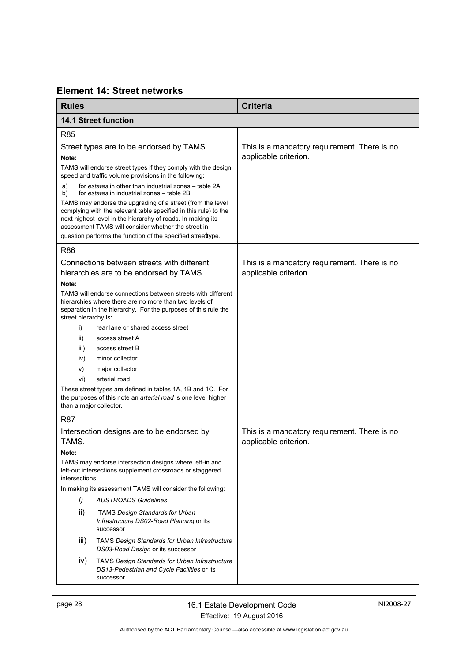<span id="page-31-0"></span>

| <b>Element 14: Street networks</b> |
|------------------------------------|
|------------------------------------|

<span id="page-31-1"></span>

| <b>Rules</b>                                                                                                                                                                                                     |                                                                                                                                                                                                                                                      | <b>Criteria</b>                                                       |
|------------------------------------------------------------------------------------------------------------------------------------------------------------------------------------------------------------------|------------------------------------------------------------------------------------------------------------------------------------------------------------------------------------------------------------------------------------------------------|-----------------------------------------------------------------------|
|                                                                                                                                                                                                                  | <b>14.1 Street function</b>                                                                                                                                                                                                                          |                                                                       |
| <b>R85</b>                                                                                                                                                                                                       |                                                                                                                                                                                                                                                      |                                                                       |
| Street types are to be endorsed by TAMS.                                                                                                                                                                         |                                                                                                                                                                                                                                                      | This is a mandatory requirement. There is no                          |
| Note:                                                                                                                                                                                                            |                                                                                                                                                                                                                                                      | applicable criterion.                                                 |
| TAMS will endorse street types if they comply with the design<br>speed and traffic volume provisions in the following:                                                                                           |                                                                                                                                                                                                                                                      |                                                                       |
| a)<br>b)                                                                                                                                                                                                         | for estates in other than industrial zones - table 2A<br>for estates in industrial zones - table 2B.                                                                                                                                                 |                                                                       |
|                                                                                                                                                                                                                  | TAMS may endorse the upgrading of a street (from the level<br>complying with the relevant table specified in this rule) to the<br>next highest level in the hierarchy of roads. In making its<br>assessment TAMS will consider whether the street in |                                                                       |
|                                                                                                                                                                                                                  | question performs the function of the specified streettype.                                                                                                                                                                                          |                                                                       |
| <b>R86</b>                                                                                                                                                                                                       |                                                                                                                                                                                                                                                      |                                                                       |
|                                                                                                                                                                                                                  | Connections between streets with different<br>hierarchies are to be endorsed by TAMS.                                                                                                                                                                | This is a mandatory requirement. There is no<br>applicable criterion. |
| Note:                                                                                                                                                                                                            |                                                                                                                                                                                                                                                      |                                                                       |
| TAMS will endorse connections between streets with different<br>hierarchies where there are no more than two levels of<br>separation in the hierarchy. For the purposes of this rule the<br>street hierarchy is: |                                                                                                                                                                                                                                                      |                                                                       |
| i)                                                                                                                                                                                                               | rear lane or shared access street                                                                                                                                                                                                                    |                                                                       |
| ii)                                                                                                                                                                                                              | access street A                                                                                                                                                                                                                                      |                                                                       |
| iii)                                                                                                                                                                                                             | access street B                                                                                                                                                                                                                                      |                                                                       |
| iv)                                                                                                                                                                                                              | minor collector                                                                                                                                                                                                                                      |                                                                       |
| V)                                                                                                                                                                                                               | major collector                                                                                                                                                                                                                                      |                                                                       |
| vi)                                                                                                                                                                                                              | arterial road                                                                                                                                                                                                                                        |                                                                       |
| These street types are defined in tables 1A, 1B and 1C. For<br>the purposes of this note an arterial road is one level higher<br>than a major collector.                                                         |                                                                                                                                                                                                                                                      |                                                                       |
| <b>R87</b>                                                                                                                                                                                                       |                                                                                                                                                                                                                                                      |                                                                       |
| Intersection designs are to be endorsed by<br>TAMS.                                                                                                                                                              |                                                                                                                                                                                                                                                      | This is a mandatory requirement. There is no<br>applicable criterion. |
| Note:                                                                                                                                                                                                            |                                                                                                                                                                                                                                                      |                                                                       |
| TAMS may endorse intersection designs where left-in and<br>left-out intersections supplement crossroads or staggered<br>intersections.                                                                           |                                                                                                                                                                                                                                                      |                                                                       |
|                                                                                                                                                                                                                  | In making its assessment TAMS will consider the following:                                                                                                                                                                                           |                                                                       |
| i)                                                                                                                                                                                                               | <b>AUSTROADS Guidelines</b>                                                                                                                                                                                                                          |                                                                       |
| ii)                                                                                                                                                                                                              | <b>TAMS Design Standards for Urban</b><br>Infrastructure DS02-Road Planning or its<br>successor                                                                                                                                                      |                                                                       |
| iii)                                                                                                                                                                                                             | TAMS Design Standards for Urban Infrastructure<br>DS03-Road Design or its successor                                                                                                                                                                  |                                                                       |
| iv)                                                                                                                                                                                                              | <b>TAMS Design Standards for Urban Infrastructure</b><br>DS13-Pedestrian and Cycle Facilities or its<br>successor                                                                                                                                    |                                                                       |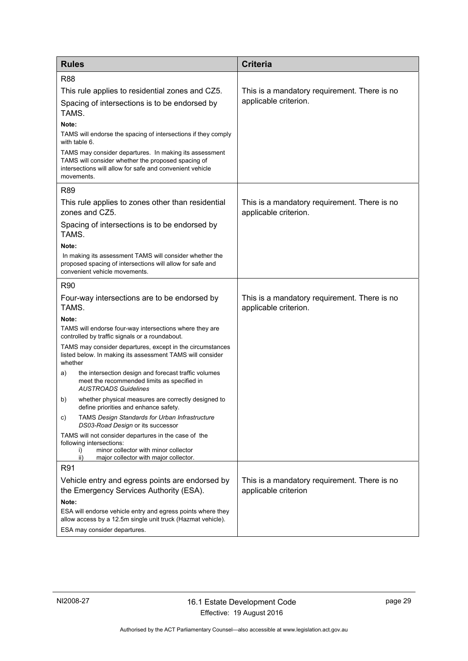| <b>Rules</b>                                                                                                                                                                           | <b>Criteria</b>                                                       |
|----------------------------------------------------------------------------------------------------------------------------------------------------------------------------------------|-----------------------------------------------------------------------|
| <b>R88</b>                                                                                                                                                                             |                                                                       |
| This rule applies to residential zones and CZ5.                                                                                                                                        | This is a mandatory requirement. There is no                          |
| Spacing of intersections is to be endorsed by<br>TAMS.                                                                                                                                 | applicable criterion.                                                 |
| Note:                                                                                                                                                                                  |                                                                       |
| TAMS will endorse the spacing of intersections if they comply<br>with table 6.                                                                                                         |                                                                       |
| TAMS may consider departures. In making its assessment<br>TAMS will consider whether the proposed spacing of<br>intersections will allow for safe and convenient vehicle<br>movements. |                                                                       |
| R89                                                                                                                                                                                    |                                                                       |
| This rule applies to zones other than residential<br>zones and CZ5.                                                                                                                    | This is a mandatory requirement. There is no<br>applicable criterion. |
| Spacing of intersections is to be endorsed by<br>TAMS.                                                                                                                                 |                                                                       |
| Note:                                                                                                                                                                                  |                                                                       |
| In making its assessment TAMS will consider whether the<br>proposed spacing of intersections will allow for safe and<br>convenient vehicle movements.                                  |                                                                       |
| <b>R90</b>                                                                                                                                                                             |                                                                       |
| Four-way intersections are to be endorsed by<br>TAMS.                                                                                                                                  | This is a mandatory requirement. There is no<br>applicable criterion. |
| Note:                                                                                                                                                                                  |                                                                       |
| TAMS will endorse four-way intersections where they are<br>controlled by traffic signals or a roundabout.                                                                              |                                                                       |
| TAMS may consider departures, except in the circumstances<br>listed below. In making its assessment TAMS will consider<br>whether                                                      |                                                                       |
| the intersection design and forecast traffic volumes<br>a)<br>meet the recommended limits as specified in<br><b>AUSTROADS Guidelines</b>                                               |                                                                       |
| whether physical measures are correctly designed to<br>b)<br>define priorities and enhance safety.                                                                                     |                                                                       |
| TAMS Design Standards for Urban Infrastructure<br>C)<br>DS03-Road Design or its successor                                                                                              |                                                                       |
| TAMS will not consider departures in the case of the<br>following intersections:<br>minor collector with minor collector<br>i)<br>ii)<br>major collector with major collector.         |                                                                       |
| R91                                                                                                                                                                                    |                                                                       |
| Vehicle entry and egress points are endorsed by                                                                                                                                        | This is a mandatory requirement. There is no                          |
| the Emergency Services Authority (ESA).                                                                                                                                                | applicable criterion                                                  |
| Note:                                                                                                                                                                                  |                                                                       |
| ESA will endorse vehicle entry and egress points where they<br>allow access by a 12.5m single unit truck (Hazmat vehicle).                                                             |                                                                       |
| ESA may consider departures.                                                                                                                                                           |                                                                       |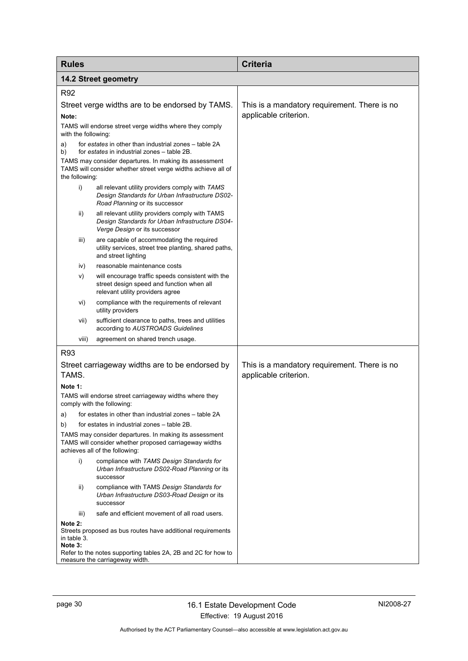<span id="page-33-0"></span>

| <b>Rules</b>                                                                                                                                       |                                                                                                                                      | <b>Criteria</b>                                                       |
|----------------------------------------------------------------------------------------------------------------------------------------------------|--------------------------------------------------------------------------------------------------------------------------------------|-----------------------------------------------------------------------|
| <b>14.2 Street geometry</b>                                                                                                                        |                                                                                                                                      |                                                                       |
| R92                                                                                                                                                |                                                                                                                                      |                                                                       |
| Street verge widths are to be endorsed by TAMS.                                                                                                    |                                                                                                                                      | This is a mandatory requirement. There is no                          |
| Note:                                                                                                                                              |                                                                                                                                      | applicable criterion.                                                 |
| with the following:                                                                                                                                | TAMS will endorse street verge widths where they comply                                                                              |                                                                       |
| a)<br>b)                                                                                                                                           | for estates in other than industrial zones – table 2A<br>for estates in industrial zones - table 2B.                                 |                                                                       |
| the following:                                                                                                                                     | TAMS may consider departures. In making its assessment<br>TAMS will consider whether street verge widths achieve all of              |                                                                       |
| i)                                                                                                                                                 | all relevant utility providers comply with TAMS<br>Design Standards for Urban Infrastructure DS02-<br>Road Planning or its successor |                                                                       |
| ii)                                                                                                                                                | all relevant utility providers comply with TAMS<br>Design Standards for Urban Infrastructure DS04-<br>Verge Design or its successor  |                                                                       |
| iii)                                                                                                                                               | are capable of accommodating the required<br>utility services, street tree planting, shared paths,<br>and street lighting            |                                                                       |
| iv)                                                                                                                                                | reasonable maintenance costs                                                                                                         |                                                                       |
| V)                                                                                                                                                 | will encourage traffic speeds consistent with the<br>street design speed and function when all<br>relevant utility providers agree   |                                                                       |
| vi)                                                                                                                                                | compliance with the requirements of relevant<br>utility providers                                                                    |                                                                       |
| vii)                                                                                                                                               | sufficient clearance to paths, trees and utilities<br>according to AUSTROADS Guidelines                                              |                                                                       |
| viii)                                                                                                                                              | agreement on shared trench usage.                                                                                                    |                                                                       |
| R93                                                                                                                                                |                                                                                                                                      |                                                                       |
| TAMS.                                                                                                                                              | Street carriageway widths are to be endorsed by                                                                                      | This is a mandatory requirement. There is no<br>applicable criterion. |
| Note 1:                                                                                                                                            |                                                                                                                                      |                                                                       |
|                                                                                                                                                    | TAMS will endorse street carriageway widths where they<br>comply with the following:                                                 |                                                                       |
| a)                                                                                                                                                 | for estates in other than industrial zones – table 2A                                                                                |                                                                       |
| b)                                                                                                                                                 | for estates in industrial zones - table 2B.                                                                                          |                                                                       |
| TAMS may consider departures. In making its assessment<br>TAMS will consider whether proposed carriageway widths<br>achieves all of the following: |                                                                                                                                      |                                                                       |
| i)                                                                                                                                                 | compliance with TAMS Design Standards for<br>Urban Infrastructure DS02-Road Planning or its<br>successor                             |                                                                       |
| ii)                                                                                                                                                | compliance with TAMS Design Standards for<br>Urban Infrastructure DS03-Road Design or its<br>successor                               |                                                                       |
| iii)                                                                                                                                               | safe and efficient movement of all road users.                                                                                       |                                                                       |
| Note 2:<br>in table 3.<br>Note 3:                                                                                                                  | Streets proposed as bus routes have additional requirements                                                                          |                                                                       |
|                                                                                                                                                    | Refer to the notes supporting tables 2A, 2B and 2C for how to<br>measure the carriageway width.                                      |                                                                       |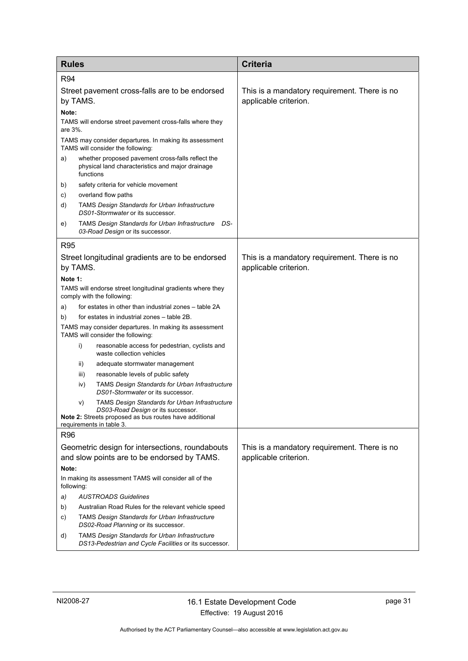| <b>Rules</b>                                                         |                                                                                                                                                                                  | <b>Criteria</b>                                                       |
|----------------------------------------------------------------------|----------------------------------------------------------------------------------------------------------------------------------------------------------------------------------|-----------------------------------------------------------------------|
| R94                                                                  |                                                                                                                                                                                  |                                                                       |
| Street pavement cross-falls are to be endorsed<br>by TAMS.           |                                                                                                                                                                                  | This is a mandatory requirement. There is no<br>applicable criterion. |
| Note:                                                                |                                                                                                                                                                                  |                                                                       |
| are 3%.                                                              | TAMS will endorse street pavement cross-falls where they                                                                                                                         |                                                                       |
|                                                                      | TAMS may consider departures. In making its assessment<br>TAMS will consider the following:                                                                                      |                                                                       |
| a)                                                                   | whether proposed pavement cross-falls reflect the<br>physical land characteristics and major drainage<br>functions                                                               |                                                                       |
| b)                                                                   | safety criteria for vehicle movement                                                                                                                                             |                                                                       |
| C)                                                                   | overland flow paths                                                                                                                                                              |                                                                       |
| d)                                                                   | <b>TAMS Design Standards for Urban Infrastructure</b><br>DS01-Stormwater or its successor.                                                                                       |                                                                       |
| e)                                                                   | TAMS Design Standards for Urban Infrastructure DS-<br>03-Road Design or its successor.                                                                                           |                                                                       |
| R <sub>95</sub>                                                      |                                                                                                                                                                                  |                                                                       |
|                                                                      | Street longitudinal gradients are to be endorsed<br>by TAMS.                                                                                                                     | This is a mandatory requirement. There is no<br>applicable criterion. |
| Note 1:                                                              |                                                                                                                                                                                  |                                                                       |
|                                                                      | TAMS will endorse street longitudinal gradients where they                                                                                                                       |                                                                       |
|                                                                      | comply with the following:                                                                                                                                                       |                                                                       |
| a)                                                                   | for estates in other than industrial zones – table 2A                                                                                                                            |                                                                       |
| b)                                                                   | for estates in industrial zones - table 2B.                                                                                                                                      |                                                                       |
|                                                                      | TAMS may consider departures. In making its assessment<br>TAMS will consider the following:                                                                                      |                                                                       |
|                                                                      | reasonable access for pedestrian, cyclists and<br>i)<br>waste collection vehicles                                                                                                |                                                                       |
|                                                                      | ii)<br>adequate stormwater management                                                                                                                                            |                                                                       |
|                                                                      | reasonable levels of public safety<br>iii)                                                                                                                                       |                                                                       |
|                                                                      | TAMS Design Standards for Urban Infrastructure<br>iv)<br>DS01-Stormwater or its successor.                                                                                       |                                                                       |
|                                                                      | TAMS Design Standards for Urban Infrastructure<br>V)<br>DS03-Road Design or its successor.<br>Note 2: Streets proposed as bus routes have additional<br>requirements in table 3. |                                                                       |
| R96                                                                  |                                                                                                                                                                                  |                                                                       |
|                                                                      | Geometric design for intersections, roundabouts                                                                                                                                  | This is a mandatory requirement. There is no                          |
| and slow points are to be endorsed by TAMS.                          |                                                                                                                                                                                  | applicable criterion.                                                 |
| Note:                                                                |                                                                                                                                                                                  |                                                                       |
| In making its assessment TAMS will consider all of the<br>following: |                                                                                                                                                                                  |                                                                       |
| a)                                                                   | <b>AUSTROADS Guidelines</b>                                                                                                                                                      |                                                                       |
| b)                                                                   | Australian Road Rules for the relevant vehicle speed                                                                                                                             |                                                                       |
| C)                                                                   | <b>TAMS Design Standards for Urban Infrastructure</b><br>DS02-Road Planning or its successor.                                                                                    |                                                                       |
| d)                                                                   | TAMS Design Standards for Urban Infrastructure<br>DS13-Pedestrian and Cycle Facilities or its successor.                                                                         |                                                                       |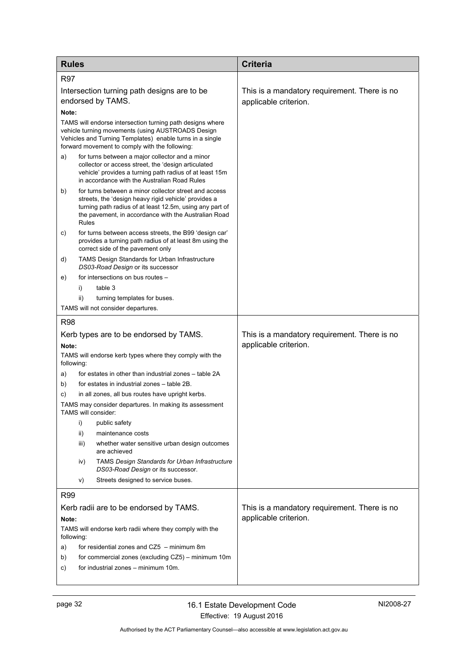| <b>Rules</b>                                                                                                                                                                                                                                     | <b>Criteria</b>                                                       |
|--------------------------------------------------------------------------------------------------------------------------------------------------------------------------------------------------------------------------------------------------|-----------------------------------------------------------------------|
| <b>R97</b>                                                                                                                                                                                                                                       |                                                                       |
| Intersection turning path designs are to be<br>endorsed by TAMS.<br>Note:                                                                                                                                                                        | This is a mandatory requirement. There is no<br>applicable criterion. |
| TAMS will endorse intersection turning path designs where<br>vehicle turning movements (using AUSTROADS Design<br>Vehicles and Turning Templates) enable turns in a single<br>forward movement to comply with the following:                     |                                                                       |
| for turns between a major collector and a minor<br>a)<br>collector or access street, the 'design articulated<br>vehicle' provides a turning path radius of at least 15m<br>in accordance with the Australian Road Rules                          |                                                                       |
| for turns between a minor collector street and access<br>b)<br>streets, the 'design heavy rigid vehicle' provides a<br>turning path radius of at least 12.5m, using any part of<br>the pavement, in accordance with the Australian Road<br>Rules |                                                                       |
| for turns between access streets, the B99 'design car'<br>C)<br>provides a turning path radius of at least 8m using the<br>correct side of the pavement only                                                                                     |                                                                       |
| <b>TAMS Design Standards for Urban Infrastructure</b><br>d)<br>DS03-Road Design or its successor                                                                                                                                                 |                                                                       |
| for intersections on bus routes -<br>e)                                                                                                                                                                                                          |                                                                       |
| table 3<br>i)                                                                                                                                                                                                                                    |                                                                       |
| ii)<br>turning templates for buses.                                                                                                                                                                                                              |                                                                       |
| TAMS will not consider departures.                                                                                                                                                                                                               |                                                                       |
| <b>R98</b>                                                                                                                                                                                                                                       |                                                                       |
| Kerb types are to be endorsed by TAMS.                                                                                                                                                                                                           | This is a mandatory requirement. There is no                          |
| Note:                                                                                                                                                                                                                                            | applicable criterion.                                                 |
| TAMS will endorse kerb types where they comply with the<br>following:                                                                                                                                                                            |                                                                       |
| for estates in other than industrial zones – table 2A<br>a)                                                                                                                                                                                      |                                                                       |
| for estates in industrial zones – table 2B.<br>b)                                                                                                                                                                                                |                                                                       |
| in all zones, all bus routes have upright kerbs.<br>C)                                                                                                                                                                                           |                                                                       |
| TAMS may consider departures. In making its assessment<br>TAMS will consider:                                                                                                                                                                    |                                                                       |
| i)<br>public safety                                                                                                                                                                                                                              |                                                                       |
| maintenance costs<br>ii)                                                                                                                                                                                                                         |                                                                       |
| iii)<br>whether water sensitive urban design outcomes<br>are achieved                                                                                                                                                                            |                                                                       |
| TAMS Design Standards for Urban Infrastructure<br>iv)<br>DS03-Road Design or its successor.                                                                                                                                                      |                                                                       |
| Streets designed to service buses.<br>V)                                                                                                                                                                                                         |                                                                       |
| R99                                                                                                                                                                                                                                              |                                                                       |
| Kerb radii are to be endorsed by TAMS.<br>Note:                                                                                                                                                                                                  | This is a mandatory requirement. There is no<br>applicable criterion. |
| TAMS will endorse kerb radii where they comply with the<br>following:                                                                                                                                                                            |                                                                       |
| for residential zones and CZ5 - minimum 8m<br>a)                                                                                                                                                                                                 |                                                                       |
| for commercial zones (excluding CZ5) - minimum 10m<br>b)                                                                                                                                                                                         |                                                                       |
| for industrial zones – minimum 10m.<br>C)                                                                                                                                                                                                        |                                                                       |
|                                                                                                                                                                                                                                                  |                                                                       |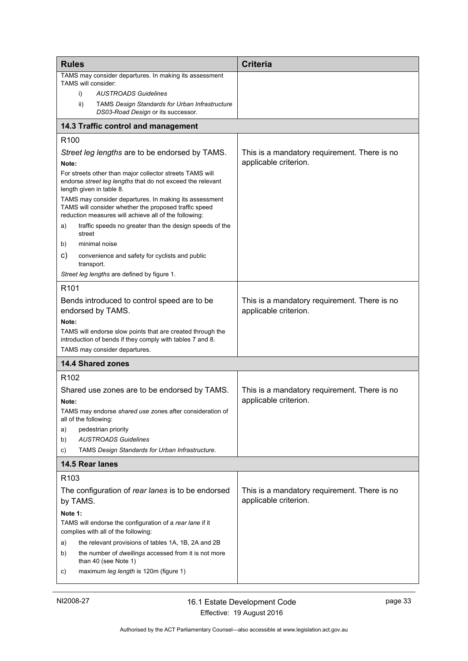<span id="page-36-2"></span><span id="page-36-1"></span><span id="page-36-0"></span>

| <b>Rules</b>                                                                                                                                                             | <b>Criteria</b>                                                       |
|--------------------------------------------------------------------------------------------------------------------------------------------------------------------------|-----------------------------------------------------------------------|
| TAMS may consider departures. In making its assessment<br>TAMS will consider:                                                                                            |                                                                       |
| <b>AUSTROADS Guidelines</b><br>i)                                                                                                                                        |                                                                       |
| ii)<br><b>TAMS Design Standards for Urban Infrastructure</b><br>DS03-Road Design or its successor.                                                                       |                                                                       |
| 14.3 Traffic control and management                                                                                                                                      |                                                                       |
| R <sub>100</sub>                                                                                                                                                         |                                                                       |
| Street leg lengths are to be endorsed by TAMS.<br>Note:                                                                                                                  | This is a mandatory requirement. There is no<br>applicable criterion. |
| For streets other than major collector streets TAMS will<br>endorse street leg lengths that do not exceed the relevant<br>length given in table 8.                       |                                                                       |
| TAMS may consider departures. In making its assessment<br>TAMS will consider whether the proposed traffic speed<br>reduction measures will achieve all of the following: |                                                                       |
| traffic speeds no greater than the design speeds of the<br>a)<br>street                                                                                                  |                                                                       |
| minimal noise<br>b)                                                                                                                                                      |                                                                       |
| C)<br>convenience and safety for cyclists and public<br>transport.                                                                                                       |                                                                       |
| Street leg lengths are defined by figure 1.                                                                                                                              |                                                                       |
| R <sub>101</sub>                                                                                                                                                         |                                                                       |
| Bends introduced to control speed are to be<br>endorsed by TAMS.                                                                                                         | This is a mandatory requirement. There is no<br>applicable criterion. |
| Note:<br>TAMS will endorse slow points that are created through the<br>introduction of bends if they comply with tables 7 and 8.                                         |                                                                       |
| TAMS may consider departures.                                                                                                                                            |                                                                       |
| <b>14.4 Shared zones</b>                                                                                                                                                 |                                                                       |
| R <sub>102</sub>                                                                                                                                                         |                                                                       |
| Shared use zones are to be endorsed by TAMS.                                                                                                                             | This is a mandatory requirement. There is no                          |
| Note:                                                                                                                                                                    | applicable criterion.                                                 |
| TAMS may endorse shared use zones after consideration of<br>all of the following:                                                                                        |                                                                       |
| pedestrian priority<br>a)                                                                                                                                                |                                                                       |
| <b>AUSTROADS Guidelines</b><br>b)                                                                                                                                        |                                                                       |
| TAMS Design Standards for Urban Infrastructure.<br>C)                                                                                                                    |                                                                       |
| 14.5 Rear lanes                                                                                                                                                          |                                                                       |
| R <sub>103</sub>                                                                                                                                                         |                                                                       |
| The configuration of rear lanes is to be endorsed                                                                                                                        | This is a mandatory requirement. There is no                          |
| by TAMS.                                                                                                                                                                 | applicable criterion.                                                 |
| Note 1:<br>TAMS will endorse the configuration of a rear lane if it<br>complies with all of the following:                                                               |                                                                       |
| the relevant provisions of tables 1A, 1B, 2A and 2B<br>a)                                                                                                                |                                                                       |
| the number of dwellings accessed from it is not more<br>b)<br>than 40 (see Note 1)                                                                                       |                                                                       |
| maximum leg length is 120m (figure 1)<br>C)                                                                                                                              |                                                                       |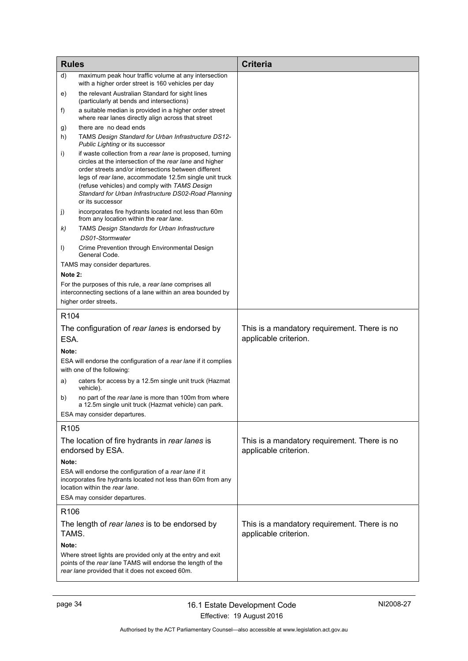| <b>Rules</b>                                           |                                                                                                                                                                                                                                                                                                                                                                     | <b>Criteria</b>                                                       |
|--------------------------------------------------------|---------------------------------------------------------------------------------------------------------------------------------------------------------------------------------------------------------------------------------------------------------------------------------------------------------------------------------------------------------------------|-----------------------------------------------------------------------|
| d)                                                     | maximum peak hour traffic volume at any intersection<br>with a higher order street is 160 vehicles per day                                                                                                                                                                                                                                                          |                                                                       |
| e)                                                     | the relevant Australian Standard for sight lines<br>(particularly at bends and intersections)                                                                                                                                                                                                                                                                       |                                                                       |
| f)                                                     | a suitable median is provided in a higher order street<br>where rear lanes directly align across that street                                                                                                                                                                                                                                                        |                                                                       |
| g)                                                     | there are no dead ends                                                                                                                                                                                                                                                                                                                                              |                                                                       |
| h)                                                     | TAMS Design Standard for Urban Infrastructure DS12-<br>Public Lighting or its successor                                                                                                                                                                                                                                                                             |                                                                       |
| i)                                                     | if waste collection from a rear lane is proposed, turning<br>circles at the intersection of the rear lane and higher<br>order streets and/or intersections between different<br>legs of rear lane, accommodate 12.5m single unit truck<br>(refuse vehicles) and comply with TAMS Design<br>Standard for Urban Infrastructure DS02-Road Planning<br>or its successor |                                                                       |
| j)                                                     | incorporates fire hydrants located not less than 60m<br>from any location within the rear lane.                                                                                                                                                                                                                                                                     |                                                                       |
| k)                                                     | <b>TAMS Design Standards for Urban Infrastructure</b>                                                                                                                                                                                                                                                                                                               |                                                                       |
|                                                        | DS01-Stormwater                                                                                                                                                                                                                                                                                                                                                     |                                                                       |
| I)                                                     | Crime Prevention through Environmental Design<br>General Code.                                                                                                                                                                                                                                                                                                      |                                                                       |
|                                                        | TAMS may consider departures.                                                                                                                                                                                                                                                                                                                                       |                                                                       |
| Note 2:                                                |                                                                                                                                                                                                                                                                                                                                                                     |                                                                       |
|                                                        | For the purposes of this rule, a rear lane comprises all<br>interconnecting sections of a lane within an area bounded by<br>higher order streets.                                                                                                                                                                                                                   |                                                                       |
| R <sub>104</sub>                                       |                                                                                                                                                                                                                                                                                                                                                                     |                                                                       |
|                                                        | The configuration of rear lanes is endorsed by                                                                                                                                                                                                                                                                                                                      | This is a mandatory requirement. There is no                          |
| ESA.                                                   |                                                                                                                                                                                                                                                                                                                                                                     | applicable criterion.                                                 |
| Note:                                                  |                                                                                                                                                                                                                                                                                                                                                                     |                                                                       |
|                                                        | ESA will endorse the configuration of a rear lane if it complies                                                                                                                                                                                                                                                                                                    |                                                                       |
|                                                        | with one of the following:                                                                                                                                                                                                                                                                                                                                          |                                                                       |
| a)                                                     | caters for access by a 12.5m single unit truck (Hazmat<br>vehicle).                                                                                                                                                                                                                                                                                                 |                                                                       |
| b)                                                     | no part of the rear lane is more than 100m from where<br>a 12.5m single unit truck (Hazmat vehicle) can park.                                                                                                                                                                                                                                                       |                                                                       |
|                                                        | ESA may consider departures.                                                                                                                                                                                                                                                                                                                                        |                                                                       |
| R <sub>105</sub>                                       |                                                                                                                                                                                                                                                                                                                                                                     |                                                                       |
|                                                        | The location of fire hydrants in rear lanes is<br>endorsed by ESA.                                                                                                                                                                                                                                                                                                  | This is a mandatory requirement. There is no<br>applicable criterion. |
| Note:                                                  |                                                                                                                                                                                                                                                                                                                                                                     |                                                                       |
|                                                        | ESA will endorse the configuration of a rear lane if it<br>incorporates fire hydrants located not less than 60m from any<br>location within the rear lane.                                                                                                                                                                                                          |                                                                       |
|                                                        | ESA may consider departures.                                                                                                                                                                                                                                                                                                                                        |                                                                       |
| R <sub>106</sub>                                       |                                                                                                                                                                                                                                                                                                                                                                     |                                                                       |
| The length of rear lanes is to be endorsed by<br>TAMS. |                                                                                                                                                                                                                                                                                                                                                                     | This is a mandatory requirement. There is no<br>applicable criterion. |
| Note:                                                  |                                                                                                                                                                                                                                                                                                                                                                     |                                                                       |
|                                                        | Where street lights are provided only at the entry and exit<br>points of the rear lane TAMS will endorse the length of the<br>rear lane provided that it does not exceed 60m.                                                                                                                                                                                       |                                                                       |
|                                                        |                                                                                                                                                                                                                                                                                                                                                                     |                                                                       |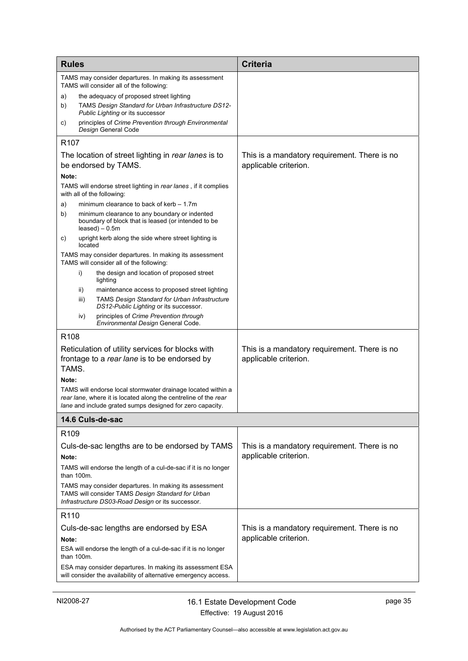<span id="page-38-0"></span>

| TAMS may consider departures. In making its assessment<br>TAMS will consider all of the following:<br>the adequacy of proposed street lighting<br>a)<br>TAMS Design Standard for Urban Infrastructure DS12-<br>b)<br><i>Public Lighting or its successor</i><br>principles of Crime Prevention through Environmental<br>C)<br>Design General Code<br>R <sub>107</sub><br>The location of street lighting in rear lanes is to<br>This is a mandatory requirement. There is no<br>be endorsed by TAMS.<br>applicable criterion.<br>Note:<br>TAMS will endorse street lighting in rear lanes, if it complies<br>with all of the following:<br>minimum clearance to back of kerb $-1.7$ m<br>a)<br>b)<br>minimum clearance to any boundary or indented<br>boundary of block that is leased (or intended to be<br>$leased$ ) - 0.5m<br>upright kerb along the side where street lighting is<br>C)<br>located<br>TAMS may consider departures. In making its assessment<br>TAMS will consider all of the following:<br>i)<br>the design and location of proposed street<br>lighting<br>maintenance access to proposed street lighting<br>ii)<br><b>TAMS Design Standard for Urban Infrastructure</b><br>iii)<br>DS12-Public Lighting or its successor.<br>principles of Crime Prevention through<br>iv)<br>Environmental Design General Code.<br>R108<br>Reticulation of utility services for blocks with<br>This is a mandatory requirement. There is no<br>applicable criterion.<br>frontage to a rear lane is to be endorsed by<br>TAMS.<br>Note:<br>TAMS will endorse local stormwater drainage located within a<br>rear lane, where it is located along the centreline of the rear<br>lane and include grated sumps designed for zero capacity.<br>14.6 Culs-de-sac<br>R <sub>109</sub><br>Culs-de-sac lengths are to be endorsed by TAMS<br>This is a mandatory requirement. There is no<br>applicable criterion.<br>Note:<br>TAMS will endorse the length of a cul-de-sac if it is no longer<br>than 100m.<br>TAMS may consider departures. In making its assessment<br>TAMS will consider TAMS Design Standard for Urban<br>Infrastructure DS03-Road Design or its successor.<br>R110<br>Culs-de-sac lengths are endorsed by ESA<br>This is a mandatory requirement. There is no<br>applicable criterion.<br>Note:<br>ESA will endorse the length of a cul-de-sac if it is no longer<br>than 100m.<br>ESA may consider departures. In making its assessment ESA<br>will consider the availability of alternative emergency access. | <b>Rules</b> |  | <b>Criteria</b> |
|--------------------------------------------------------------------------------------------------------------------------------------------------------------------------------------------------------------------------------------------------------------------------------------------------------------------------------------------------------------------------------------------------------------------------------------------------------------------------------------------------------------------------------------------------------------------------------------------------------------------------------------------------------------------------------------------------------------------------------------------------------------------------------------------------------------------------------------------------------------------------------------------------------------------------------------------------------------------------------------------------------------------------------------------------------------------------------------------------------------------------------------------------------------------------------------------------------------------------------------------------------------------------------------------------------------------------------------------------------------------------------------------------------------------------------------------------------------------------------------------------------------------------------------------------------------------------------------------------------------------------------------------------------------------------------------------------------------------------------------------------------------------------------------------------------------------------------------------------------------------------------------------------------------------------------------------------------------------------------------------------------------------------------------------------------------------------------------------------------------------------------------------------------------------------------------------------------------------------------------------------------------------------------------------------------------------------------------------------------------------------------------------------------------------------------------------------------------------------------------------------------------------------------------|--------------|--|-----------------|
|                                                                                                                                                                                                                                                                                                                                                                                                                                                                                                                                                                                                                                                                                                                                                                                                                                                                                                                                                                                                                                                                                                                                                                                                                                                                                                                                                                                                                                                                                                                                                                                                                                                                                                                                                                                                                                                                                                                                                                                                                                                                                                                                                                                                                                                                                                                                                                                                                                                                                                                                      |              |  |                 |
|                                                                                                                                                                                                                                                                                                                                                                                                                                                                                                                                                                                                                                                                                                                                                                                                                                                                                                                                                                                                                                                                                                                                                                                                                                                                                                                                                                                                                                                                                                                                                                                                                                                                                                                                                                                                                                                                                                                                                                                                                                                                                                                                                                                                                                                                                                                                                                                                                                                                                                                                      |              |  |                 |
|                                                                                                                                                                                                                                                                                                                                                                                                                                                                                                                                                                                                                                                                                                                                                                                                                                                                                                                                                                                                                                                                                                                                                                                                                                                                                                                                                                                                                                                                                                                                                                                                                                                                                                                                                                                                                                                                                                                                                                                                                                                                                                                                                                                                                                                                                                                                                                                                                                                                                                                                      |              |  |                 |
|                                                                                                                                                                                                                                                                                                                                                                                                                                                                                                                                                                                                                                                                                                                                                                                                                                                                                                                                                                                                                                                                                                                                                                                                                                                                                                                                                                                                                                                                                                                                                                                                                                                                                                                                                                                                                                                                                                                                                                                                                                                                                                                                                                                                                                                                                                                                                                                                                                                                                                                                      |              |  |                 |
|                                                                                                                                                                                                                                                                                                                                                                                                                                                                                                                                                                                                                                                                                                                                                                                                                                                                                                                                                                                                                                                                                                                                                                                                                                                                                                                                                                                                                                                                                                                                                                                                                                                                                                                                                                                                                                                                                                                                                                                                                                                                                                                                                                                                                                                                                                                                                                                                                                                                                                                                      |              |  |                 |
|                                                                                                                                                                                                                                                                                                                                                                                                                                                                                                                                                                                                                                                                                                                                                                                                                                                                                                                                                                                                                                                                                                                                                                                                                                                                                                                                                                                                                                                                                                                                                                                                                                                                                                                                                                                                                                                                                                                                                                                                                                                                                                                                                                                                                                                                                                                                                                                                                                                                                                                                      |              |  |                 |
|                                                                                                                                                                                                                                                                                                                                                                                                                                                                                                                                                                                                                                                                                                                                                                                                                                                                                                                                                                                                                                                                                                                                                                                                                                                                                                                                                                                                                                                                                                                                                                                                                                                                                                                                                                                                                                                                                                                                                                                                                                                                                                                                                                                                                                                                                                                                                                                                                                                                                                                                      |              |  |                 |
|                                                                                                                                                                                                                                                                                                                                                                                                                                                                                                                                                                                                                                                                                                                                                                                                                                                                                                                                                                                                                                                                                                                                                                                                                                                                                                                                                                                                                                                                                                                                                                                                                                                                                                                                                                                                                                                                                                                                                                                                                                                                                                                                                                                                                                                                                                                                                                                                                                                                                                                                      |              |  |                 |
|                                                                                                                                                                                                                                                                                                                                                                                                                                                                                                                                                                                                                                                                                                                                                                                                                                                                                                                                                                                                                                                                                                                                                                                                                                                                                                                                                                                                                                                                                                                                                                                                                                                                                                                                                                                                                                                                                                                                                                                                                                                                                                                                                                                                                                                                                                                                                                                                                                                                                                                                      |              |  |                 |
|                                                                                                                                                                                                                                                                                                                                                                                                                                                                                                                                                                                                                                                                                                                                                                                                                                                                                                                                                                                                                                                                                                                                                                                                                                                                                                                                                                                                                                                                                                                                                                                                                                                                                                                                                                                                                                                                                                                                                                                                                                                                                                                                                                                                                                                                                                                                                                                                                                                                                                                                      |              |  |                 |
|                                                                                                                                                                                                                                                                                                                                                                                                                                                                                                                                                                                                                                                                                                                                                                                                                                                                                                                                                                                                                                                                                                                                                                                                                                                                                                                                                                                                                                                                                                                                                                                                                                                                                                                                                                                                                                                                                                                                                                                                                                                                                                                                                                                                                                                                                                                                                                                                                                                                                                                                      |              |  |                 |
|                                                                                                                                                                                                                                                                                                                                                                                                                                                                                                                                                                                                                                                                                                                                                                                                                                                                                                                                                                                                                                                                                                                                                                                                                                                                                                                                                                                                                                                                                                                                                                                                                                                                                                                                                                                                                                                                                                                                                                                                                                                                                                                                                                                                                                                                                                                                                                                                                                                                                                                                      |              |  |                 |
|                                                                                                                                                                                                                                                                                                                                                                                                                                                                                                                                                                                                                                                                                                                                                                                                                                                                                                                                                                                                                                                                                                                                                                                                                                                                                                                                                                                                                                                                                                                                                                                                                                                                                                                                                                                                                                                                                                                                                                                                                                                                                                                                                                                                                                                                                                                                                                                                                                                                                                                                      |              |  |                 |
|                                                                                                                                                                                                                                                                                                                                                                                                                                                                                                                                                                                                                                                                                                                                                                                                                                                                                                                                                                                                                                                                                                                                                                                                                                                                                                                                                                                                                                                                                                                                                                                                                                                                                                                                                                                                                                                                                                                                                                                                                                                                                                                                                                                                                                                                                                                                                                                                                                                                                                                                      |              |  |                 |
|                                                                                                                                                                                                                                                                                                                                                                                                                                                                                                                                                                                                                                                                                                                                                                                                                                                                                                                                                                                                                                                                                                                                                                                                                                                                                                                                                                                                                                                                                                                                                                                                                                                                                                                                                                                                                                                                                                                                                                                                                                                                                                                                                                                                                                                                                                                                                                                                                                                                                                                                      |              |  |                 |
|                                                                                                                                                                                                                                                                                                                                                                                                                                                                                                                                                                                                                                                                                                                                                                                                                                                                                                                                                                                                                                                                                                                                                                                                                                                                                                                                                                                                                                                                                                                                                                                                                                                                                                                                                                                                                                                                                                                                                                                                                                                                                                                                                                                                                                                                                                                                                                                                                                                                                                                                      |              |  |                 |
|                                                                                                                                                                                                                                                                                                                                                                                                                                                                                                                                                                                                                                                                                                                                                                                                                                                                                                                                                                                                                                                                                                                                                                                                                                                                                                                                                                                                                                                                                                                                                                                                                                                                                                                                                                                                                                                                                                                                                                                                                                                                                                                                                                                                                                                                                                                                                                                                                                                                                                                                      |              |  |                 |
|                                                                                                                                                                                                                                                                                                                                                                                                                                                                                                                                                                                                                                                                                                                                                                                                                                                                                                                                                                                                                                                                                                                                                                                                                                                                                                                                                                                                                                                                                                                                                                                                                                                                                                                                                                                                                                                                                                                                                                                                                                                                                                                                                                                                                                                                                                                                                                                                                                                                                                                                      |              |  |                 |
|                                                                                                                                                                                                                                                                                                                                                                                                                                                                                                                                                                                                                                                                                                                                                                                                                                                                                                                                                                                                                                                                                                                                                                                                                                                                                                                                                                                                                                                                                                                                                                                                                                                                                                                                                                                                                                                                                                                                                                                                                                                                                                                                                                                                                                                                                                                                                                                                                                                                                                                                      |              |  |                 |
|                                                                                                                                                                                                                                                                                                                                                                                                                                                                                                                                                                                                                                                                                                                                                                                                                                                                                                                                                                                                                                                                                                                                                                                                                                                                                                                                                                                                                                                                                                                                                                                                                                                                                                                                                                                                                                                                                                                                                                                                                                                                                                                                                                                                                                                                                                                                                                                                                                                                                                                                      |              |  |                 |
|                                                                                                                                                                                                                                                                                                                                                                                                                                                                                                                                                                                                                                                                                                                                                                                                                                                                                                                                                                                                                                                                                                                                                                                                                                                                                                                                                                                                                                                                                                                                                                                                                                                                                                                                                                                                                                                                                                                                                                                                                                                                                                                                                                                                                                                                                                                                                                                                                                                                                                                                      |              |  |                 |
|                                                                                                                                                                                                                                                                                                                                                                                                                                                                                                                                                                                                                                                                                                                                                                                                                                                                                                                                                                                                                                                                                                                                                                                                                                                                                                                                                                                                                                                                                                                                                                                                                                                                                                                                                                                                                                                                                                                                                                                                                                                                                                                                                                                                                                                                                                                                                                                                                                                                                                                                      |              |  |                 |
|                                                                                                                                                                                                                                                                                                                                                                                                                                                                                                                                                                                                                                                                                                                                                                                                                                                                                                                                                                                                                                                                                                                                                                                                                                                                                                                                                                                                                                                                                                                                                                                                                                                                                                                                                                                                                                                                                                                                                                                                                                                                                                                                                                                                                                                                                                                                                                                                                                                                                                                                      |              |  |                 |
|                                                                                                                                                                                                                                                                                                                                                                                                                                                                                                                                                                                                                                                                                                                                                                                                                                                                                                                                                                                                                                                                                                                                                                                                                                                                                                                                                                                                                                                                                                                                                                                                                                                                                                                                                                                                                                                                                                                                                                                                                                                                                                                                                                                                                                                                                                                                                                                                                                                                                                                                      |              |  |                 |
|                                                                                                                                                                                                                                                                                                                                                                                                                                                                                                                                                                                                                                                                                                                                                                                                                                                                                                                                                                                                                                                                                                                                                                                                                                                                                                                                                                                                                                                                                                                                                                                                                                                                                                                                                                                                                                                                                                                                                                                                                                                                                                                                                                                                                                                                                                                                                                                                                                                                                                                                      |              |  |                 |
|                                                                                                                                                                                                                                                                                                                                                                                                                                                                                                                                                                                                                                                                                                                                                                                                                                                                                                                                                                                                                                                                                                                                                                                                                                                                                                                                                                                                                                                                                                                                                                                                                                                                                                                                                                                                                                                                                                                                                                                                                                                                                                                                                                                                                                                                                                                                                                                                                                                                                                                                      |              |  |                 |
|                                                                                                                                                                                                                                                                                                                                                                                                                                                                                                                                                                                                                                                                                                                                                                                                                                                                                                                                                                                                                                                                                                                                                                                                                                                                                                                                                                                                                                                                                                                                                                                                                                                                                                                                                                                                                                                                                                                                                                                                                                                                                                                                                                                                                                                                                                                                                                                                                                                                                                                                      |              |  |                 |
|                                                                                                                                                                                                                                                                                                                                                                                                                                                                                                                                                                                                                                                                                                                                                                                                                                                                                                                                                                                                                                                                                                                                                                                                                                                                                                                                                                                                                                                                                                                                                                                                                                                                                                                                                                                                                                                                                                                                                                                                                                                                                                                                                                                                                                                                                                                                                                                                                                                                                                                                      |              |  |                 |
|                                                                                                                                                                                                                                                                                                                                                                                                                                                                                                                                                                                                                                                                                                                                                                                                                                                                                                                                                                                                                                                                                                                                                                                                                                                                                                                                                                                                                                                                                                                                                                                                                                                                                                                                                                                                                                                                                                                                                                                                                                                                                                                                                                                                                                                                                                                                                                                                                                                                                                                                      |              |  |                 |
|                                                                                                                                                                                                                                                                                                                                                                                                                                                                                                                                                                                                                                                                                                                                                                                                                                                                                                                                                                                                                                                                                                                                                                                                                                                                                                                                                                                                                                                                                                                                                                                                                                                                                                                                                                                                                                                                                                                                                                                                                                                                                                                                                                                                                                                                                                                                                                                                                                                                                                                                      |              |  |                 |
|                                                                                                                                                                                                                                                                                                                                                                                                                                                                                                                                                                                                                                                                                                                                                                                                                                                                                                                                                                                                                                                                                                                                                                                                                                                                                                                                                                                                                                                                                                                                                                                                                                                                                                                                                                                                                                                                                                                                                                                                                                                                                                                                                                                                                                                                                                                                                                                                                                                                                                                                      |              |  |                 |
|                                                                                                                                                                                                                                                                                                                                                                                                                                                                                                                                                                                                                                                                                                                                                                                                                                                                                                                                                                                                                                                                                                                                                                                                                                                                                                                                                                                                                                                                                                                                                                                                                                                                                                                                                                                                                                                                                                                                                                                                                                                                                                                                                                                                                                                                                                                                                                                                                                                                                                                                      |              |  |                 |
|                                                                                                                                                                                                                                                                                                                                                                                                                                                                                                                                                                                                                                                                                                                                                                                                                                                                                                                                                                                                                                                                                                                                                                                                                                                                                                                                                                                                                                                                                                                                                                                                                                                                                                                                                                                                                                                                                                                                                                                                                                                                                                                                                                                                                                                                                                                                                                                                                                                                                                                                      |              |  |                 |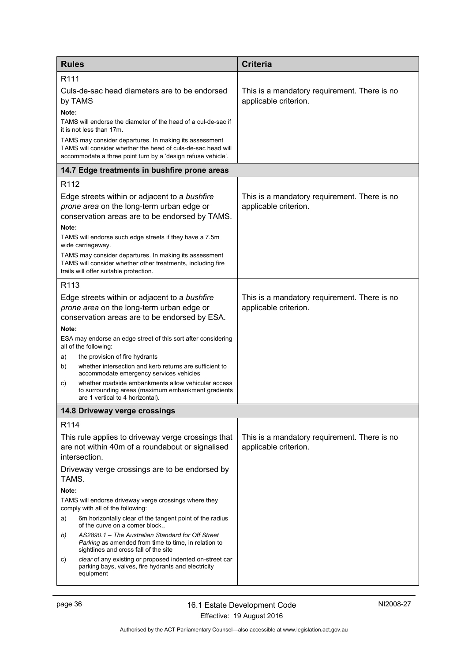<span id="page-39-1"></span><span id="page-39-0"></span>

| <b>Rules</b>                                                                                                                                                                           | <b>Criteria</b>                                                       |  |
|----------------------------------------------------------------------------------------------------------------------------------------------------------------------------------------|-----------------------------------------------------------------------|--|
| R <sub>111</sub>                                                                                                                                                                       |                                                                       |  |
| Culs-de-sac head diameters are to be endorsed<br>by TAMS                                                                                                                               | This is a mandatory requirement. There is no<br>applicable criterion. |  |
| Note:<br>TAMS will endorse the diameter of the head of a cul-de-sac if<br>it is not less than 17m.                                                                                     |                                                                       |  |
| TAMS may consider departures. In making its assessment<br>TAMS will consider whether the head of culs-de-sac head will<br>accommodate a three point turn by a 'design refuse vehicle'. |                                                                       |  |
| 14.7 Edge treatments in bushfire prone areas                                                                                                                                           |                                                                       |  |
| R <sub>112</sub>                                                                                                                                                                       |                                                                       |  |
| Edge streets within or adjacent to a bushfire<br>prone area on the long-term urban edge or<br>conservation areas are to be endorsed by TAMS.                                           | This is a mandatory requirement. There is no<br>applicable criterion. |  |
| Note:<br>TAMS will endorse such edge streets if they have a 7.5m<br>wide carriageway.                                                                                                  |                                                                       |  |
| TAMS may consider departures. In making its assessment<br>TAMS will consider whether other treatments, including fire<br>trails will offer suitable protection.                        |                                                                       |  |
| R <sub>113</sub>                                                                                                                                                                       |                                                                       |  |
| Edge streets within or adjacent to a bushfire<br>prone area on the long-term urban edge or<br>conservation areas are to be endorsed by ESA.                                            | This is a mandatory requirement. There is no<br>applicable criterion. |  |
| Note:                                                                                                                                                                                  |                                                                       |  |
| ESA may endorse an edge street of this sort after considering<br>all of the following:                                                                                                 |                                                                       |  |
| the provision of fire hydrants<br>a)<br>whether intersection and kerb returns are sufficient to                                                                                        |                                                                       |  |
| b)<br>accommodate emergency services vehicles                                                                                                                                          |                                                                       |  |
| whether roadside embankments allow vehicular access<br>C)<br>to surrounding areas (maximum embankment gradients<br>are 1 vertical to 4 horizontal).                                    |                                                                       |  |
| 14.8 Driveway verge crossings                                                                                                                                                          |                                                                       |  |
| R114                                                                                                                                                                                   |                                                                       |  |
| This rule applies to driveway verge crossings that<br>are not within 40m of a roundabout or signalised<br>intersection.                                                                | This is a mandatory requirement. There is no<br>applicable criterion. |  |
| Driveway verge crossings are to be endorsed by<br>TAMS.                                                                                                                                |                                                                       |  |
| Note:<br>TAMS will endorse driveway verge crossings where they<br>comply with all of the following:                                                                                    |                                                                       |  |
| 6m horizontally clear of the tangent point of the radius<br>a)<br>of the curve on a corner block.,                                                                                     |                                                                       |  |
| AS2890.1 - The Australian Standard for Off Street<br>b)<br>Parking as amended from time to time, in relation to<br>sightlines and cross fall of the site                               |                                                                       |  |
| clear of any existing or proposed indented on-street car<br>C)<br>parking bays, valves, fire hydrants and electricity<br>equipment                                                     |                                                                       |  |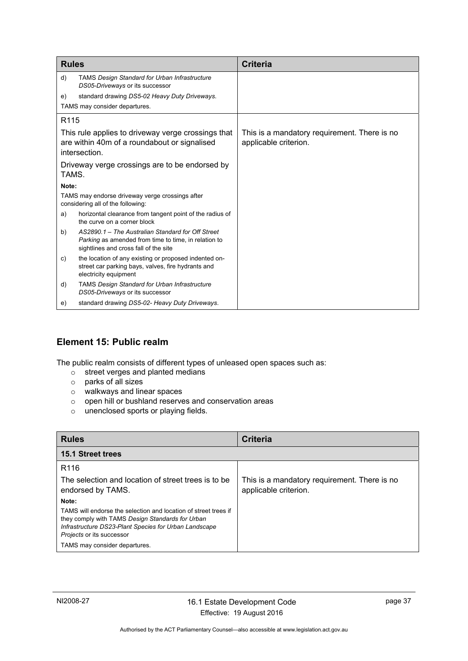| <b>Rules</b>                                                                                                        |                                                                                                                                                    | <b>Criteria</b>                                                       |
|---------------------------------------------------------------------------------------------------------------------|----------------------------------------------------------------------------------------------------------------------------------------------------|-----------------------------------------------------------------------|
| d)                                                                                                                  | <b>TAMS Design Standard for Urban Infrastructure</b><br>DS05-Driveways or its successor                                                            |                                                                       |
| e)                                                                                                                  | standard drawing DS5-02 Heavy Duty Driveways.<br>TAMS may consider departures.                                                                     |                                                                       |
| R <sub>115</sub>                                                                                                    |                                                                                                                                                    |                                                                       |
| This rule applies to driveway verge crossings that<br>are within 40m of a roundabout or signalised<br>intersection. |                                                                                                                                                    | This is a mandatory requirement. There is no<br>applicable criterion. |
| TAMS.                                                                                                               | Driveway verge crossings are to be endorsed by                                                                                                     |                                                                       |
| Note:                                                                                                               |                                                                                                                                                    |                                                                       |
|                                                                                                                     | TAMS may endorse driveway verge crossings after<br>considering all of the following:                                                               |                                                                       |
| a)                                                                                                                  | horizontal clearance from tangent point of the radius of<br>the curve on a corner block                                                            |                                                                       |
| b)                                                                                                                  | AS2890.1 - The Australian Standard for Off Street<br>Parking as amended from time to time, in relation to<br>sightlines and cross fall of the site |                                                                       |
| C)                                                                                                                  | the location of any existing or proposed indented on-<br>street car parking bays, valves, fire hydrants and<br>electricity equipment               |                                                                       |
| d)                                                                                                                  | <b>TAMS Design Standard for Urban Infrastructure</b><br>DS05-Driveways or its successor                                                            |                                                                       |
| e)                                                                                                                  | standard drawing DS5-02- Heavy Duty Driveways.                                                                                                     |                                                                       |

# <span id="page-40-0"></span>**Element 15: Public realm**

The public realm consists of different types of unleased open spaces such as:

- o street verges and planted medians
- o parks of all sizes
- o walkways and linear spaces
- $\circ$  open hill or bushland reserves and conservation areas
- o unenclosed sports or playing fields.

<span id="page-40-1"></span>

| <b>Rules</b>                                                                                                                                                                                              | <b>Criteria</b>                                                       |
|-----------------------------------------------------------------------------------------------------------------------------------------------------------------------------------------------------------|-----------------------------------------------------------------------|
| 15.1 Street trees                                                                                                                                                                                         |                                                                       |
| R <sub>116</sub>                                                                                                                                                                                          |                                                                       |
| The selection and location of street trees is to be<br>endorsed by TAMS.                                                                                                                                  | This is a mandatory requirement. There is no<br>applicable criterion. |
| Note:                                                                                                                                                                                                     |                                                                       |
| TAMS will endorse the selection and location of street trees if<br>they comply with TAMS Design Standards for Urban<br>Infrastructure DS23-Plant Species for Urban Landscape<br>Projects or its successor |                                                                       |
| TAMS may consider departures.                                                                                                                                                                             |                                                                       |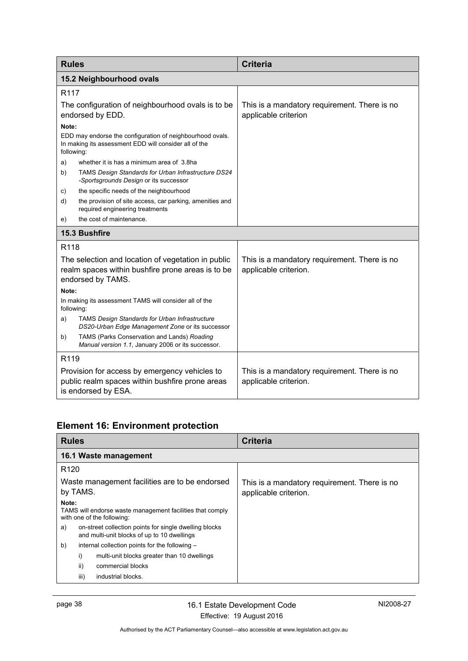<span id="page-41-1"></span><span id="page-41-0"></span>

| <b>Rules</b>                                                                                                            |                                                                                                                              | <b>Criteria</b>                                                       |
|-------------------------------------------------------------------------------------------------------------------------|------------------------------------------------------------------------------------------------------------------------------|-----------------------------------------------------------------------|
| 15.2 Neighbourhood ovals                                                                                                |                                                                                                                              |                                                                       |
| R <sub>117</sub>                                                                                                        |                                                                                                                              |                                                                       |
| The configuration of neighbourhood ovals is to be<br>endorsed by EDD.                                                   |                                                                                                                              | This is a mandatory requirement. There is no<br>applicable criterion  |
| Note:                                                                                                                   |                                                                                                                              |                                                                       |
| following:                                                                                                              | EDD may endorse the configuration of neighbourhood ovals.<br>In making its assessment EDD will consider all of the           |                                                                       |
| a)                                                                                                                      | whether it is has a minimum area of 3.8ha                                                                                    |                                                                       |
| b)                                                                                                                      | TAMS Design Standards for Urban Infrastructure DS24<br>-Sportsgrounds Design or its successor                                |                                                                       |
| C)                                                                                                                      | the specific needs of the neighbourhood                                                                                      |                                                                       |
| d)                                                                                                                      | the provision of site access, car parking, amenities and<br>required engineering treatments                                  |                                                                       |
| e)                                                                                                                      | the cost of maintenance.                                                                                                     |                                                                       |
|                                                                                                                         | 15.3 Bushfire                                                                                                                |                                                                       |
| R118                                                                                                                    |                                                                                                                              |                                                                       |
|                                                                                                                         | The selection and location of vegetation in public<br>realm spaces within bushfire prone areas is to be<br>endorsed by TAMS. | This is a mandatory requirement. There is no<br>applicable criterion. |
| Note:                                                                                                                   |                                                                                                                              |                                                                       |
| following:                                                                                                              | In making its assessment TAMS will consider all of the                                                                       |                                                                       |
| a)                                                                                                                      | TAMS Design Standards for Urban Infrastructure<br>DS20-Urban Edge Management Zone or its successor                           |                                                                       |
| b)                                                                                                                      | TAMS (Parks Conservation and Lands) Roading<br>Manual version 1.1, January 2006 or its successor.                            |                                                                       |
| R119                                                                                                                    |                                                                                                                              |                                                                       |
| Provision for access by emergency vehicles to<br>public realm spaces within bushfire prone areas<br>is endorsed by ESA. |                                                                                                                              | This is a mandatory requirement. There is no<br>applicable criterion. |

# <span id="page-41-2"></span>**Element 16: Environment protection**

<span id="page-41-3"></span>

| <b>Rules</b>                                                                                                | <b>Criteria</b>                                                       |
|-------------------------------------------------------------------------------------------------------------|-----------------------------------------------------------------------|
| 16.1 Waste management                                                                                       |                                                                       |
| R <sub>120</sub>                                                                                            |                                                                       |
| Waste management facilities are to be endorsed<br>by TAMS.                                                  | This is a mandatory requirement. There is no<br>applicable criterion. |
| Note:<br>TAMS will endorse waste management facilities that comply<br>with one of the following:            |                                                                       |
| on-street collection points for single dwelling blocks<br>a)<br>and multi-unit blocks of up to 10 dwellings |                                                                       |
| b)<br>internal collection points for the following -                                                        |                                                                       |
| i)<br>multi-unit blocks greater than 10 dwellings                                                           |                                                                       |
| ii)<br>commercial blocks                                                                                    |                                                                       |
| iii)<br>industrial blocks.                                                                                  |                                                                       |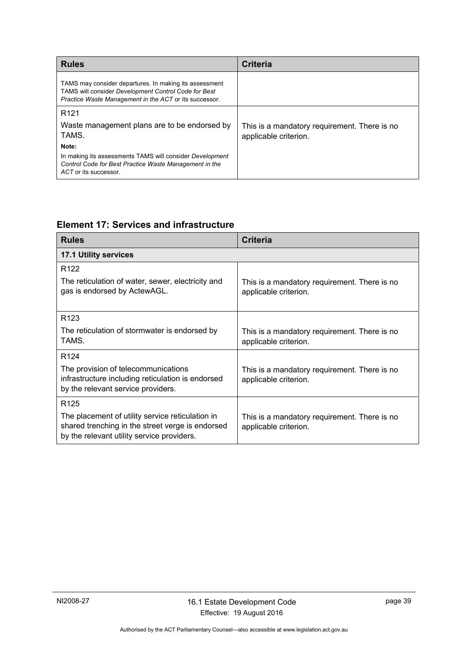| <b>Rules</b>                                                                                                                                                             | <b>Criteria</b>                                                       |
|--------------------------------------------------------------------------------------------------------------------------------------------------------------------------|-----------------------------------------------------------------------|
| TAMS may consider departures. In making its assessment<br>TAMS will consider Development Control Code for Best<br>Practice Waste Management in the ACT or its successor. |                                                                       |
| R <sub>121</sub>                                                                                                                                                         |                                                                       |
| Waste management plans are to be endorsed by<br>TAMS.                                                                                                                    | This is a mandatory requirement. There is no<br>applicable criterion. |
| Note:                                                                                                                                                                    |                                                                       |
| In making its assessments TAMS will consider Development<br>Control Code for Best Practice Waste Management in the<br>ACT or its successor.                              |                                                                       |

# <span id="page-42-0"></span>**Element 17: Services and infrastructure**

<span id="page-42-1"></span>

| <b>Rules</b>                                                                                                                                       | <b>Criteria</b>                                                       |
|----------------------------------------------------------------------------------------------------------------------------------------------------|-----------------------------------------------------------------------|
| <b>17.1 Utility services</b>                                                                                                                       |                                                                       |
| R <sub>122</sub>                                                                                                                                   |                                                                       |
| The reticulation of water, sewer, electricity and<br>gas is endorsed by ActewAGL.                                                                  | This is a mandatory requirement. There is no<br>applicable criterion. |
| R <sub>123</sub>                                                                                                                                   |                                                                       |
| The reticulation of stormwater is endorsed by<br>TAMS.                                                                                             | This is a mandatory requirement. There is no<br>applicable criterion. |
| R <sub>124</sub>                                                                                                                                   |                                                                       |
| The provision of telecommunications<br>infrastructure including reticulation is endorsed<br>by the relevant service providers.                     | This is a mandatory requirement. There is no<br>applicable criterion. |
| R <sub>125</sub>                                                                                                                                   |                                                                       |
| The placement of utility service reticulation in<br>shared trenching in the street verge is endorsed<br>by the relevant utility service providers. | This is a mandatory requirement. There is no<br>applicable criterion. |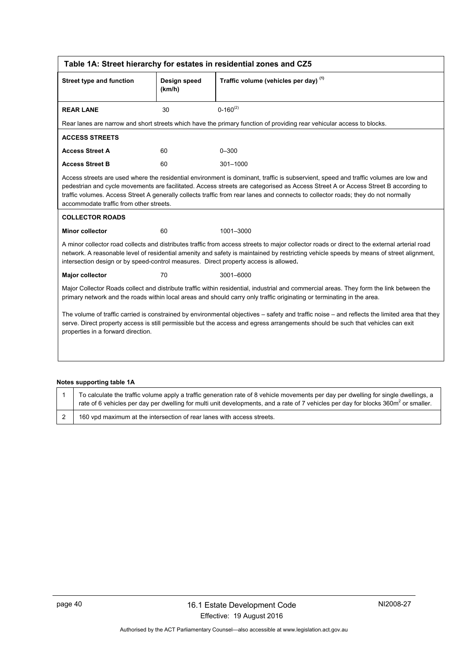<span id="page-43-0"></span>

|                                                                                                                                                                                                                                                                                                                        | Table 1A: Street hierarchy for estates in residential zones and CZ5 |                                                                                                                                                                                                                                                                                                                                                                                                                |  |  |
|------------------------------------------------------------------------------------------------------------------------------------------------------------------------------------------------------------------------------------------------------------------------------------------------------------------------|---------------------------------------------------------------------|----------------------------------------------------------------------------------------------------------------------------------------------------------------------------------------------------------------------------------------------------------------------------------------------------------------------------------------------------------------------------------------------------------------|--|--|
| <b>Street type and function</b>                                                                                                                                                                                                                                                                                        | Design speed<br>(km/h)                                              | Traffic volume (vehicles per day) (1)                                                                                                                                                                                                                                                                                                                                                                          |  |  |
| <b>REAR LANE</b>                                                                                                                                                                                                                                                                                                       | 30                                                                  | $0 - 160^{(2)}$                                                                                                                                                                                                                                                                                                                                                                                                |  |  |
|                                                                                                                                                                                                                                                                                                                        |                                                                     | Rear lanes are narrow and short streets which have the primary function of providing rear vehicular access to blocks.                                                                                                                                                                                                                                                                                          |  |  |
| <b>ACCESS STREETS</b>                                                                                                                                                                                                                                                                                                  |                                                                     |                                                                                                                                                                                                                                                                                                                                                                                                                |  |  |
| <b>Access Street A</b>                                                                                                                                                                                                                                                                                                 | 60                                                                  | $0 - 300$                                                                                                                                                                                                                                                                                                                                                                                                      |  |  |
| <b>Access Street B</b>                                                                                                                                                                                                                                                                                                 | 60                                                                  | $301 - 1000$                                                                                                                                                                                                                                                                                                                                                                                                   |  |  |
| accommodate traffic from other streets.                                                                                                                                                                                                                                                                                |                                                                     | Access streets are used where the residential environment is dominant, traffic is subservient, speed and traffic volumes are low and<br>pedestrian and cycle movements are facilitated. Access streets are categorised as Access Street A or Access Street B according to<br>traffic volumes. Access Street A generally collects traffic from rear lanes and connects to collector roads; they do not normally |  |  |
| <b>COLLECTOR ROADS</b>                                                                                                                                                                                                                                                                                                 |                                                                     |                                                                                                                                                                                                                                                                                                                                                                                                                |  |  |
| <b>Minor collector</b>                                                                                                                                                                                                                                                                                                 | 60                                                                  | 1001-3000                                                                                                                                                                                                                                                                                                                                                                                                      |  |  |
| intersection design or by speed-control measures. Direct property access is allowed.                                                                                                                                                                                                                                   |                                                                     | A minor collector road collects and distributes traffic from access streets to major collector roads or direct to the external arterial road<br>network. A reasonable level of residential amenity and safety is maintained by restricting vehicle speeds by means of street alignment,                                                                                                                        |  |  |
| Major collector                                                                                                                                                                                                                                                                                                        | 70                                                                  | 3001-6000                                                                                                                                                                                                                                                                                                                                                                                                      |  |  |
|                                                                                                                                                                                                                                                                                                                        |                                                                     | Major Collector Roads collect and distribute traffic within residential, industrial and commercial areas. They form the link between the<br>primary network and the roads within local areas and should carry only traffic originating or terminating in the area.                                                                                                                                             |  |  |
| The volume of traffic carried is constrained by environmental objectives – safety and traffic noise – and reflects the limited area that they<br>serve. Direct property access is still permissible but the access and egress arrangements should be such that vehicles can exit<br>properties in a forward direction. |                                                                     |                                                                                                                                                                                                                                                                                                                                                                                                                |  |  |
|                                                                                                                                                                                                                                                                                                                        |                                                                     |                                                                                                                                                                                                                                                                                                                                                                                                                |  |  |

### **Notes supporting table 1A**

| To calculate the traffic volume apply a traffic generation rate of 8 vehicle movements per day per dwelling for single dwellings, a<br>rate of 6 vehicles per day per dwelling for multi unit developments, and a rate of 7 vehicles per day for blocks 360 $m2$ or smaller. |
|------------------------------------------------------------------------------------------------------------------------------------------------------------------------------------------------------------------------------------------------------------------------------|
| 160 vpd maximum at the intersection of rear lanes with access streets.                                                                                                                                                                                                       |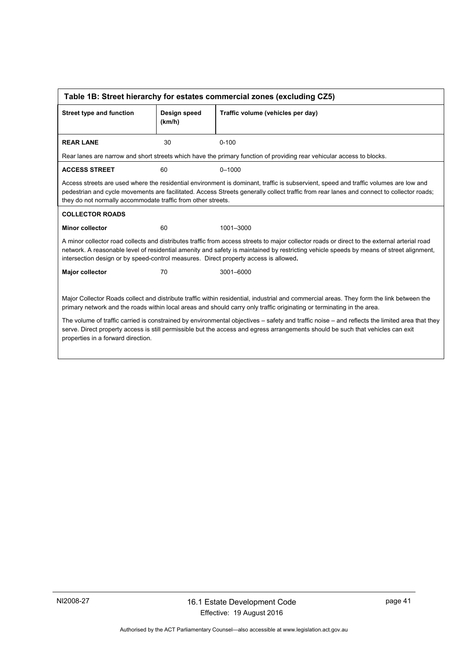<span id="page-44-0"></span>

| Table 1B: Street hierarchy for estates commercial zones (excluding CZ5)                                                                                                                                                                                                                                                                                                         |                        |                                                                                                                                                                                                                                                                                  |  |  |
|---------------------------------------------------------------------------------------------------------------------------------------------------------------------------------------------------------------------------------------------------------------------------------------------------------------------------------------------------------------------------------|------------------------|----------------------------------------------------------------------------------------------------------------------------------------------------------------------------------------------------------------------------------------------------------------------------------|--|--|
| <b>Street type and function</b>                                                                                                                                                                                                                                                                                                                                                 | Design speed<br>(km/h) | Traffic volume (vehicles per day)                                                                                                                                                                                                                                                |  |  |
| <b>REAR LANE</b>                                                                                                                                                                                                                                                                                                                                                                | 30                     | $0 - 100$                                                                                                                                                                                                                                                                        |  |  |
|                                                                                                                                                                                                                                                                                                                                                                                 |                        | Rear lanes are narrow and short streets which have the primary function of providing rear vehicular access to blocks.                                                                                                                                                            |  |  |
| <b>ACCESS STREET</b>                                                                                                                                                                                                                                                                                                                                                            | 60                     | $0 - 1000$                                                                                                                                                                                                                                                                       |  |  |
| they do not normally accommodate traffic from other streets.                                                                                                                                                                                                                                                                                                                    |                        | Access streets are used where the residential environment is dominant, traffic is subservient, speed and traffic volumes are low and<br>pedestrian and cycle movements are facilitated. Access Streets generally collect traffic from rear lanes and connect to collector roads; |  |  |
| <b>COLLECTOR ROADS</b>                                                                                                                                                                                                                                                                                                                                                          |                        |                                                                                                                                                                                                                                                                                  |  |  |
| <b>Minor collector</b>                                                                                                                                                                                                                                                                                                                                                          | 60                     | 1001-3000                                                                                                                                                                                                                                                                        |  |  |
| A minor collector road collects and distributes traffic from access streets to major collector roads or direct to the external arterial road<br>network. A reasonable level of residential amenity and safety is maintained by restricting vehicle speeds by means of street alignment,<br>intersection design or by speed-control measures. Direct property access is allowed. |                        |                                                                                                                                                                                                                                                                                  |  |  |
| Major collector                                                                                                                                                                                                                                                                                                                                                                 | 70                     | 3001-6000                                                                                                                                                                                                                                                                        |  |  |
|                                                                                                                                                                                                                                                                                                                                                                                 |                        |                                                                                                                                                                                                                                                                                  |  |  |
| Major Collector Roads collect and distribute traffic within residential, industrial and commercial areas. They form the link between the<br>primary network and the roads within local areas and should carry only traffic originating or terminating in the area.                                                                                                              |                        |                                                                                                                                                                                                                                                                                  |  |  |
| The volume of traffic carried is constrained by environmental objectives – safety and traffic noise – and reflects the limited area that they<br>serve. Direct property access is still permissible but the access and egress arrangements should be such that vehicles can exit<br>properties in a forward direction.                                                          |                        |                                                                                                                                                                                                                                                                                  |  |  |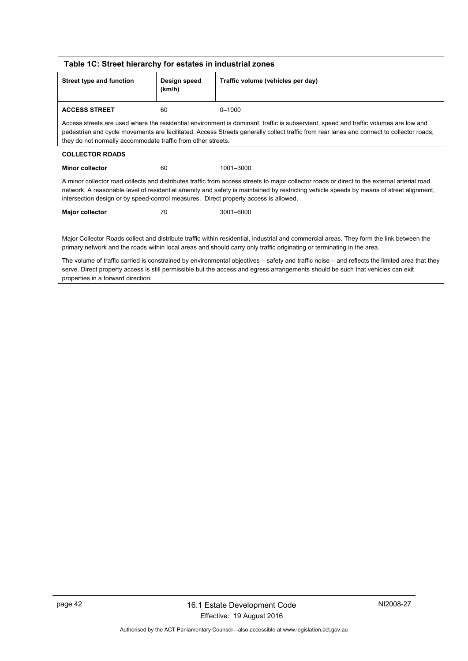<span id="page-45-0"></span>

| Table 1C: Street hierarchy for estates in industrial zones                                                                                                                                                                                                                                                             |    |                                                                                                                                                                                                                                                                                         |  |  |
|------------------------------------------------------------------------------------------------------------------------------------------------------------------------------------------------------------------------------------------------------------------------------------------------------------------------|----|-----------------------------------------------------------------------------------------------------------------------------------------------------------------------------------------------------------------------------------------------------------------------------------------|--|--|
| <b>Street type and function</b><br>Traffic volume (vehicles per day)<br>Design speed<br>(km/h)                                                                                                                                                                                                                         |    |                                                                                                                                                                                                                                                                                         |  |  |
| <b>ACCESS STREET</b>                                                                                                                                                                                                                                                                                                   | 60 | $0 - 1000$                                                                                                                                                                                                                                                                              |  |  |
| they do not normally accommodate traffic from other streets.                                                                                                                                                                                                                                                           |    | Access streets are used where the residential environment is dominant, traffic is subservient, speed and traffic volumes are low and<br>pedestrian and cycle movements are facilitated. Access Streets generally collect traffic from rear lanes and connect to collector roads;        |  |  |
| <b>COLLECTOR ROADS</b>                                                                                                                                                                                                                                                                                                 |    |                                                                                                                                                                                                                                                                                         |  |  |
| <b>Minor collector</b>                                                                                                                                                                                                                                                                                                 | 60 | 1001-3000                                                                                                                                                                                                                                                                               |  |  |
| intersection design or by speed-control measures. Direct property access is allowed.                                                                                                                                                                                                                                   |    | A minor collector road collects and distributes traffic from access streets to major collector roads or direct to the external arterial road<br>network. A reasonable level of residential amenity and safety is maintained by restricting vehicle speeds by means of street alignment, |  |  |
| Major collector                                                                                                                                                                                                                                                                                                        | 70 | 3001-6000                                                                                                                                                                                                                                                                               |  |  |
| Major Collector Roads collect and distribute traffic within residential, industrial and commercial areas. They form the link between the<br>primary network and the roads within local areas and should carry only traffic originating or terminating in the area.                                                     |    |                                                                                                                                                                                                                                                                                         |  |  |
| The volume of traffic carried is constrained by environmental objectives - safety and traffic noise - and reflects the limited area that they<br>serve. Direct property access is still permissible but the access and egress arrangements should be such that vehicles can exit<br>properties in a forward direction. |    |                                                                                                                                                                                                                                                                                         |  |  |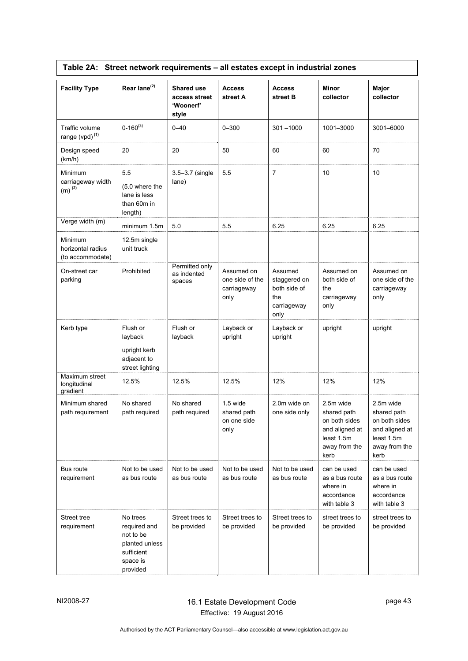|  | Table 2A: Street network requirements – all estates except in industrial zones |  |
|--|--------------------------------------------------------------------------------|--|
|  |                                                                                |  |

<span id="page-46-0"></span>

| <b>Facility Type</b>                                 | Rear lane <sup>(2)</sup>                                                                      | <b>Shared use</b><br>access street<br>'Woonerf'<br>style | <b>Access</b><br>street A                            | <b>Access</b><br>street B                                             | <b>Minor</b><br>collector                                                                          | Major<br>collector                                                                                 |
|------------------------------------------------------|-----------------------------------------------------------------------------------------------|----------------------------------------------------------|------------------------------------------------------|-----------------------------------------------------------------------|----------------------------------------------------------------------------------------------------|----------------------------------------------------------------------------------------------------|
| Traffic volume<br>range (vpd) <sup>(1)</sup>         | $0 - 160^{(3)}$                                                                               | $0 - 40$                                                 | $0 - 300$                                            | $301 - 1000$                                                          | 1001-3000                                                                                          | 3001-6000                                                                                          |
| Design speed<br>(km/h)                               | 20                                                                                            | 20                                                       | 50                                                   | 60                                                                    | 60                                                                                                 | 70                                                                                                 |
| Minimum<br>carriageway width<br>$(m)$ <sup>(2)</sup> | 5.5<br>(5.0 where the<br>lane is less<br>than 60m in<br>length)                               | 3.5-3.7 (single<br>lane)                                 | 5.5                                                  | $\overline{7}$                                                        | 10                                                                                                 | 10                                                                                                 |
| Verge width (m)                                      | minimum 1.5m                                                                                  | 5.0                                                      | 5.5                                                  | 6.25                                                                  | 6.25                                                                                               | 6.25                                                                                               |
| Minimum<br>horizontal radius<br>(to accommodate)     | 12.5m single<br>unit truck                                                                    |                                                          |                                                      |                                                                       |                                                                                                    |                                                                                                    |
| On-street car<br>parking                             | Prohibited                                                                                    | Permitted only<br>as indented<br>spaces                  | Assumed on<br>one side of the<br>carriageway<br>only | Assumed<br>staggered on<br>both side of<br>the<br>carriageway<br>only | Assumed on<br>both side of<br>the<br>carriageway<br>only                                           | Assumed on<br>one side of the<br>carriageway<br>only                                               |
| Kerb type                                            | Flush or<br>layback<br>upright kerb<br>adjacent to<br>street lighting                         | Flush or<br>layback                                      | Layback or<br>upright                                | Layback or<br>upright                                                 | upright                                                                                            | upright                                                                                            |
| Maximum street<br>longitudinal<br>gradient           | 12.5%                                                                                         | 12.5%                                                    | 12.5%                                                | 12%                                                                   | 12%                                                                                                | 12%                                                                                                |
| Minimum shared<br>path requirement                   | No shared<br>path required                                                                    | No shared<br>path required                               | $1.5$ wide<br>shared path<br>on one side<br>only     | 2.0m wide on<br>one side only                                         | 2.5m wide<br>shared path<br>on both sides<br>and aligned at<br>least 1.5m<br>away from the<br>kerb | 2.5m wide<br>shared path<br>on both sides<br>and aligned at<br>least 1.5m<br>away from the<br>kerb |
| Bus route<br>requirement                             | Not to be used<br>as bus route                                                                | Not to be used<br>as bus route                           | Not to be used<br>as bus route                       | Not to be used<br>as bus route                                        | can be used<br>as a bus route<br>where in<br>accordance<br>with table 3                            | can be used<br>as a bus route<br>where in<br>accordance<br>with table 3                            |
| Street tree<br>requirement                           | No trees<br>required and<br>not to be<br>planted unless<br>sufficient<br>space is<br>provided | Street trees to<br>be provided                           | Street trees to<br>be provided                       | Street trees to<br>be provided                                        | street trees to<br>be provided                                                                     | street trees to<br>be provided                                                                     |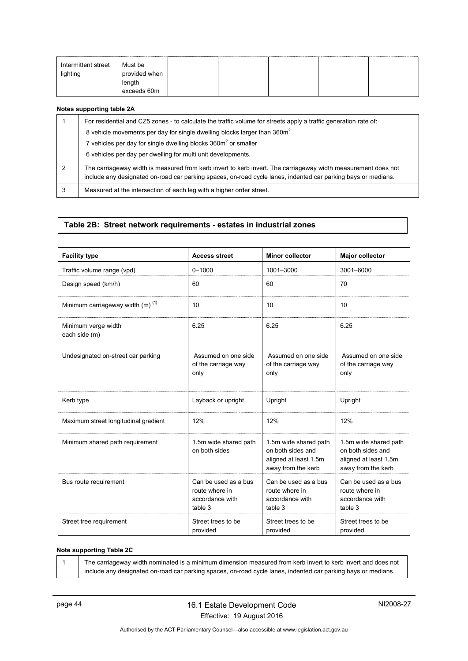| Intermittent street<br>lighting | Must be<br>provided when<br>length<br>exceeds 60m |  |  |  |  |  |
|---------------------------------|---------------------------------------------------|--|--|--|--|--|
|---------------------------------|---------------------------------------------------|--|--|--|--|--|

#### **Notes supporting table 2A**

|   | For residential and CZ5 zones - to calculate the traffic volume for streets apply a traffic generation rate of:                                                                                                                |
|---|--------------------------------------------------------------------------------------------------------------------------------------------------------------------------------------------------------------------------------|
|   | 8 vehicle movements per day for single dwelling blocks larger than 360m <sup>2</sup>                                                                                                                                           |
|   | 7 vehicles per day for single dwelling blocks 360m <sup>2</sup> or smaller                                                                                                                                                     |
|   | 6 vehicles per day per dwelling for multi unit developments.                                                                                                                                                                   |
| 2 | The carriageway width is measured from kerb invert to kerb invert. The carriageway width measurement does not<br>include any designated on-road car parking spaces, on-road cycle lanes, indented car parking bays or medians. |
| 3 | Measured at the intersection of each leg with a higher order street.                                                                                                                                                           |

### **Table 2B: Street network requirements - estates in industrial zones**

<span id="page-47-0"></span>

| <b>Facility type</b>                         | <b>Access street</b>                                                 | <b>Minor collector</b>                                                                    | <b>Major collector</b>                                                                    |
|----------------------------------------------|----------------------------------------------------------------------|-------------------------------------------------------------------------------------------|-------------------------------------------------------------------------------------------|
| Traffic volume range (vpd)                   | $0 - 1000$                                                           | 1001-3000                                                                                 | 3001-6000                                                                                 |
| Design speed (km/h)                          | 60                                                                   | 60                                                                                        | 70                                                                                        |
| Minimum carriageway width (m) <sup>(1)</sup> | 10                                                                   | 10                                                                                        | 10                                                                                        |
| Minimum verge width<br>each side (m)         | 6.25                                                                 | 6.25                                                                                      | 6.25                                                                                      |
| Undesignated on-street car parking           | Assumed on one side<br>of the carriage way<br>only                   | Assumed on one side<br>of the carriage way<br>only                                        | Assumed on one side<br>of the carriage way<br>only                                        |
| Kerb type                                    | Layback or upright                                                   | Upright                                                                                   | Upright                                                                                   |
| Maximum street longitudinal gradient         | 12%                                                                  | 12%                                                                                       | 12%                                                                                       |
| Minimum shared path requirement              | 1.5m wide shared path<br>on both sides                               | 1.5m wide shared path<br>on both sides and<br>aligned at least 1.5m<br>away from the kerb | 1.5m wide shared path<br>on both sides and<br>aligned at least 1.5m<br>away from the kerb |
| Bus route requirement                        | Can be used as a bus<br>route where in<br>accordance with<br>table 3 | Can be used as a bus<br>route where in<br>accordance with<br>table 3                      | Can be used as a bus<br>route where in<br>accordance with<br>table 3                      |
| Street tree requirement                      | Street trees to be<br>provided                                       | Street trees to be<br>provided                                                            | Street trees to be<br>provided                                                            |

#### **Note supporting Table 2C**

1 | The carriageway width nominated is a minimum dimension measured from kerb invert to kerb invert and does not include any designated on-road car parking spaces, on-road cycle lanes, indented car parking bays or medians.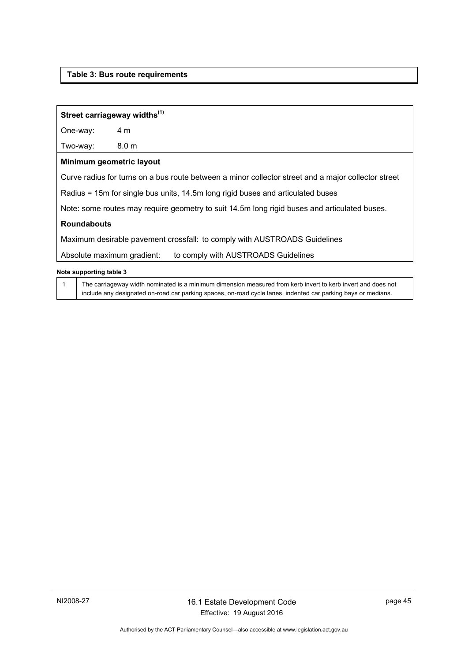### <span id="page-48-0"></span>**Table 3: Bus route requirements**

### **Street carriageway widths(1)**

One-way: 4 m

Two-way: 8.0 m

### **Minimum geometric layout**

Curve radius for turns on a bus route between a minor collector street and a major collector street

Radius = 15m for single bus units, 14.5m long rigid buses and articulated buses

Note: some routes may require geometry to suit 14.5m long rigid buses and articulated buses.

### **Roundabouts**

Maximum desirable pavement crossfall: to comply with AUSTROADS Guidelines

Absolute maximum gradient: to comply with AUSTROADS Guidelines

#### **Note supporting table 3**

1 The carriageway width nominated is a minimum dimension measured from kerb invert to kerb invert and does not include any designated on-road car parking spaces, on-road cycle lanes, indented car parking bays or medians.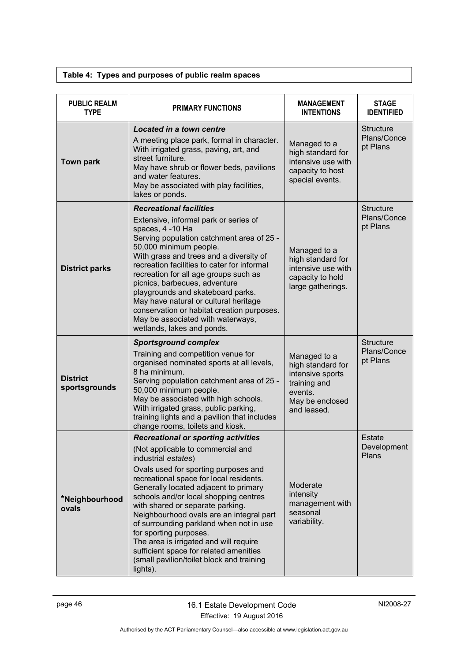### **Table 4: Types and purposes of public realm spaces**

<span id="page-49-0"></span>

| <b>PUBLIC REALM</b><br><b>TYPE</b> | <b>PRIMARY FUNCTIONS</b>                                                                                                                                                                                                                                                                                                                                                                                                                                                                                                                                                      | <b>MANAGEMENT</b><br><b>INTENTIONS</b>                                                                             | <b>STAGE</b><br><b>IDENTIFIED</b>           |
|------------------------------------|-------------------------------------------------------------------------------------------------------------------------------------------------------------------------------------------------------------------------------------------------------------------------------------------------------------------------------------------------------------------------------------------------------------------------------------------------------------------------------------------------------------------------------------------------------------------------------|--------------------------------------------------------------------------------------------------------------------|---------------------------------------------|
| <b>Town park</b>                   | Located in a town centre<br>A meeting place park, formal in character.<br>With irrigated grass, paving, art, and<br>street furniture.<br>May have shrub or flower beds, pavilions<br>and water features.<br>May be associated with play facilities,<br>lakes or ponds.                                                                                                                                                                                                                                                                                                        | Managed to a<br>high standard for<br>intensive use with<br>capacity to host<br>special events.                     | <b>Structure</b><br>Plans/Conce<br>pt Plans |
| <b>District parks</b>              | <b>Recreational facilities</b><br>Extensive, informal park or series of<br>spaces, 4 -10 Ha<br>Serving population catchment area of 25 -<br>50,000 minimum people.<br>With grass and trees and a diversity of<br>recreation facilities to cater for informal<br>recreation for all age groups such as<br>picnics, barbecues, adventure<br>playgrounds and skateboard parks.<br>May have natural or cultural heritage<br>conservation or habitat creation purposes.<br>May be associated with waterways,<br>wetlands, lakes and ponds.                                         | Managed to a<br>high standard for<br>intensive use with<br>capacity to hold<br>large gatherings.                   | <b>Structure</b><br>Plans/Conce<br>pt Plans |
| <b>District</b><br>sportsgrounds   | <b>Sportsground complex</b><br>Training and competition venue for<br>organised nominated sports at all levels,<br>8 ha minimum.<br>Serving population catchment area of 25 -<br>50,000 minimum people.<br>May be associated with high schools.<br>With irrigated grass, public parking,<br>training lights and a pavilion that includes<br>change rooms, toilets and kiosk.                                                                                                                                                                                                   | Managed to a<br>high standard for<br>intensive sports<br>training and<br>events.<br>May be enclosed<br>and leased. | <b>Structure</b><br>Plans/Conce<br>pt Plans |
| *Neighbourhood<br>ovals            | <b>Recreational or sporting activities</b><br>(Not applicable to commercial and<br>industrial estates)<br>Ovals used for sporting purposes and<br>recreational space for local residents.<br>Generally located adjacent to primary<br>schools and/or local shopping centres<br>with shared or separate parking.<br>Neighbourhood ovals are an integral part<br>of surrounding parkland when not in use<br>for sporting purposes.<br>The area is irrigated and will require<br>sufficient space for related amenities<br>(small pavilion/toilet block and training<br>lights). | Moderate<br>intensity<br>management with<br>seasonal<br>variability.                                               | <b>Estate</b><br>Development<br>Plans       |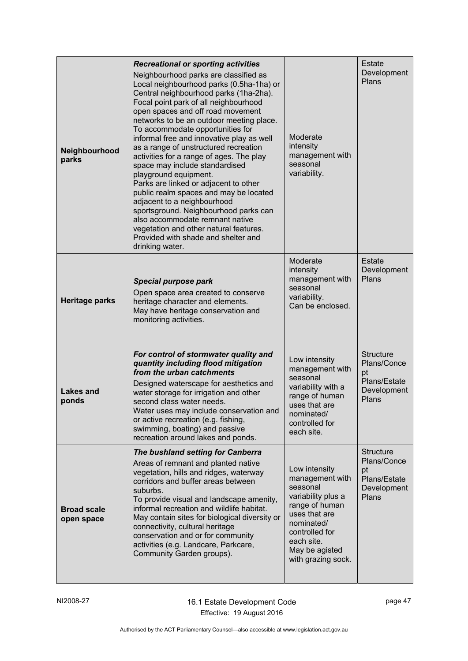|                                  | <b>Recreational or sporting activities</b>                                                                                                                                                                                                                                                                                                                                                                                                                                                                                                                                                                                                                                                                                                                                               |                                                                                                                                                                                             | Estate                                                                        |
|----------------------------------|------------------------------------------------------------------------------------------------------------------------------------------------------------------------------------------------------------------------------------------------------------------------------------------------------------------------------------------------------------------------------------------------------------------------------------------------------------------------------------------------------------------------------------------------------------------------------------------------------------------------------------------------------------------------------------------------------------------------------------------------------------------------------------------|---------------------------------------------------------------------------------------------------------------------------------------------------------------------------------------------|-------------------------------------------------------------------------------|
| Neighbourhood<br>parks           | Neighbourhood parks are classified as<br>Local neighbourhood parks (0.5ha-1ha) or<br>Central neighbourhood parks (1ha-2ha).<br>Focal point park of all neighbourhood<br>open spaces and off road movement<br>networks to be an outdoor meeting place.<br>To accommodate opportunities for<br>informal free and innovative play as well<br>as a range of unstructured recreation<br>activities for a range of ages. The play<br>space may include standardised<br>playground equipment.<br>Parks are linked or adjacent to other<br>public realm spaces and may be located<br>adjacent to a neighbourhood<br>sportsground. Neighbourhood parks can<br>also accommodate remnant native<br>vegetation and other natural features.<br>Provided with shade and shelter and<br>drinking water. | Moderate<br>intensity<br>management with<br>seasonal<br>variability.                                                                                                                        | Development<br>Plans                                                          |
| <b>Heritage parks</b>            | <b>Special purpose park</b><br>Open space area created to conserve<br>heritage character and elements.<br>May have heritage conservation and<br>monitoring activities.                                                                                                                                                                                                                                                                                                                                                                                                                                                                                                                                                                                                                   | Moderate<br>intensity<br>management with<br>seasonal<br>variability.<br>Can be enclosed.                                                                                                    | <b>Estate</b><br>Development<br>Plans                                         |
| <b>Lakes and</b><br>ponds        | For control of stormwater quality and<br>quantity including flood mitigation<br>from the urban catchments<br>Designed waterscape for aesthetics and<br>water storage for irrigation and other<br>second class water needs.<br>Water uses may include conservation and<br>or active recreation (e.g. fishing,<br>swimming, boating) and passive<br>recreation around lakes and ponds.                                                                                                                                                                                                                                                                                                                                                                                                     | Low intensity<br>management with<br>seasonal<br>variability with a<br>range of human<br>uses that are<br>nominated/<br>controlled for<br>each site.                                         | <b>Structure</b><br>Plans/Conce<br>pt<br>Plans/Estate<br>Development<br>Plans |
| <b>Broad scale</b><br>open space | The bushland setting for Canberra<br>Areas of remnant and planted native<br>vegetation, hills and ridges, waterway<br>corridors and buffer areas between<br>suburbs.<br>To provide visual and landscape amenity,<br>informal recreation and wildlife habitat.<br>May contain sites for biological diversity or<br>connectivity, cultural heritage<br>conservation and or for community<br>activities (e.g. Landcare, Parkcare,<br>Community Garden groups).                                                                                                                                                                                                                                                                                                                              | Low intensity<br>management with<br>seasonal<br>variability plus a<br>range of human<br>uses that are<br>nominated/<br>controlled for<br>each site.<br>May be agisted<br>with grazing sock. | <b>Structure</b><br>Plans/Conce<br>pt<br>Plans/Estate<br>Development<br>Plans |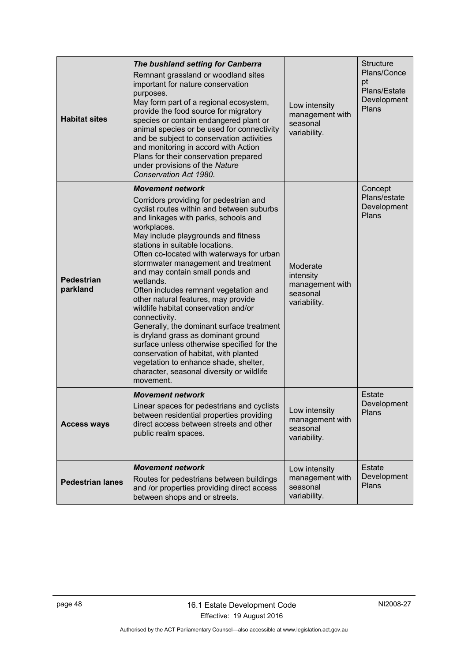| <b>Habitat sites</b>          | The bushland setting for Canberra<br>Remnant grassland or woodland sites<br>important for nature conservation<br>purposes.<br>May form part of a regional ecosystem,<br>provide the food source for migratory<br>species or contain endangered plant or<br>animal species or be used for connectivity<br>and be subject to conservation activities<br>and monitoring in accord with Action<br>Plans for their conservation prepared<br>under provisions of the Nature<br>Conservation Act 1980.                                                                                                                                                                                                                                                                                                            | Low intensity<br>management with<br>seasonal<br>variability.         | <b>Structure</b><br>Plans/Conce<br>pt<br>Plans/Estate<br>Development<br>Plans |
|-------------------------------|------------------------------------------------------------------------------------------------------------------------------------------------------------------------------------------------------------------------------------------------------------------------------------------------------------------------------------------------------------------------------------------------------------------------------------------------------------------------------------------------------------------------------------------------------------------------------------------------------------------------------------------------------------------------------------------------------------------------------------------------------------------------------------------------------------|----------------------------------------------------------------------|-------------------------------------------------------------------------------|
| <b>Pedestrian</b><br>parkland | <b>Movement network</b><br>Corridors providing for pedestrian and<br>cyclist routes within and between suburbs<br>and linkages with parks, schools and<br>workplaces.<br>May include playgrounds and fitness<br>stations in suitable locations.<br>Often co-located with waterways for urban<br>stormwater management and treatment<br>and may contain small ponds and<br>wetlands.<br>Often includes remnant vegetation and<br>other natural features, may provide<br>wildlife habitat conservation and/or<br>connectivity.<br>Generally, the dominant surface treatment<br>is dryland grass as dominant ground<br>surface unless otherwise specified for the<br>conservation of habitat, with planted<br>vegetation to enhance shade, shelter,<br>character, seasonal diversity or wildlife<br>movement. | Moderate<br>intensity<br>management with<br>seasonal<br>variability. | Concept<br>Plans/estate<br>Development<br>Plans                               |
| <b>Access ways</b>            | <b>Movement network</b><br>Linear spaces for pedestrians and cyclists<br>between residential properties providing<br>direct access between streets and other<br>public realm spaces.                                                                                                                                                                                                                                                                                                                                                                                                                                                                                                                                                                                                                       | Low intensity<br>management with<br>seasonal<br>variability.         |                                                                               |
| <b>Pedestrian lanes</b>       | <b>Movement network</b><br>Routes for pedestrians between buildings<br>and /or properties providing direct access<br>between shops and or streets.                                                                                                                                                                                                                                                                                                                                                                                                                                                                                                                                                                                                                                                         | Low intensity<br>management with<br>seasonal<br>variability.         | Estate<br>Development<br>Plans                                                |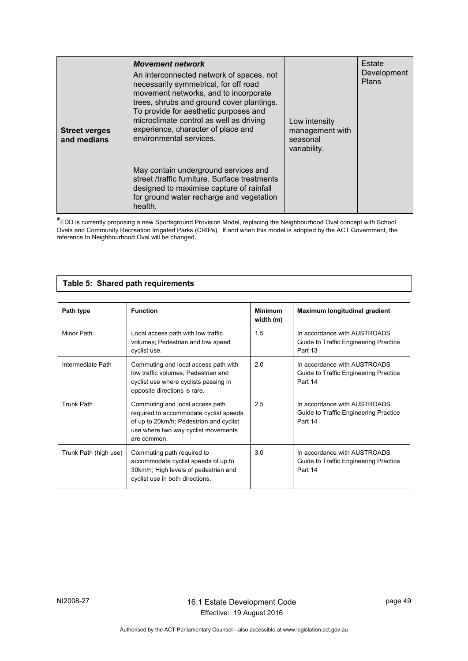| <b>Street verges</b><br>and medians | <b>Movement network</b><br>An interconnected network of spaces, not<br>necessarily symmetrical, for off road<br>movement networks, and to incorporate<br>trees, shrubs and ground cover plantings.<br>To provide for aesthetic purposes and<br>microclimate control as well as driving<br>experience, character of place and<br>environmental services. | Low intensity<br>management with<br>seasonal<br>variability. | Estate<br>Development<br>Plans |
|-------------------------------------|---------------------------------------------------------------------------------------------------------------------------------------------------------------------------------------------------------------------------------------------------------------------------------------------------------------------------------------------------------|--------------------------------------------------------------|--------------------------------|
|                                     | May contain underground services and<br>street /traffic furniture. Surface treatments<br>designed to maximise capture of rainfall<br>for ground water recharge and vegetation<br>health.                                                                                                                                                                |                                                              |                                |

**\***EDD is currently proposing a new Sportsground Provision Model, replacing the Neighbourhood Oval concept with School Ovals and Community Recreation Irrigated Parks (CRIPs). If and when this model is adopted by the ACT Government, the reference to Neighbourhood Oval will be changed.

### **Table 5: Shared path requirements**

<span id="page-52-0"></span>

| Path type             | <b>Function</b>                                                                                                                                                            | <b>Minimum</b><br>width (m) | Maximum longitudinal gradient                                                    |
|-----------------------|----------------------------------------------------------------------------------------------------------------------------------------------------------------------------|-----------------------------|----------------------------------------------------------------------------------|
| Minor Path            | Local access path with low traffic<br>volumes; Pedestrian and low speed<br>cyclist use.                                                                                    | 1.5                         | In accordance with AUSTROADS<br>Guide to Traffic Engineering Practice<br>Part 13 |
| Intermediate Path     | Commuting and local access path with<br>low traffic volumes; Pedestrian and<br>cyclist use where cyclists passing in<br>opposite directions is rare.                       | 2.0                         | In accordance with AUSTROADS<br>Guide to Traffic Engineering Practice<br>Part 14 |
| <b>Trunk Path</b>     | Commuting and local access path<br>required to accommodate cyclist speeds<br>of up to 20km/h; Pedestrian and cyclist<br>use where two way cyclist movements<br>are common. | 2.5                         | In accordance with AUSTROADS<br>Guide to Traffic Engineering Practice<br>Part 14 |
| Trunk Path (high use) | Commuting path required to<br>accommodate cyclist speeds of up to<br>30km/h; High levels of pedestrian and<br>cyclist use in both directions.                              | 3.0                         | In accordance with AUSTROADS<br>Guide to Traffic Engineering Practice<br>Part 14 |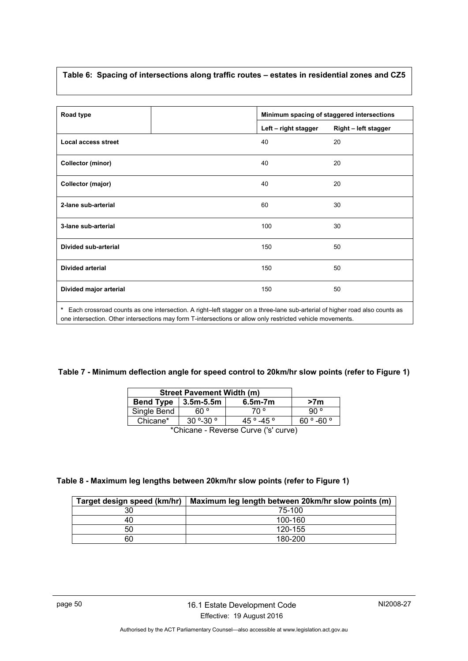### <span id="page-53-0"></span>**Table 6: Spacing of intersections along traffic routes – estates in residential zones and CZ5**

| Road type                   |                                                                                                                            | Minimum spacing of staggered intersections |
|-----------------------------|----------------------------------------------------------------------------------------------------------------------------|--------------------------------------------|
|                             | Left - right stagger                                                                                                       | Right - left stagger                       |
| <b>Local access street</b>  | 40                                                                                                                         | 20                                         |
| <b>Collector (minor)</b>    | 40                                                                                                                         | 20                                         |
| Collector (major)           | 40                                                                                                                         | 20                                         |
| 2-lane sub-arterial         | 60                                                                                                                         | 30                                         |
| 3-lane sub-arterial         | 100                                                                                                                        | 30                                         |
| <b>Divided sub-arterial</b> | 150                                                                                                                        | 50                                         |
| <b>Divided arterial</b>     | 150                                                                                                                        | 50                                         |
| Divided major arterial      | 150                                                                                                                        | 50                                         |
| *                           | Each crossroad counts as one intersection. A right-left stagger on a three-lane sub-arterial of higher road also counts as |                                            |

one intersection. Other intersections may form T-intersections or allow only restricted vehicle movements.

### <span id="page-53-1"></span>**Table 7 - Minimum deflection angle for speed control to 20km/hr slow points (refer to Figure 1)**

| <b>Street Pavement Width (m)</b> |            |                                         |                 |
|----------------------------------|------------|-----------------------------------------|-----------------|
| <b>Bend Type</b>                 | 3.5m-5.5m  | $6.5m-7m$                               | >7 <sub>m</sub> |
| Single Bend                      | ° 60       | ° 70                                    | `90 ∘           |
| Chicane*                         | 60 ° -60 ° |                                         |                 |
|                                  |            | $*$ Objazira – Davona Ovinia (lalavnic) |                 |

\*Chicane - Reverse Curve ('s' curve)

### <span id="page-53-2"></span>**Table 8 - Maximum leg lengths between 20km/hr slow points (refer to Figure 1)**

| Target design speed (km/hr) | Maximum leg length between 20km/hr slow points (m) |
|-----------------------------|----------------------------------------------------|
| 30                          | 75-100                                             |
| 40                          | 100-160                                            |
| 50                          | 120-155                                            |
| 60                          | 180-200                                            |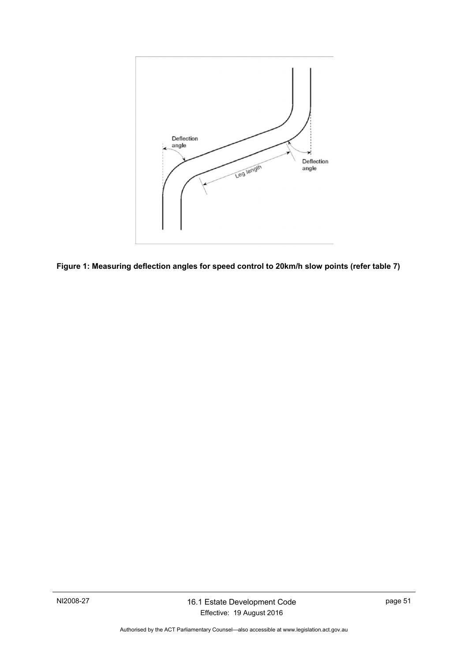

<span id="page-54-0"></span>**Figure 1: Measuring deflection angles for speed control to 20km/h slow points (refer table 7)**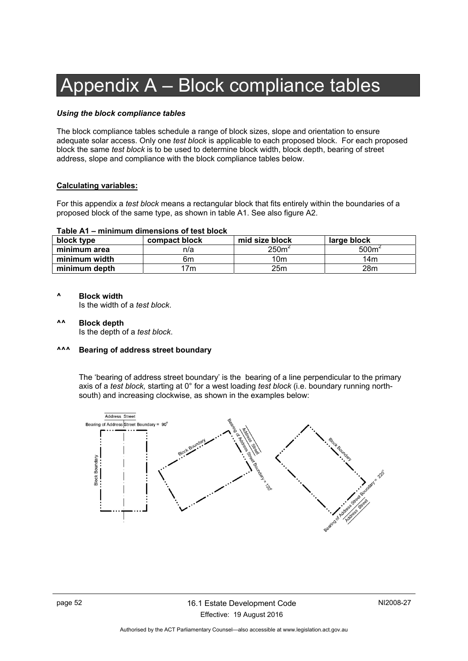# Appendix A – Block compliance tables

### *Using the block compliance tables*

The block compliance tables schedule a range of block sizes, slope and orientation to ensure adequate solar access. Only one *test block* is applicable to each proposed block. For each proposed block the same *test block* is to be used to determine block width, block depth, bearing of street address, slope and compliance with the block compliance tables below.

### **Calculating variables:**

For this appendix a *test block* means a rectangular block that fits entirely within the boundaries of a proposed block of the same type, as shown in table A1. See also figure A2.

#### **Table A1 – minimum dimensions of test block**

| block type    | compact block | mid size block   | large block       |
|---------------|---------------|------------------|-------------------|
| minimum area  | n/a           | 250 <sup>6</sup> | 500m <sup>2</sup> |
| minimum width | 6m            | 10m              | 14m               |
| minimum depth | 7m            | 25m              | 28m               |

#### **^ Block width**

Is the width of a *test block*.

**^^ Block depth**  Is the depth of a *test block*.

#### **^^^ Bearing of address street boundary**

The 'bearing of address street boundary' is the bearing of a line perpendicular to the primary axis of a *test block,* starting at 0° for a west loading *test block* (i.e. boundary running northsouth) and increasing clockwise, as shown in the examples below:

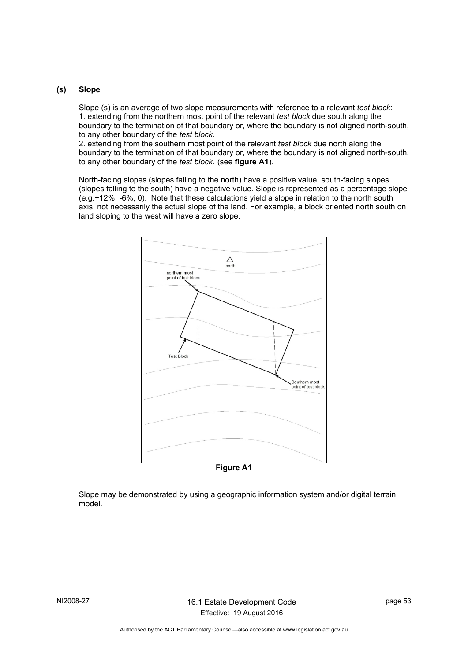### **(s) Slope**

Slope (s) is an average of two slope measurements with reference to a relevant *test block*: 1. extending from the northern most point of the relevant *test block* due south along the boundary to the termination of that boundary or, where the boundary is not aligned north-south, to any other boundary of the *test block*.

2. extending from the southern most point of the relevant *test block* due north along the boundary to the termination of that boundary or, where the boundary is not aligned north-south, to any other boundary of the *test block*. (see **figure A1**).

North-facing slopes (slopes falling to the north) have a positive value, south-facing slopes (slopes falling to the south) have a negative value. Slope is represented as a percentage slope (e.g.+12%, -6%, 0). Note that these calculations yield a slope in relation to the north south axis, not necessarily the actual slope of the land. For example, a block oriented north south on land sloping to the west will have a zero slope.



Slope may be demonstrated by using a geographic information system and/or digital terrain model.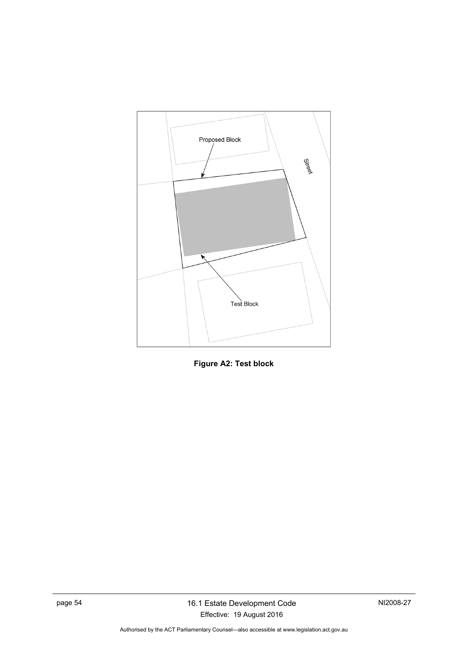

**Figure A2: Test block**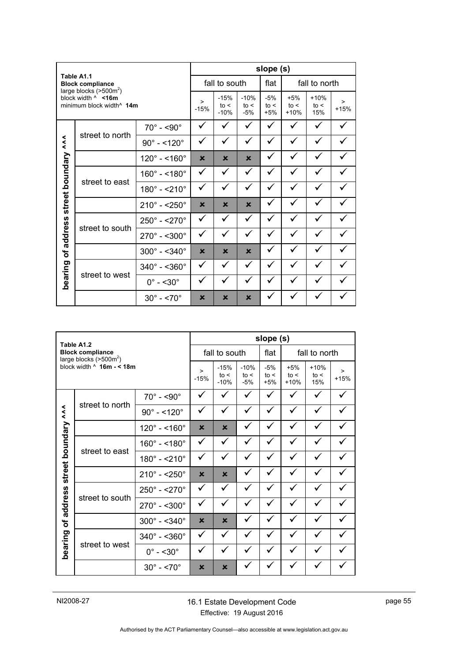| Table A1.1                                                                                  |                           |                             |                           |                           | slope (s)                 |                         |                       |               |  |
|---------------------------------------------------------------------------------------------|---------------------------|-----------------------------|---------------------------|---------------------------|---------------------------|-------------------------|-----------------------|---------------|--|
|                                                                                             | <b>Block compliance</b>   |                             |                           | fall to south             |                           | flat                    |                       | fall to north |  |
| large blocks $(>500m²)$<br>block width $\land$ <16m<br>minimum block width <sup>^</sup> 14m |                           | ><br>$-15%$                 | $-15%$<br>to <<br>$-10%$  | $-10%$<br>to <<br>$-5%$   | $-5%$<br>to <<br>$+5%$    | $+5%$<br>to <<br>$+10%$ | $+10%$<br>to <<br>15% | ><br>$+15%$   |  |
|                                                                                             |                           | $70^\circ$ - <90 $^\circ$   | ✓                         | ✓                         | ✓                         | ✓                       |                       | ✓             |  |
| $\lambda$                                                                                   | street to north           | $90^{\circ} - 120^{\circ}$  | ✓                         | ✓                         | ✓                         | ✓                       |                       |               |  |
|                                                                                             |                           | $120^{\circ} - 160^{\circ}$ | $\boldsymbol{\mathsf{x}}$ | $\boldsymbol{\mathsf{x}}$ | $\mathbf x$               | ✓                       |                       |               |  |
|                                                                                             |                           | $160^{\circ} - 180^{\circ}$ | ✓                         | ✓                         | ✓                         | ✓                       |                       |               |  |
|                                                                                             | street to east            | $180^{\circ} - 210^{\circ}$ | ✓                         | ✓                         | ✓                         | ✓                       |                       |               |  |
| street boundary                                                                             |                           | $210^{\circ} - 250^{\circ}$ | $\boldsymbol{\mathsf{x}}$ | $\mathbf x$               | $\boldsymbol{\mathsf{x}}$ | ✓                       |                       |               |  |
|                                                                                             |                           | $250^{\circ} - 270^{\circ}$ | ✓                         | $\checkmark$              | ✓                         | ✓                       | ✓                     |               |  |
| of address                                                                                  | street to south           | $270^{\circ} - 500^{\circ}$ | ✓                         | ✓                         | $\checkmark$              | ✓                       | ✓                     | ✓             |  |
|                                                                                             |                           | $300^{\circ} - 340^{\circ}$ | $\boldsymbol{\mathsf{x}}$ | $\mathbf x$               | $\overline{\mathbf{x}}$   |                         |                       |               |  |
|                                                                                             |                           | $340^{\circ} - 360^{\circ}$ | ✓                         | ✓                         | ✓                         | ✓                       |                       | ✓             |  |
|                                                                                             | bearing<br>street to west | $0^\circ$ - <30 $^\circ$    | ✓                         | ✓                         |                           | ✓                       |                       |               |  |
|                                                                                             |                           | $30^\circ$ - <70 $^\circ$   | ×                         | ×                         | ×                         |                         |                       |               |  |

|                 | Table A1.2                                          |                                  |                           |                                                                                                                                   |   | slope (s)              |   |               |  |
|-----------------|-----------------------------------------------------|----------------------------------|---------------------------|-----------------------------------------------------------------------------------------------------------------------------------|---|------------------------|---|---------------|--|
|                 | <b>Block compliance</b><br>large blocks $(>500m^2)$ |                                  |                           | fall to south                                                                                                                     |   | flat                   |   | fall to north |  |
|                 | block width $\land$ 16m - < 18m                     |                                  | $\geq$<br>$-15%$          | $-10%$<br>$-15%$<br>$-5%$<br>$+5%$<br>$+10%$<br>to <<br>to <<br>to <<br>to <<br>to <<br>$-10%$<br>$-5%$<br>$+5%$<br>15%<br>$+10%$ |   | $\mathbf{L}$<br>$+15%$ |   |               |  |
|                 |                                                     | $70^\circ$ - <90 $^\circ$        | ✓                         | ✓                                                                                                                                 | ✓ | ✓                      |   | ✓             |  |
| $\lambda$       | street to north                                     | $90^{\circ} - 120^{\circ}$       | ✓                         | ✓                                                                                                                                 |   | ✓                      |   |               |  |
|                 |                                                     | $120^{\circ} - 160^{\circ}$      | $\boldsymbol{\mathsf{x}}$ | $\mathbf x$                                                                                                                       | ✓ | ✓                      |   | ✓             |  |
|                 |                                                     | $160^{\circ} - 180^{\circ}$      | ✓                         | ✓                                                                                                                                 |   | ✓                      |   |               |  |
|                 | street to east                                      | $180^{\circ} - 210^{\circ}$      | ✓                         | ✓                                                                                                                                 |   |                        |   |               |  |
| street boundary |                                                     | $210^{\circ} - 250^{\circ}$      | $\boldsymbol{\mathsf{x}}$ | $\boldsymbol{\mathsf{x}}$                                                                                                         |   | ✓                      |   |               |  |
|                 |                                                     | $250^{\circ} - 270^{\circ}$      | ✓                         | ✓                                                                                                                                 |   | ✓                      | ✓ | ✓             |  |
| address         | street to south                                     | $270^{\circ}$ - < 300 $^{\circ}$ | ✓                         | ✓                                                                                                                                 |   |                        |   |               |  |
| $\mathbf{b}$    |                                                     | $300^{\circ} - 340^{\circ}$      | $\boldsymbol{\mathsf{x}}$ | $\mathbf x$                                                                                                                       |   | ✓                      |   |               |  |
|                 |                                                     | $340^{\circ} - 360^{\circ}$      | ✓                         | ✓                                                                                                                                 |   | ✓                      |   |               |  |
|                 | bearing<br>street to west                           | $0^\circ$ - <30 $^\circ$         | ✓                         | ✓                                                                                                                                 |   |                        |   |               |  |
|                 |                                                     | $30^{\circ} - 5.70^{\circ}$      | $\boldsymbol{\mathsf{x}}$ | $\mathbf x$                                                                                                                       |   |                        |   |               |  |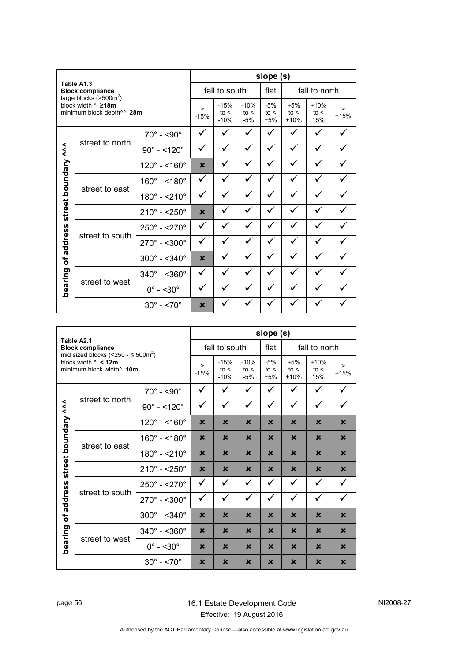| Table A1.3                                                                                       |                         |                             |                          |                         |                        | slope (s)               |                       |                  |  |
|--------------------------------------------------------------------------------------------------|-------------------------|-----------------------------|--------------------------|-------------------------|------------------------|-------------------------|-----------------------|------------------|--|
|                                                                                                  | <b>Block compliance</b> |                             |                          | fall to south           |                        | flat                    |                       | fall to north    |  |
| large blocks $(>500m²)$<br>block width $^{\wedge}$ 218m<br>minimum block depth <sup>^^</sup> 28m |                         | $\geq$<br>$-15%$            | $-15%$<br>to <<br>$-10%$ | $-10%$<br>to <<br>$-5%$ | $-5%$<br>to <<br>$+5%$ | $+5%$<br>to <<br>$+10%$ | $+10%$<br>to <<br>15% | $\geq$<br>$+15%$ |  |
|                                                                                                  |                         | $70^\circ$ - <90 $^\circ$   | ✓                        | ✓                       | ✓                      | ✓                       |                       | ✓                |  |
|                                                                                                  | street to north         | $90^{\circ} - 120^{\circ}$  | ✓                        | ✓                       | ✓                      | ✓                       |                       | ✓                |  |
|                                                                                                  |                         | $120^{\circ} - 160^{\circ}$ | $\mathbf x$              | ✓                       | ✓                      | ✓                       |                       | ✓                |  |
|                                                                                                  |                         | $160^{\circ} - 180^{\circ}$ | ✓                        | ✓                       | ✓                      | ✓                       |                       | ✓                |  |
|                                                                                                  | street to east          | $180^{\circ} - 210^{\circ}$ | ✓                        | ✓                       | ✓                      | ✓                       |                       |                  |  |
| street boundary ^^                                                                               |                         | $210^{\circ} - 250^{\circ}$ | $\mathbf x$              | ✓                       |                        |                         |                       |                  |  |
|                                                                                                  |                         | $250^{\circ} - 270^{\circ}$ | ✓                        | ✓                       | ✓                      | ✓                       |                       | ✓                |  |
| address                                                                                          | street to south         | $270^{\circ} - 500^{\circ}$ | ✓                        | ✓                       | ✓                      | ✓                       |                       |                  |  |
| Ⴆ                                                                                                |                         | $300^{\circ} - 340^{\circ}$ | $\mathbf x$              |                         |                        |                         |                       |                  |  |
|                                                                                                  |                         | $340^{\circ} - 360^{\circ}$ | ✓                        | ✓                       |                        | ✓                       |                       | ✓                |  |
| bearing                                                                                          | street to west          | $0^\circ$ - <30 $^\circ$    | ✓                        | ✓                       |                        |                         |                       |                  |  |
|                                                                                                  |                         | $30^{\circ} - 5.70^{\circ}$ | ×                        |                         |                        |                         |                       |                  |  |

| Table A2.1 |                                                                                                                          |                              |                           |                          |                           | slope (s)              |                         |                       |                  |
|------------|--------------------------------------------------------------------------------------------------------------------------|------------------------------|---------------------------|--------------------------|---------------------------|------------------------|-------------------------|-----------------------|------------------|
|            | <b>Block compliance</b>                                                                                                  |                              |                           | fall to south            |                           | flat                   |                         | fall to north         |                  |
|            | mid sized blocks (<250 - $\leq$ 500m <sup>2</sup> )<br>block width $\land$ < 12m<br>minimum block width <sup>^</sup> 10m |                              | $\geq$<br>$-15%$          | $-15%$<br>to <<br>$-10%$ | $-10%$<br>to <<br>$-5%$   | $-5%$<br>to <<br>$+5%$ | $+5%$<br>to <<br>$+10%$ | $+10%$<br>to <<br>15% | $\geq$<br>$+15%$ |
|            |                                                                                                                          | $70^\circ$ - <90 $^\circ$    | ✓                         | ✓                        | ✓                         | ✓                      |                         | ✓                     |                  |
| $\lambda$  | street to north                                                                                                          | $90^{\circ} - 120^{\circ}$   | ✓                         | ✓                        | ✓                         | ✓                      | ✓                       | ✓                     | ✓                |
|            |                                                                                                                          | $120^{\circ} - 160^{\circ}$  | $\boldsymbol{\mathsf{x}}$ | $\mathbf x$              | $\mathbf x$               | $\mathbf x$            | $\mathbf x$             | $\mathbf x$           | $\mathbf x$      |
| boundary   |                                                                                                                          | $160^\circ$ - <180 $^\circ$  | $\boldsymbol{\mathsf{x}}$ | $\mathbf x$              | $\boldsymbol{\mathsf{x}}$ | $\mathbf x$            | $\mathbf x$             | $\mathbf x$           | $\mathbf x$      |
|            | street to east                                                                                                           | $180^{\circ} - 210^{\circ}$  | $\boldsymbol{\mathsf{x}}$ | $\mathsf{x}$             | $\mathbf x$               | $\mathsf{x}$           | $\mathbf x$             | $\mathbf x$           | $\mathbf x$      |
| street     |                                                                                                                          | $210^{\circ} - 250^{\circ}$  | $\boldsymbol{\mathsf{x}}$ | $\mathbf x$              | $\mathbf x$               | $\mathbf x$            | $\mathbf x$             | $\mathbf x$           | $\mathbf x$      |
|            |                                                                                                                          | $250^{\circ} - 270^{\circ}$  | ✓                         | $\checkmark$             | ✓                         | ✓                      | ✓                       | $\checkmark$          | ✓                |
| address    | street to south                                                                                                          | $270^{\circ} - 5300^{\circ}$ | ✓                         | ✓                        | ✓                         | ✓                      | ✓                       | ✓                     | ✓                |
| Ⴆ          |                                                                                                                          | $300^{\circ} - 340^{\circ}$  | $\boldsymbol{\mathsf{x}}$ | $\mathbf x$              | $\boldsymbol{\mathsf{x}}$ | $\mathbf x$            | $\mathbf x$             | $\mathbf x$           | $\mathbf x$      |
|            |                                                                                                                          | $340^{\circ} - 5360^{\circ}$ | $\mathbf x$               | $\mathbf x$              | $\mathbf x$               | $\mathbf x$            | $\mathbf x$             | $\mathbf x$           | $\mathbf x$      |
| bearing    | street to west                                                                                                           | $0^{\circ} - 30^{\circ}$     | $\mathbf x$               | $\mathbf x$              | $\mathbf x$               | $\mathbf x$            | $\mathbf x$             | $\mathbf x$           | $\mathbf x$      |
|            |                                                                                                                          | $30^\circ$ - <70 $^\circ$    | ×                         | ×                        | $\boldsymbol{\mathsf{x}}$ | ×                      | $\mathbf x$             | ×                     | $\mathbf x$      |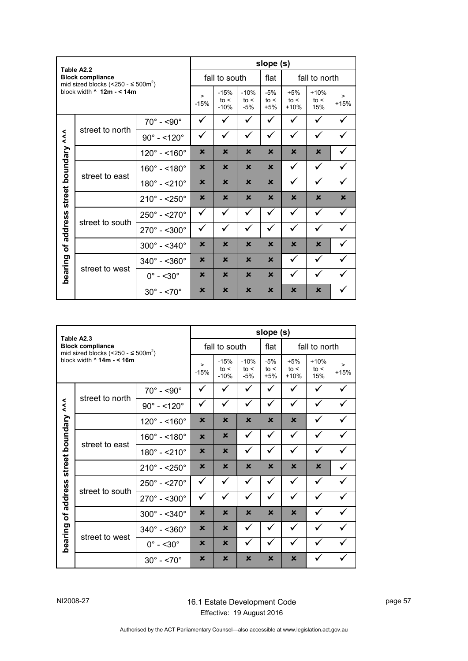| Table A2.2          |                                                                                |                             |                           |                          | slope (s)                 |                        |                         |                       |                  |
|---------------------|--------------------------------------------------------------------------------|-----------------------------|---------------------------|--------------------------|---------------------------|------------------------|-------------------------|-----------------------|------------------|
|                     | <b>Block compliance</b><br>mid sized blocks (<250 - $\leq$ 500m <sup>2</sup> ) |                             |                           | fall to south            |                           | flat                   |                         | fall to north         |                  |
|                     | block width $\land$ 12m - < 14m                                                |                             | $\geq$<br>$-15%$          | $-15%$<br>to <<br>$-10%$ | $-10%$<br>to <<br>$-5%$   | $-5%$<br>to <<br>$+5%$ | $+5%$<br>to <<br>$+10%$ | $+10%$<br>to <<br>15% | $\geq$<br>$+15%$ |
|                     |                                                                                | $70^\circ$ - <90 $^\circ$   | ✓                         | ✓                        |                           |                        |                         |                       |                  |
| $\lambda$           | street to north                                                                | $90^{\circ} - 120^{\circ}$  | ✓                         | $\checkmark$             | ✓                         | ✓                      | ✓                       | ✓                     |                  |
|                     |                                                                                | $120^{\circ} - 160^{\circ}$ | $\boldsymbol{\mathsf{x}}$ | $\mathbf x$              | $\mathbf x$               | $\mathbf x$            | $\mathbf x$             | $\mathbf x$           |                  |
| street boundary     |                                                                                | $160^{\circ} - 180^{\circ}$ | ×                         | $\mathbf x$              | $\boldsymbol{\mathsf{x}}$ | $\mathbf x$            | ✓                       | ✓                     |                  |
|                     | street to east                                                                 | $180^{\circ} - 210^{\circ}$ | ×                         | $\mathbf x$              | $\mathbf x$               | $\mathbf x$            | ✓                       | ✓                     |                  |
|                     |                                                                                | $210^{\circ} - 250^{\circ}$ | $\boldsymbol{\mathsf{x}}$ | $\mathbf x$              | $\mathbf x$               | $\mathbf x$            | $\mathbf x$             | $\mathbf x$           | ×                |
|                     |                                                                                | $250^{\circ} - 270^{\circ}$ | $\checkmark$              | ✓                        | ✓                         | ✓                      | ✓                       | $\checkmark$          | ✓                |
| address             | street to south                                                                | $270^{\circ} - 500^{\circ}$ | ✓                         | ✓                        | ✓                         | ✓                      | ✓                       | ✓                     |                  |
| $\overline{\sigma}$ |                                                                                | $300^{\circ} - 340^{\circ}$ | ×                         | $\mathbf x$              | $\mathbf x$               | $\mathbf x$            | $\mathbf x$             | $\mathbf x$           |                  |
|                     |                                                                                | $340^{\circ} - 360^{\circ}$ | $\mathbf x$               | $\mathbf x$              | $\mathbf x$               | $\mathbf x$            | ✓                       | ✓                     |                  |
|                     | bearing<br>street to west                                                      | $0^\circ$ - <30 $^\circ$    | ×                         | $\mathbf x$              | $\mathbf x$               | $\mathbf x$            | ✓                       | ✓                     |                  |
|                     |                                                                                | $30^{\circ} - 5.70^{\circ}$ | ×                         | $\mathbf x$              | $\boldsymbol{\mathsf{x}}$ | $\mathbf x$            | $\mathbf x$             | $\mathbf x$           |                  |

| Table A2.3<br><b>Block compliance</b><br>mid sized blocks (<250 - $\leq$ 500m <sup>2</sup> )<br>block width $\land$ 14m - < 16m |                 | slope (s)                   |                           |                         |                           |                           |                       |                  |  |
|---------------------------------------------------------------------------------------------------------------------------------|-----------------|-----------------------------|---------------------------|-------------------------|---------------------------|---------------------------|-----------------------|------------------|--|
|                                                                                                                                 |                 | fall to south               |                           |                         | flat                      | fall to north             |                       |                  |  |
|                                                                                                                                 |                 | $\geq$<br>$-15%$            | $-15%$<br>to <<br>$-10%$  | $-10%$<br>to <<br>$-5%$ | $-5%$<br>to <<br>$+5%$    | $+5%$<br>to <<br>$+10%$   | $+10%$<br>to <<br>15% | $\geq$<br>$+15%$ |  |
| $\tilde{\tilde{\mathbf{z}}}$<br>street boundary<br>address<br>ð<br>bearing                                                      | street to north | $70^\circ$ - <90 $^\circ$   | ✓                         | ✓                       | ✓                         | ✓                         |                       |                  |  |
|                                                                                                                                 |                 | $90^{\circ} - 120^{\circ}$  | ✓                         | ✓                       | ✓                         | ✓                         | ✓                     | ✓                |  |
|                                                                                                                                 |                 | $120^{\circ} - 160^{\circ}$ | $\mathbf x$               | $\mathbf x$             | $\mathbf x$               | $\mathbf x$               | $\mathbf x$           | ✓                |  |
|                                                                                                                                 | street to east  | $160^{\circ} - 180^{\circ}$ | $\mathbf x$               | $\mathbf x$             | $\checkmark$              | ✓                         | ✓                     | ✓                |  |
|                                                                                                                                 |                 | $180^{\circ} - 210^{\circ}$ | ×                         | $\mathbf x$             | $\checkmark$              | ✓                         | $\checkmark$          | ✓                |  |
|                                                                                                                                 |                 | $210^{\circ} - 250^{\circ}$ | $\boldsymbol{\mathsf{x}}$ | $\mathbf x$             | $\mathbf x$               | $\mathbf x$               | $\mathbf x$           | $\mathbf x$      |  |
|                                                                                                                                 |                 | $250^{\circ} - 270^{\circ}$ | $\checkmark$              | ✓                       | ✓                         | ✓                         | ✓                     | ✓                |  |
|                                                                                                                                 | street to south | $270^\circ$ - <300 $^\circ$ | ✓                         | ✓                       | ✓                         | ✓                         | ✓                     | ✓                |  |
|                                                                                                                                 |                 | $300^{\circ} - 340^{\circ}$ | $\boldsymbol{\mathsf{x}}$ | $\mathbf x$             | $\mathbf x$               | $\mathbf x$               | $\mathbf x$           |                  |  |
|                                                                                                                                 |                 | $340^{\circ} - 360^{\circ}$ | $\boldsymbol{\mathsf{x}}$ | $\mathbf x$             | $\checkmark$              | ✓                         | $\checkmark$          | $\checkmark$     |  |
|                                                                                                                                 | street to west  | $0^\circ$ - <30 $^\circ$    | $\boldsymbol{\mathsf{x}}$ | $\mathbf x$             | ✓                         | ✓                         |                       |                  |  |
|                                                                                                                                 |                 | $30^\circ$ - <70 $^\circ$   | ×                         | ×                       | $\boldsymbol{\mathsf{x}}$ | $\boldsymbol{\mathsf{x}}$ | $\mathbf x$           |                  |  |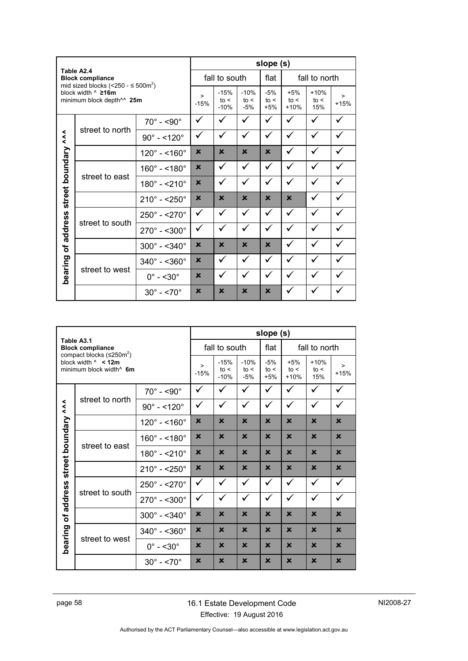| Table A2.4<br><b>Block compliance</b><br>mid sized blocks (<250 - $\leq$ 500m <sup>2</sup> )<br>block width ^ ≥16m<br>minimum block depth <sup>14</sup> 25m |                 | slope (s)                    |                           |                         |                        |                         |                       |                  |              |
|-------------------------------------------------------------------------------------------------------------------------------------------------------------|-----------------|------------------------------|---------------------------|-------------------------|------------------------|-------------------------|-----------------------|------------------|--------------|
|                                                                                                                                                             |                 | fall to south                |                           |                         | flat                   | fall to north           |                       |                  |              |
|                                                                                                                                                             |                 | $\geq$<br>$-15%$             | $-15%$<br>to <<br>$-10%$  | $-10%$<br>to <<br>$-5%$ | $-5%$<br>to <<br>$+5%$ | $+5%$<br>to <<br>$+10%$ | $+10%$<br>to <<br>15% | $\geq$<br>$+15%$ |              |
| $\lambda$<br>boundary<br>street                                                                                                                             | street to north | $70^\circ$ - <90 $^\circ$    | ✓                         |                         |                        | ✓                       | ✓                     | ✓                |              |
|                                                                                                                                                             |                 | $90^{\circ} - 120^{\circ}$   | ✓                         | ✓                       | ✓                      | ✓                       | ✓                     | ✓                | ✓            |
|                                                                                                                                                             |                 | $120^{\circ} - 160^{\circ}$  | $\mathbf x$               | $\mathbf x$             | $\mathbf x$            | $\mathbf x$             | ✓                     | ✓                | ✓            |
|                                                                                                                                                             | street to east  | $160^{\circ} - 180^{\circ}$  | $\mathbf x$               | ✓                       | ✓                      | ✓                       | ✓                     | $\checkmark$     | ✓            |
|                                                                                                                                                             |                 | $180^{\circ} - 210^{\circ}$  | $\mathbf x$               | ✓                       | ✓                      | ✓                       | ✓                     | ✓                | ✓            |
|                                                                                                                                                             |                 | $210^{\circ} - 250^{\circ}$  | $\mathbf x$               | $\mathbf x$             | $\mathbf x$            | $\mathbf x$             | $\mathbf x$           |                  |              |
|                                                                                                                                                             | street to south | $250^{\circ} - 270^{\circ}$  | ✓                         | ✓                       | ✓                      | $\checkmark$            | ✓                     | ✓                | $\checkmark$ |
| address<br>৳<br>bearing                                                                                                                                     |                 | $270^{\circ} - 5300^{\circ}$ | ✓                         | ✓                       | ✓                      | ✓                       | ✓                     | ✓                | $\checkmark$ |
|                                                                                                                                                             |                 | $300^{\circ} - 340^{\circ}$  | $\mathbf x$               | $\mathbf x$             | $\mathbf x$            | $\mathbf x$             | ✓                     | ✓                | ✓            |
|                                                                                                                                                             | street to west  | $340^{\circ} - 360^{\circ}$  | $\boldsymbol{\mathsf{x}}$ | ✓                       | ✓                      | $\checkmark$            | ✓                     | ✓                |              |
|                                                                                                                                                             |                 | $0^\circ$ - <30 $^\circ$     | $\mathbf x$               |                         |                        | ✓                       |                       |                  |              |
|                                                                                                                                                             |                 | $30^{\circ} - 5.70^{\circ}$  | $\mathbf x$               | $\mathbf x$             | $\mathbf x$            | $\mathbf x$             |                       |                  |              |

| Table A3.1<br><b>Block compliance</b><br>compact blocks $(\leq 250 \text{m}^2)$ |                                                                  | slope (s)                   |                           |                          |                         |                        |                         |                           |                  |
|---------------------------------------------------------------------------------|------------------------------------------------------------------|-----------------------------|---------------------------|--------------------------|-------------------------|------------------------|-------------------------|---------------------------|------------------|
|                                                                                 |                                                                  | fall to south               |                           |                          | flat                    | fall to north          |                         |                           |                  |
|                                                                                 | block width $\land$ < 12m<br>minimum block width <sup>^</sup> 6m |                             | $\geq$<br>$-15%$          | $-15%$<br>to <<br>$-10%$ | $-10%$<br>to <<br>$-5%$ | $-5%$<br>to <<br>$+5%$ | $+5%$<br>to <<br>$+10%$ | $+10%$<br>to <<br>15%     | $\geq$<br>$+15%$ |
|                                                                                 | street to north                                                  | $70^\circ$ - <90 $^\circ$   | ✓                         | ✓                        | ✓                       | ✓                      | $\checkmark$            | ✓                         | ✓                |
| $\lambda$                                                                       |                                                                  | $90^{\circ} - 120^{\circ}$  | ✓                         | ✓                        | ✓                       | $\checkmark$           | ✓                       | ✓                         | ✓                |
| boundary<br>street<br>address<br>đ<br>bearing                                   |                                                                  | $120^{\circ} - 160^{\circ}$ | $\boldsymbol{\mathsf{x}}$ | $\mathbf x$              | $\mathbf x$             | $\mathbf x$            | $\mathbf x$             | $\mathbf x$               | $\mathbf x$      |
|                                                                                 | street to east                                                   | $160^{\circ} - 180^{\circ}$ | $\mathbf x$               | $\mathbf x$              | $\mathbf x$             | $\mathbf x$            | $\mathbf x$             | $\mathbf x$               | $\mathbf x$      |
|                                                                                 |                                                                  | $180^{\circ} - 210^{\circ}$ | $\mathbf x$               | $\mathbf x$              | $\mathbf x$             | $\mathbf x$            | $\mathbf x$             | $\mathbf x$               | $\mathbf x$      |
|                                                                                 |                                                                  | $210^{\circ} - 250^{\circ}$ | $\mathbf x$               | $\mathbf x$              | $\mathbf x$             | $\mathbf x$            | $\mathbf x$             | $\mathbf x$               | $\mathbf x$      |
|                                                                                 | street to south                                                  | $250^{\circ} - 270^{\circ}$ | $\checkmark$              | ✓                        | $\checkmark$            | ✓                      | ✓                       | ✓                         | ✓                |
|                                                                                 |                                                                  | $270^\circ$ - <300 $^\circ$ | ✓                         | ✓                        | $\checkmark$            | ✓                      | ✓                       | ✓                         | ✓                |
|                                                                                 |                                                                  | $300^{\circ} - 340^{\circ}$ | $\mathbf x$               | $\mathbf x$              | $\mathbf x$             | $\mathbf x$            | $\mathbf x$             | $\mathbf x$               | $\mathbf x$      |
|                                                                                 | street to west                                                   | $340^{\circ} - 360^{\circ}$ | $\mathbf x$               | $\mathbf x$              | $\mathbf x$             | $\mathbf x$            | $\mathbf x$             | $\mathbf x$               | $\mathbf x$      |
|                                                                                 |                                                                  | $0^\circ$ - <30 $^\circ$    | $\mathbf x$               | $\mathbf x$              | $\mathbf x$             | $\mathbf x$            | $\mathbf x$             | $\mathbf x$               | $\mathbf x$      |
|                                                                                 |                                                                  | $30^{\circ} - 5.70^{\circ}$ | $\mathbf x$               | $\mathbf x$              | $\mathbf x$             | $\mathbf x$            | $\mathbf x$             | $\boldsymbol{\mathsf{x}}$ | $\mathbf x$      |